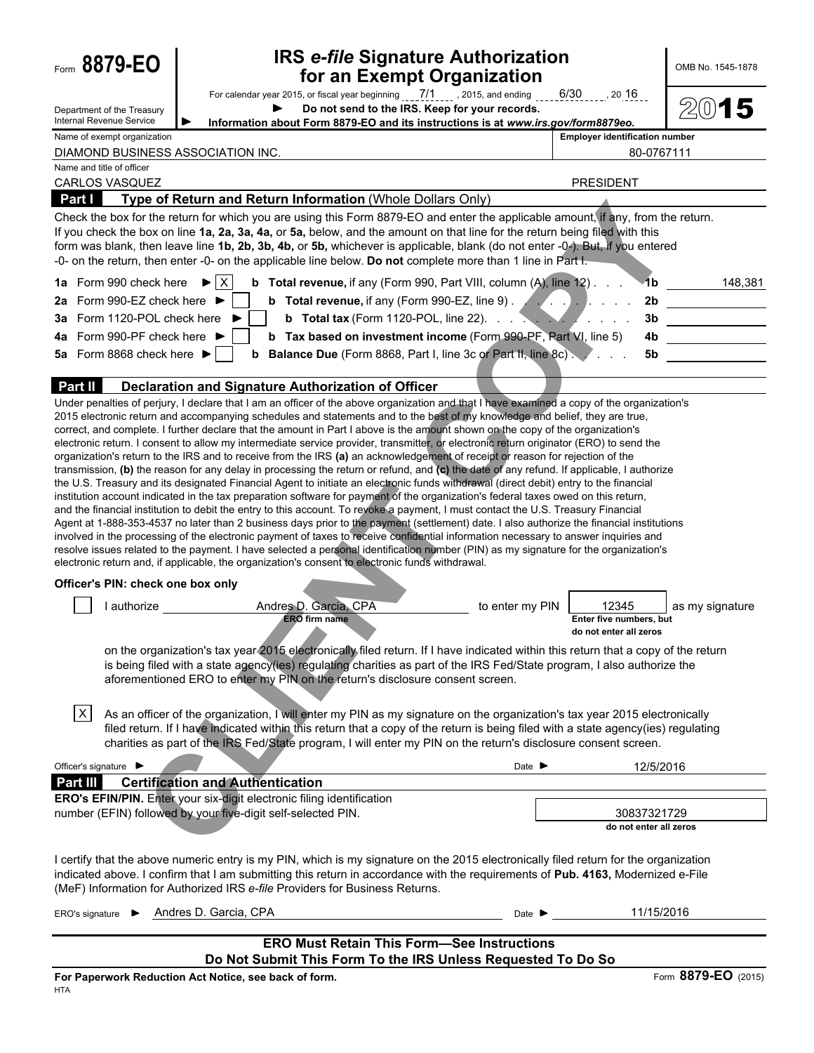| Form 8879-EO                                           |           | <b>IRS e-file Signature Authorization</b><br>for an Exempt Organization                                                                                                                                                                                                                                                                                                                                                                                                                                                                                                                                                                                                                                                                                                                                                                                                                                                                                                                                                                                                                                                                                                                                                                                                                                                                                                                                                                                                                                                                                                                                                                                                                                                                                                                 |                                                            | OMB No. 1545-1878   |
|--------------------------------------------------------|-----------|-----------------------------------------------------------------------------------------------------------------------------------------------------------------------------------------------------------------------------------------------------------------------------------------------------------------------------------------------------------------------------------------------------------------------------------------------------------------------------------------------------------------------------------------------------------------------------------------------------------------------------------------------------------------------------------------------------------------------------------------------------------------------------------------------------------------------------------------------------------------------------------------------------------------------------------------------------------------------------------------------------------------------------------------------------------------------------------------------------------------------------------------------------------------------------------------------------------------------------------------------------------------------------------------------------------------------------------------------------------------------------------------------------------------------------------------------------------------------------------------------------------------------------------------------------------------------------------------------------------------------------------------------------------------------------------------------------------------------------------------------------------------------------------------|------------------------------------------------------------|---------------------|
| Department of the Treasury<br>Internal Revenue Service |           | Do not send to the IRS. Keep for your records.<br>Information about Form 8879-EO and its instructions is at www.irs.gov/form8879eo.                                                                                                                                                                                                                                                                                                                                                                                                                                                                                                                                                                                                                                                                                                                                                                                                                                                                                                                                                                                                                                                                                                                                                                                                                                                                                                                                                                                                                                                                                                                                                                                                                                                     |                                                            | $2(0)$ 15           |
| Name of exempt organization                            |           | DIAMOND BUSINESS ASSOCIATION INC.                                                                                                                                                                                                                                                                                                                                                                                                                                                                                                                                                                                                                                                                                                                                                                                                                                                                                                                                                                                                                                                                                                                                                                                                                                                                                                                                                                                                                                                                                                                                                                                                                                                                                                                                                       | <b>Employer identification number</b>                      | 80-0767111          |
| Name and title of officer                              |           |                                                                                                                                                                                                                                                                                                                                                                                                                                                                                                                                                                                                                                                                                                                                                                                                                                                                                                                                                                                                                                                                                                                                                                                                                                                                                                                                                                                                                                                                                                                                                                                                                                                                                                                                                                                         |                                                            |                     |
| <b>CARLOS VASQUEZ</b><br>Part I                        |           | Type of Return and Return Information (Whole Dollars Only)                                                                                                                                                                                                                                                                                                                                                                                                                                                                                                                                                                                                                                                                                                                                                                                                                                                                                                                                                                                                                                                                                                                                                                                                                                                                                                                                                                                                                                                                                                                                                                                                                                                                                                                              | <b>PRESIDENT</b>                                           |                     |
|                                                        |           | Check the box for the return for which you are using this Form 8879-EO and enter the applicable amount, if any, from the return.                                                                                                                                                                                                                                                                                                                                                                                                                                                                                                                                                                                                                                                                                                                                                                                                                                                                                                                                                                                                                                                                                                                                                                                                                                                                                                                                                                                                                                                                                                                                                                                                                                                        |                                                            |                     |
|                                                        |           | If you check the box on line 1a, 2a, 3a, 4a, or 5a, below, and the amount on that line for the return being filed with this<br>form was blank, then leave line 1b, 2b, 3b, 4b, or 5b, whichever is applicable, blank (do not enter -0-). But, if you entered<br>-0- on the return, then enter -0- on the applicable line below. Do not complete more than 1 line in Part I.                                                                                                                                                                                                                                                                                                                                                                                                                                                                                                                                                                                                                                                                                                                                                                                                                                                                                                                                                                                                                                                                                                                                                                                                                                                                                                                                                                                                             |                                                            |                     |
| 1a Form 990 check here                                 |           | $\mathsf{I}\mathsf{X}$<br><b>b</b> Total revenue, if any (Form 990, Part VIII, column (A), line 12)<br>$\blacktriangleright$                                                                                                                                                                                                                                                                                                                                                                                                                                                                                                                                                                                                                                                                                                                                                                                                                                                                                                                                                                                                                                                                                                                                                                                                                                                                                                                                                                                                                                                                                                                                                                                                                                                            | -1b                                                        | 148,381             |
| 2a Form 990-EZ check here ▶                            |           | <b>b</b> Total revenue, if any (Form 990-EZ, line 9) $\ldots$ , $\ldots$                                                                                                                                                                                                                                                                                                                                                                                                                                                                                                                                                                                                                                                                                                                                                                                                                                                                                                                                                                                                                                                                                                                                                                                                                                                                                                                                                                                                                                                                                                                                                                                                                                                                                                                |                                                            | 2b                  |
| 3a Form 1120-POL check here                            |           | <b>b</b> Total tax (Form 1120-POL, line 22). $\ldots$ $\ldots$ $\ldots$ $\ldots$                                                                                                                                                                                                                                                                                                                                                                                                                                                                                                                                                                                                                                                                                                                                                                                                                                                                                                                                                                                                                                                                                                                                                                                                                                                                                                                                                                                                                                                                                                                                                                                                                                                                                                        |                                                            |                     |
| 4a Form 990-PF check here ▶                            |           | b Tax based on investment income (Form 990-PF, Part VI, line 5)                                                                                                                                                                                                                                                                                                                                                                                                                                                                                                                                                                                                                                                                                                                                                                                                                                                                                                                                                                                                                                                                                                                                                                                                                                                                                                                                                                                                                                                                                                                                                                                                                                                                                                                         | 4b.                                                        |                     |
| 5a Form 8868 check here $\blacktriangleright$          |           | <b>b</b> Balance Due (Form 8868, Part I, line 3c or Part II, line 8c).                                                                                                                                                                                                                                                                                                                                                                                                                                                                                                                                                                                                                                                                                                                                                                                                                                                                                                                                                                                                                                                                                                                                                                                                                                                                                                                                                                                                                                                                                                                                                                                                                                                                                                                  | 5b                                                         |                     |
| <b>Part II</b>                                         |           | Declaration and Signature Authorization of Officer                                                                                                                                                                                                                                                                                                                                                                                                                                                                                                                                                                                                                                                                                                                                                                                                                                                                                                                                                                                                                                                                                                                                                                                                                                                                                                                                                                                                                                                                                                                                                                                                                                                                                                                                      |                                                            |                     |
|                                                        |           | Under penalties of perjury, I declare that I am an officer of the above organization and that I have examined a copy of the organization's<br>2015 electronic return and accompanying schedules and statements and to the best of my knowledge and belief, they are true,<br>correct, and complete. I further declare that the amount in Part I above is the amount shown on the copy of the organization's<br>electronic return. I consent to allow my intermediate service provider, transmitter, or electronic return originator (ERO) to send the<br>organization's return to the IRS and to receive from the IRS (a) an acknowledgement of receipt or reason for rejection of the<br>transmission, (b) the reason for any delay in processing the return or refund, and (c) the date of any refund. If applicable, I authorize<br>the U.S. Treasury and its designated Financial Agent to initiate an electronic funds withdrawal (direct debit) entry to the financial<br>institution account indicated in the tax preparation software for payment of the organization's federal taxes owed on this return,<br>and the financial institution to debit the entry to this account. To revoke a payment, I must contact the U.S. Treasury Financial<br>Agent at 1-888-353-4537 no later than 2 business days prior to the payment (settlement) date. I also authorize the financial institutions<br>involved in the processing of the electronic payment of taxes to receive confidential information necessary to answer inquiries and<br>resolve issues related to the payment. I have selected a personal identification number (PIN) as my signature for the organization's<br>electronic return and, if applicable, the organization's consent to electronic funds withdrawal. |                                                            |                     |
| Officer's PIN: check one box only                      |           |                                                                                                                                                                                                                                                                                                                                                                                                                                                                                                                                                                                                                                                                                                                                                                                                                                                                                                                                                                                                                                                                                                                                                                                                                                                                                                                                                                                                                                                                                                                                                                                                                                                                                                                                                                                         |                                                            |                     |
|                                                        | authorize | Andres D. Garcia, CPA<br>to enter my PIN<br><b>ERO</b> firm name                                                                                                                                                                                                                                                                                                                                                                                                                                                                                                                                                                                                                                                                                                                                                                                                                                                                                                                                                                                                                                                                                                                                                                                                                                                                                                                                                                                                                                                                                                                                                                                                                                                                                                                        | 12345<br>Enter five numbers, but<br>do not enter all zeros | as my signature     |
|                                                        |           | on the organization's tax year 2015 electronically filed return. If I have indicated within this return that a copy of the return<br>is being filed with a state agency(ies) regulating charities as part of the IRS Fed/State program, I also authorize the<br>aforementioned ERO to enter my PIN on the return's disclosure consent screen.                                                                                                                                                                                                                                                                                                                                                                                                                                                                                                                                                                                                                                                                                                                                                                                                                                                                                                                                                                                                                                                                                                                                                                                                                                                                                                                                                                                                                                           |                                                            |                     |
| $\vert x \vert$                                        |           | As an officer of the organization, I will enter my PIN as my signature on the organization's tax year 2015 electronically<br>filed return. If I have indicated within this return that a copy of the return is being filed with a state agency(ies) regulating<br>charities as part of the IRS Fed/State program, I will enter my PIN on the return's disclosure consent screen.                                                                                                                                                                                                                                                                                                                                                                                                                                                                                                                                                                                                                                                                                                                                                                                                                                                                                                                                                                                                                                                                                                                                                                                                                                                                                                                                                                                                        |                                                            |                     |
| Officer's signature ▶                                  |           | Date $\blacktriangleright$                                                                                                                                                                                                                                                                                                                                                                                                                                                                                                                                                                                                                                                                                                                                                                                                                                                                                                                                                                                                                                                                                                                                                                                                                                                                                                                                                                                                                                                                                                                                                                                                                                                                                                                                                              |                                                            | 12/5/2016           |
| Part III                                               |           | <b>Certification and Authentication</b>                                                                                                                                                                                                                                                                                                                                                                                                                                                                                                                                                                                                                                                                                                                                                                                                                                                                                                                                                                                                                                                                                                                                                                                                                                                                                                                                                                                                                                                                                                                                                                                                                                                                                                                                                 |                                                            |                     |
|                                                        |           | ERO's EFIN/PIN. Enter your six-digit electronic filing identification<br>number (EFIN) followed by your five-digit self-selected PIN.                                                                                                                                                                                                                                                                                                                                                                                                                                                                                                                                                                                                                                                                                                                                                                                                                                                                                                                                                                                                                                                                                                                                                                                                                                                                                                                                                                                                                                                                                                                                                                                                                                                   | 30837321729                                                |                     |
|                                                        |           |                                                                                                                                                                                                                                                                                                                                                                                                                                                                                                                                                                                                                                                                                                                                                                                                                                                                                                                                                                                                                                                                                                                                                                                                                                                                                                                                                                                                                                                                                                                                                                                                                                                                                                                                                                                         | do not enter all zeros                                     |                     |
|                                                        |           | I certify that the above numeric entry is my PIN, which is my signature on the 2015 electronically filed return for the organization<br>indicated above. I confirm that I am submitting this return in accordance with the requirements of Pub. 4163, Modernized e-File<br>(MeF) Information for Authorized IRS e-file Providers for Business Returns.                                                                                                                                                                                                                                                                                                                                                                                                                                                                                                                                                                                                                                                                                                                                                                                                                                                                                                                                                                                                                                                                                                                                                                                                                                                                                                                                                                                                                                  |                                                            |                     |
| ERO's signature $\blacktriangleright$                  |           | Andres D. Garcia, CPA<br>Date $\blacktriangleright$                                                                                                                                                                                                                                                                                                                                                                                                                                                                                                                                                                                                                                                                                                                                                                                                                                                                                                                                                                                                                                                                                                                                                                                                                                                                                                                                                                                                                                                                                                                                                                                                                                                                                                                                     |                                                            | 11/15/2016          |
|                                                        |           | <b>ERO Must Retain This Form-See Instructions</b><br>Do Not Submit This Form To the IRS Unless Requested To Do So                                                                                                                                                                                                                                                                                                                                                                                                                                                                                                                                                                                                                                                                                                                                                                                                                                                                                                                                                                                                                                                                                                                                                                                                                                                                                                                                                                                                                                                                                                                                                                                                                                                                       |                                                            |                     |
|                                                        |           | For Paperwork Reduction Act Notice, see back of form.                                                                                                                                                                                                                                                                                                                                                                                                                                                                                                                                                                                                                                                                                                                                                                                                                                                                                                                                                                                                                                                                                                                                                                                                                                                                                                                                                                                                                                                                                                                                                                                                                                                                                                                                   |                                                            | Form 8879-EO (2015) |
| <b>HTA</b>                                             |           |                                                                                                                                                                                                                                                                                                                                                                                                                                                                                                                                                                                                                                                                                                                                                                                                                                                                                                                                                                                                                                                                                                                                                                                                                                                                                                                                                                                                                                                                                                                                                                                                                                                                                                                                                                                         |                                                            |                     |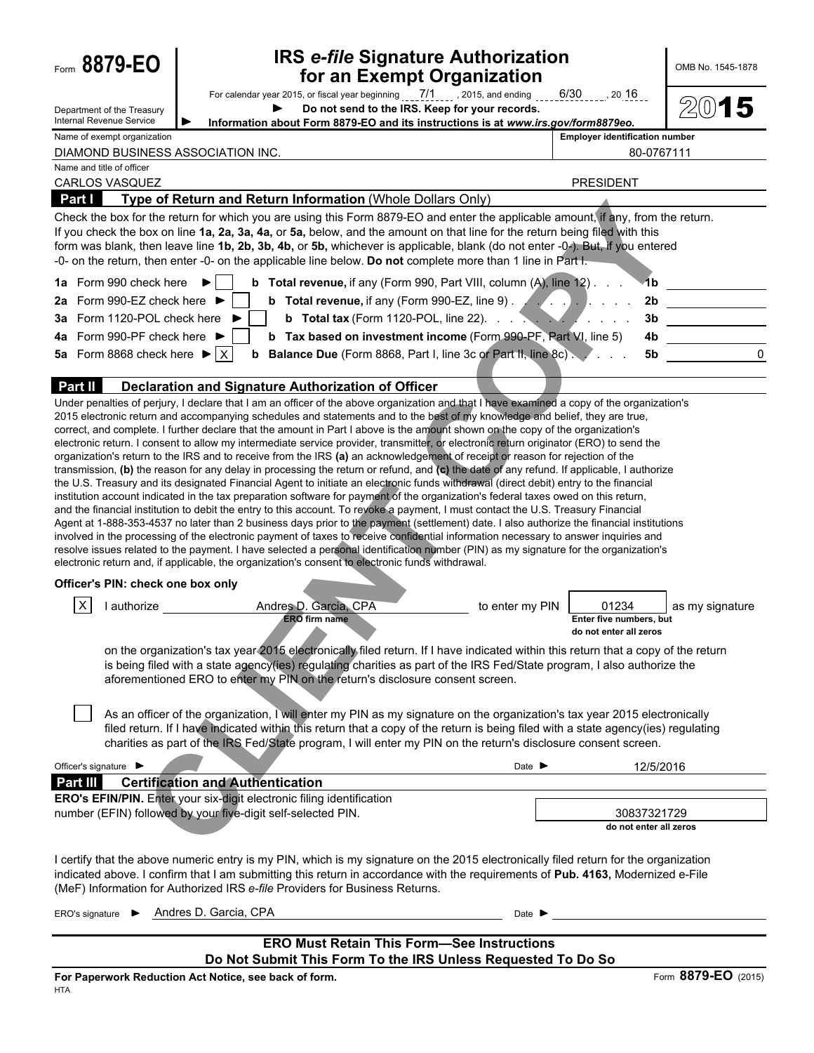| Form 8879-EO                                                     | <b>IRS e-file Signature Authorization</b><br>for an Exempt Organization                                                                                                                                                                                                                                                                                                                                                                                                                                                                                                                                                                                                                                                                                                                                                                                                                                                                                                                                                                                                                                                                                                                                                                                                                                                                                                                                                                                                                                                                                                                                                                                                                                                                                                                 |                                                                               | OMB No. 1545-1878                     |
|------------------------------------------------------------------|-----------------------------------------------------------------------------------------------------------------------------------------------------------------------------------------------------------------------------------------------------------------------------------------------------------------------------------------------------------------------------------------------------------------------------------------------------------------------------------------------------------------------------------------------------------------------------------------------------------------------------------------------------------------------------------------------------------------------------------------------------------------------------------------------------------------------------------------------------------------------------------------------------------------------------------------------------------------------------------------------------------------------------------------------------------------------------------------------------------------------------------------------------------------------------------------------------------------------------------------------------------------------------------------------------------------------------------------------------------------------------------------------------------------------------------------------------------------------------------------------------------------------------------------------------------------------------------------------------------------------------------------------------------------------------------------------------------------------------------------------------------------------------------------|-------------------------------------------------------------------------------|---------------------------------------|
| Department of the Treasury<br><b>Internal Revenue Service</b>    | For calendar year 2015, or fiscal year beginning $\frac{7}{1}$ , $\frac{7}{1}$ , 2015, and ending $\frac{6}{30}$ , $\frac{6}{30}$ , 20 16<br>Do not send to the IRS. Keep for your records.<br>Information about Form 8879-EO and its instructions is at www.irs.gov/form8879eo.                                                                                                                                                                                                                                                                                                                                                                                                                                                                                                                                                                                                                                                                                                                                                                                                                                                                                                                                                                                                                                                                                                                                                                                                                                                                                                                                                                                                                                                                                                        |                                                                               | 2(0)<br>5                             |
| Name of exempt organization<br>DIAMOND BUSINESS ASSOCIATION INC. |                                                                                                                                                                                                                                                                                                                                                                                                                                                                                                                                                                                                                                                                                                                                                                                                                                                                                                                                                                                                                                                                                                                                                                                                                                                                                                                                                                                                                                                                                                                                                                                                                                                                                                                                                                                         | <b>Employer identification number</b>                                         | 80-0767111                            |
| Name and title of officer                                        |                                                                                                                                                                                                                                                                                                                                                                                                                                                                                                                                                                                                                                                                                                                                                                                                                                                                                                                                                                                                                                                                                                                                                                                                                                                                                                                                                                                                                                                                                                                                                                                                                                                                                                                                                                                         |                                                                               |                                       |
| CARLOS VASQUEZ                                                   |                                                                                                                                                                                                                                                                                                                                                                                                                                                                                                                                                                                                                                                                                                                                                                                                                                                                                                                                                                                                                                                                                                                                                                                                                                                                                                                                                                                                                                                                                                                                                                                                                                                                                                                                                                                         | <b>PRESIDENT</b>                                                              |                                       |
| <b>Part I</b>                                                    | Type of Return and Return Information (Whole Dollars Only)<br>Check the box for the return for which you are using this Form 8879-EO and enter the applicable amount, if any, from the return.                                                                                                                                                                                                                                                                                                                                                                                                                                                                                                                                                                                                                                                                                                                                                                                                                                                                                                                                                                                                                                                                                                                                                                                                                                                                                                                                                                                                                                                                                                                                                                                          |                                                                               |                                       |
|                                                                  | If you check the box on line 1a, 2a, 3a, 4a, or 5a, below, and the amount on that line for the return being filed with this<br>form was blank, then leave line 1b, 2b, 3b, 4b, or 5b, whichever is applicable, blank (do not enter -0-). But, if you entered<br>-0- on the return, then enter -0- on the applicable line below. Do not complete more than 1 line in Part I.                                                                                                                                                                                                                                                                                                                                                                                                                                                                                                                                                                                                                                                                                                                                                                                                                                                                                                                                                                                                                                                                                                                                                                                                                                                                                                                                                                                                             |                                                                               |                                       |
| 1a Form 990 check here ▶                                         | <b>b</b> Total revenue, if any (Form 990, Part VIII, column (A), line 12)                                                                                                                                                                                                                                                                                                                                                                                                                                                                                                                                                                                                                                                                                                                                                                                                                                                                                                                                                                                                                                                                                                                                                                                                                                                                                                                                                                                                                                                                                                                                                                                                                                                                                                               |                                                                               | 1 <sub>b</sub>                        |
| Form 990-EZ check here ▶<br>2a                                   | <b>b</b> Total revenue, if any (Form 990-EZ, line 9) $\ldots$ , $\ldots$                                                                                                                                                                                                                                                                                                                                                                                                                                                                                                                                                                                                                                                                                                                                                                                                                                                                                                                                                                                                                                                                                                                                                                                                                                                                                                                                                                                                                                                                                                                                                                                                                                                                                                                |                                                                               | 2 <sub>b</sub>                        |
| Form 1120-POL check here<br>За                                   | <b>b</b> Total tax (Form 1120-POL, line 22). $\ldots$ $\ldots$ $\ldots$ $\ldots$                                                                                                                                                                                                                                                                                                                                                                                                                                                                                                                                                                                                                                                                                                                                                                                                                                                                                                                                                                                                                                                                                                                                                                                                                                                                                                                                                                                                                                                                                                                                                                                                                                                                                                        |                                                                               |                                       |
| 4a Form 990-PF check here ▶                                      | <b>b</b> Tax based on investment income (Form 990-PF, Part VI, line 5)                                                                                                                                                                                                                                                                                                                                                                                                                                                                                                                                                                                                                                                                                                                                                                                                                                                                                                                                                                                                                                                                                                                                                                                                                                                                                                                                                                                                                                                                                                                                                                                                                                                                                                                  |                                                                               | 4b                                    |
| 5a Form 8868 check here $\blacktriangleright$ $ X $              | <b>b</b> Balance Due (Form 8868, Part I, line 3c or Part II, line 8c)                                                                                                                                                                                                                                                                                                                                                                                                                                                                                                                                                                                                                                                                                                                                                                                                                                                                                                                                                                                                                                                                                                                                                                                                                                                                                                                                                                                                                                                                                                                                                                                                                                                                                                                   |                                                                               | 5b                                    |
| Part II                                                          | Declaration and Signature Authorization of Officer                                                                                                                                                                                                                                                                                                                                                                                                                                                                                                                                                                                                                                                                                                                                                                                                                                                                                                                                                                                                                                                                                                                                                                                                                                                                                                                                                                                                                                                                                                                                                                                                                                                                                                                                      |                                                                               |                                       |
|                                                                  | Under penalties of perjury, I declare that I am an officer of the above organization and that I have examined a copy of the organization's<br>2015 electronic return and accompanying schedules and statements and to the best of my knowledge and belief, they are true,<br>correct, and complete. I further declare that the amount in Part I above is the amount shown on the copy of the organization's<br>electronic return. I consent to allow my intermediate service provider, transmitter, or electronic return originator (ERO) to send the<br>organization's return to the IRS and to receive from the IRS (a) an acknowledgement of receipt or reason for rejection of the<br>transmission, (b) the reason for any delay in processing the return or refund, and (c) the date of any refund. If applicable, I authorize<br>the U.S. Treasury and its designated Financial Agent to initiate an electronic funds withdrawal (direct debit) entry to the financial<br>institution account indicated in the tax preparation software for payment of the organization's federal taxes owed on this return,<br>and the financial institution to debit the entry to this account. To revoke a payment, I must contact the U.S. Treasury Financial<br>Agent at 1-888-353-4537 no later than 2 business days prior to the payment (settlement) date. I also authorize the financial institutions<br>involved in the processing of the electronic payment of taxes to receive confidential information necessary to answer inquiries and<br>resolve issues related to the payment. I have selected a personal identification number (PIN) as my signature for the organization's<br>electronic return and, if applicable, the organization's consent to electronic funds withdrawal. |                                                                               |                                       |
| Officer's PIN: check one box only                                |                                                                                                                                                                                                                                                                                                                                                                                                                                                                                                                                                                                                                                                                                                                                                                                                                                                                                                                                                                                                                                                                                                                                                                                                                                                                                                                                                                                                                                                                                                                                                                                                                                                                                                                                                                                         |                                                                               |                                       |
| X<br>l authorize                                                 | Andres D. Garcia, CPA<br><b>ERO</b> firm name<br>on the organization's tax year 2015 electronically filed return. If I have indicated within this return that a copy of the return<br>is being filed with a state agency(ies) regulating charities as part of the IRS Fed/State program, I also authorize the<br>aforementioned ERO to enter my PIN on the return's disclosure consent screen.                                                                                                                                                                                                                                                                                                                                                                                                                                                                                                                                                                                                                                                                                                                                                                                                                                                                                                                                                                                                                                                                                                                                                                                                                                                                                                                                                                                          | 01234<br>to enter my PIN<br>Enter five numbers, but<br>do not enter all zeros | as my signature                       |
|                                                                  | As an officer of the organization, I will enter my PIN as my signature on the organization's tax year 2015 electronically<br>filed return. If I have indicated within this return that a copy of the return is being filed with a state agency(ies) regulating<br>charities as part of the IRS Fed/State program, I will enter my PIN on the return's disclosure consent screen.                                                                                                                                                                                                                                                                                                                                                                                                                                                                                                                                                                                                                                                                                                                                                                                                                                                                                                                                                                                                                                                                                                                                                                                                                                                                                                                                                                                                        |                                                                               |                                       |
| Officer's signature $\blacktriangleright$                        |                                                                                                                                                                                                                                                                                                                                                                                                                                                                                                                                                                                                                                                                                                                                                                                                                                                                                                                                                                                                                                                                                                                                                                                                                                                                                                                                                                                                                                                                                                                                                                                                                                                                                                                                                                                         | Date $\blacktriangleright$                                                    | 12/5/2016                             |
| <b>Part III</b>                                                  | <b>Certification and Authentication</b><br>ERO's EFIN/PIN. Enter your six-digit electronic filing identification                                                                                                                                                                                                                                                                                                                                                                                                                                                                                                                                                                                                                                                                                                                                                                                                                                                                                                                                                                                                                                                                                                                                                                                                                                                                                                                                                                                                                                                                                                                                                                                                                                                                        |                                                                               |                                       |
|                                                                  | number (EFIN) followed by your five-digit self-selected PIN.                                                                                                                                                                                                                                                                                                                                                                                                                                                                                                                                                                                                                                                                                                                                                                                                                                                                                                                                                                                                                                                                                                                                                                                                                                                                                                                                                                                                                                                                                                                                                                                                                                                                                                                            |                                                                               | 30837321729<br>do not enter all zeros |
|                                                                  | I certify that the above numeric entry is my PIN, which is my signature on the 2015 electronically filed return for the organization<br>indicated above. I confirm that I am submitting this return in accordance with the requirements of Pub. 4163, Modernized e-File<br>(MeF) Information for Authorized IRS e-file Providers for Business Returns.                                                                                                                                                                                                                                                                                                                                                                                                                                                                                                                                                                                                                                                                                                                                                                                                                                                                                                                                                                                                                                                                                                                                                                                                                                                                                                                                                                                                                                  |                                                                               |                                       |
| ERO's signature $\blacktriangleright$                            | Andres D. Garcia, CPA                                                                                                                                                                                                                                                                                                                                                                                                                                                                                                                                                                                                                                                                                                                                                                                                                                                                                                                                                                                                                                                                                                                                                                                                                                                                                                                                                                                                                                                                                                                                                                                                                                                                                                                                                                   | Date $\blacksquare$                                                           |                                       |
|                                                                  | <b>ERO Must Retain This Form-See Instructions</b>                                                                                                                                                                                                                                                                                                                                                                                                                                                                                                                                                                                                                                                                                                                                                                                                                                                                                                                                                                                                                                                                                                                                                                                                                                                                                                                                                                                                                                                                                                                                                                                                                                                                                                                                       |                                                                               |                                       |
|                                                                  | Do Not Submit This Form To the IRS Unless Requested To Do So                                                                                                                                                                                                                                                                                                                                                                                                                                                                                                                                                                                                                                                                                                                                                                                                                                                                                                                                                                                                                                                                                                                                                                                                                                                                                                                                                                                                                                                                                                                                                                                                                                                                                                                            |                                                                               |                                       |
|                                                                  | For Paperwork Reduction Act Notice, see back of form.                                                                                                                                                                                                                                                                                                                                                                                                                                                                                                                                                                                                                                                                                                                                                                                                                                                                                                                                                                                                                                                                                                                                                                                                                                                                                                                                                                                                                                                                                                                                                                                                                                                                                                                                   |                                                                               | Form 8879-EO (2015)                   |
| <b>HTA</b>                                                       |                                                                                                                                                                                                                                                                                                                                                                                                                                                                                                                                                                                                                                                                                                                                                                                                                                                                                                                                                                                                                                                                                                                                                                                                                                                                                                                                                                                                                                                                                                                                                                                                                                                                                                                                                                                         |                                                                               |                                       |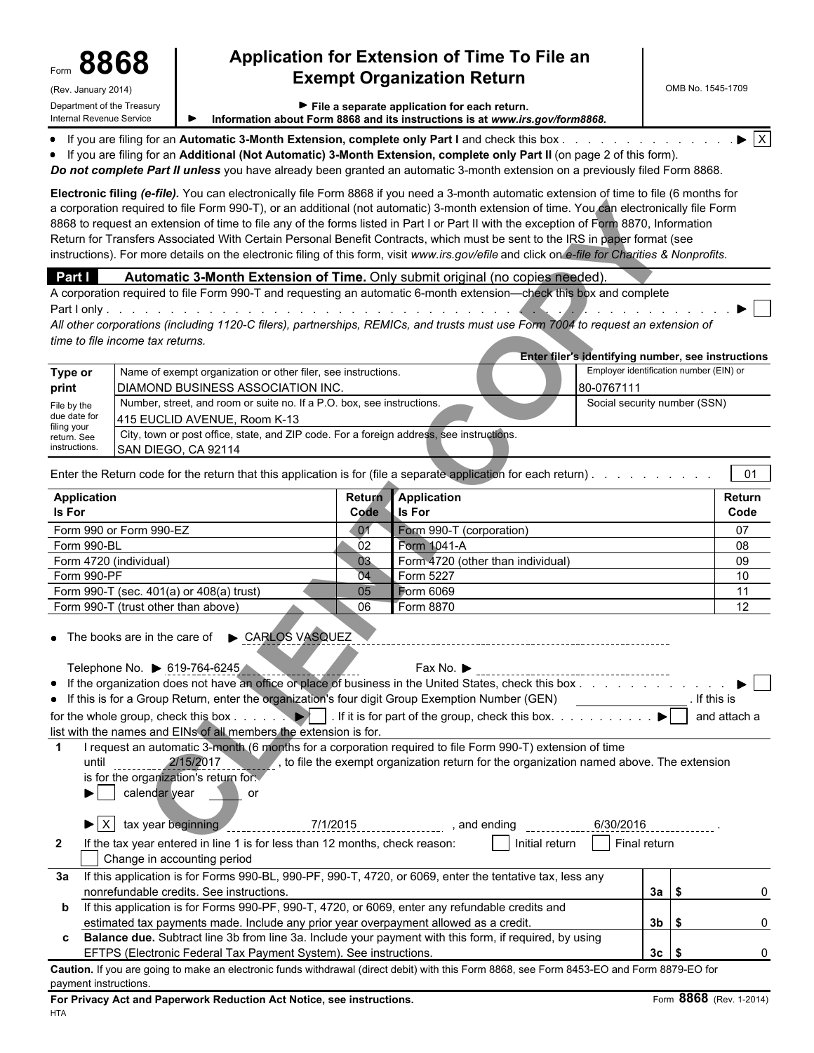## Form **8868 Application for Extension of Time To File an Exempt Organization Return**

| Internal Revenue Service    |                                                                                                                                                                                                                                                                                                                                                                                                                                                                                                                                                                                                                                                                                                                  |          | Information about Form 8868 and its instructions is at www.irs.gov/form8868.             |                                    |                                                    |               |
|-----------------------------|------------------------------------------------------------------------------------------------------------------------------------------------------------------------------------------------------------------------------------------------------------------------------------------------------------------------------------------------------------------------------------------------------------------------------------------------------------------------------------------------------------------------------------------------------------------------------------------------------------------------------------------------------------------------------------------------------------------|----------|------------------------------------------------------------------------------------------|------------------------------------|----------------------------------------------------|---------------|
|                             | • If you are filing for an Automatic 3-Month Extension, complete only Part I and check this box.<br>• If you are filing for an Additional (Not Automatic) 3-Month Extension, complete only Part II (on page 2 of this form).<br>Do not complete Part II unless you have already been granted an automatic 3-month extension on a previously filed Form 8868.                                                                                                                                                                                                                                                                                                                                                     |          |                                                                                          |                                    |                                                    |               |
|                             | Electronic filing (e-file). You can electronically file Form 8868 if you need a 3-month automatic extension of time to file (6 months for<br>a corporation required to file Form 990-T), or an additional (not automatic) 3-month extension of time. You can electronically file Form<br>8868 to request an extension of time to file any of the forms listed in Part I or Part II with the exception of Form 8870, Information<br>Return for Transfers Associated With Certain Personal Benefit Contracts, which must be sent to the IRS in paper format (see<br>instructions). For more details on the electronic filing of this form, visit www.irs.gov/efile and click on e-file for Charities & Nonprofits. |          |                                                                                          |                                    |                                                    |               |
| Part I                      | Automatic 3-Month Extension of Time. Only submit original (no copies needed).                                                                                                                                                                                                                                                                                                                                                                                                                                                                                                                                                                                                                                    |          |                                                                                          |                                    |                                                    |               |
|                             | A corporation required to file Form 990-T and requesting an automatic 6-month extension-check this box and complete<br>All other corporations (including 1120-C filers), partnerships, REMICs, and trusts must use Form 7004 to request an extension of                                                                                                                                                                                                                                                                                                                                                                                                                                                          |          |                                                                                          |                                    |                                                    |               |
|                             | time to file income tax returns.                                                                                                                                                                                                                                                                                                                                                                                                                                                                                                                                                                                                                                                                                 |          |                                                                                          |                                    |                                                    |               |
|                             |                                                                                                                                                                                                                                                                                                                                                                                                                                                                                                                                                                                                                                                                                                                  |          |                                                                                          |                                    | Enter filer's identifying number, see instructions |               |
| Type or                     | Name of exempt organization or other filer, see instructions.                                                                                                                                                                                                                                                                                                                                                                                                                                                                                                                                                                                                                                                    |          |                                                                                          |                                    | Employer identification number (EIN) or            |               |
| print                       | <b>DIAMOND BUSINESS ASSOCIATION INC.</b>                                                                                                                                                                                                                                                                                                                                                                                                                                                                                                                                                                                                                                                                         |          |                                                                                          | 80-0767111                         |                                                    |               |
| File by the<br>due date for | Number, street, and room or suite no. If a P.O. box, see instructions.<br>415 EUCLID AVENUE, Room K-13                                                                                                                                                                                                                                                                                                                                                                                                                                                                                                                                                                                                           |          |                                                                                          |                                    | Social security number (SSN)                       |               |
| filing your<br>return. See  | City, town or post office, state, and ZIP code. For a foreign address, see instructions.                                                                                                                                                                                                                                                                                                                                                                                                                                                                                                                                                                                                                         |          |                                                                                          |                                    |                                                    |               |
| instructions.               | SAN DIEGO, CA 92114                                                                                                                                                                                                                                                                                                                                                                                                                                                                                                                                                                                                                                                                                              |          |                                                                                          |                                    |                                                    |               |
|                             | Enter the Return code for the return that this application is for (file a separate application for each return).                                                                                                                                                                                                                                                                                                                                                                                                                                                                                                                                                                                                 |          |                                                                                          |                                    |                                                    | 01            |
| <b>Application</b>          |                                                                                                                                                                                                                                                                                                                                                                                                                                                                                                                                                                                                                                                                                                                  | Return   | Application                                                                              |                                    |                                                    | <b>Return</b> |
| Is For                      |                                                                                                                                                                                                                                                                                                                                                                                                                                                                                                                                                                                                                                                                                                                  | Code     | <b>Is For</b>                                                                            |                                    |                                                    | Code          |
|                             | Form 990 or Form 990-EZ                                                                                                                                                                                                                                                                                                                                                                                                                                                                                                                                                                                                                                                                                          | $-01$    | Form 990-T (corporation)                                                                 |                                    |                                                    | 07            |
| Form 990-BL                 |                                                                                                                                                                                                                                                                                                                                                                                                                                                                                                                                                                                                                                                                                                                  | 02       | Form 1041-A                                                                              |                                    |                                                    | 08            |
| Form 990-PF                 | Form 4720 (individual)                                                                                                                                                                                                                                                                                                                                                                                                                                                                                                                                                                                                                                                                                           | 03<br>04 | Form 4720 (other than individual)<br>Form 5227                                           |                                    |                                                    | 09<br>10      |
|                             | Form 990-T (sec. 401(a) or 408(a) trust)                                                                                                                                                                                                                                                                                                                                                                                                                                                                                                                                                                                                                                                                         | 05       | Form 6069                                                                                |                                    |                                                    | 11            |
|                             | Form 990-T (trust other than above)                                                                                                                                                                                                                                                                                                                                                                                                                                                                                                                                                                                                                                                                              | 06       | Form 8870                                                                                |                                    |                                                    | 12            |
|                             | • The books are in the care of $\triangleright$ CARLOS VASQUEZ                                                                                                                                                                                                                                                                                                                                                                                                                                                                                                                                                                                                                                                   |          |                                                                                          |                                    |                                                    |               |
|                             | Telephone No. ▶ 619-764-6245                                                                                                                                                                                                                                                                                                                                                                                                                                                                                                                                                                                                                                                                                     |          |                                                                                          |                                    |                                                    |               |
|                             | • If the organization does not have an office or place of business in the United States, check this box                                                                                                                                                                                                                                                                                                                                                                                                                                                                                                                                                                                                          |          |                                                                                          |                                    |                                                    |               |
|                             | • If this is for a Group Return, enter the organization's four digit Group Exemption Number (GEN)                                                                                                                                                                                                                                                                                                                                                                                                                                                                                                                                                                                                                |          |                                                                                          |                                    |                                                    | . If this is  |
|                             |                                                                                                                                                                                                                                                                                                                                                                                                                                                                                                                                                                                                                                                                                                                  |          |                                                                                          |                                    |                                                    | and attach a  |
|                             | list with the names and EINs of all members the extension is for.                                                                                                                                                                                                                                                                                                                                                                                                                                                                                                                                                                                                                                                |          |                                                                                          |                                    |                                                    |               |
| $\mathbf 1$                 | I request an automatic 3-month (6 months for a corporation required to file Form 990-T) extension of time                                                                                                                                                                                                                                                                                                                                                                                                                                                                                                                                                                                                        |          |                                                                                          |                                    |                                                    |               |
|                             | until _________ 2/15/2017<br>is for the organization's return for<br>calendar year<br>or                                                                                                                                                                                                                                                                                                                                                                                                                                                                                                                                                                                                                         |          | , to file the exempt organization return for the organization named above. The extension |                                    |                                                    |               |
|                             | $\blacktriangleright$ X tax year beginning                                                                                                                                                                                                                                                                                                                                                                                                                                                                                                                                                                                                                                                                       | 7/1/2015 |                                                                                          | 6/30/2016                          |                                                    |               |
| $\mathbf{2}$                | If the tax year entered in line 1 is for less than 12 months, check reason:<br>Change in accounting period                                                                                                                                                                                                                                                                                                                                                                                                                                                                                                                                                                                                       |          | Initial return                                                                           | $\lceil \cdot \rceil$ Final return |                                                    |               |
| За                          | If this application is for Forms 990-BL, 990-PF, 990-T, 4720, or 6069, enter the tentative tax, less any                                                                                                                                                                                                                                                                                                                                                                                                                                                                                                                                                                                                         |          |                                                                                          |                                    |                                                    |               |
|                             | nonrefundable credits. See instructions.                                                                                                                                                                                                                                                                                                                                                                                                                                                                                                                                                                                                                                                                         |          |                                                                                          |                                    | $3a$ $\sqrt{5}$                                    |               |
| b                           | If this application is for Forms 990-PF, 990-T, 4720, or 6069, enter any refundable credits and                                                                                                                                                                                                                                                                                                                                                                                                                                                                                                                                                                                                                  |          |                                                                                          |                                    |                                                    |               |

**c Balance due.** Subtract line 3b from line 3a. Include your payment with this form, if required, by using

estimated tax payments made. Include any prior year overpayment allowed as a credit. **3b \$** 3b **\$** 0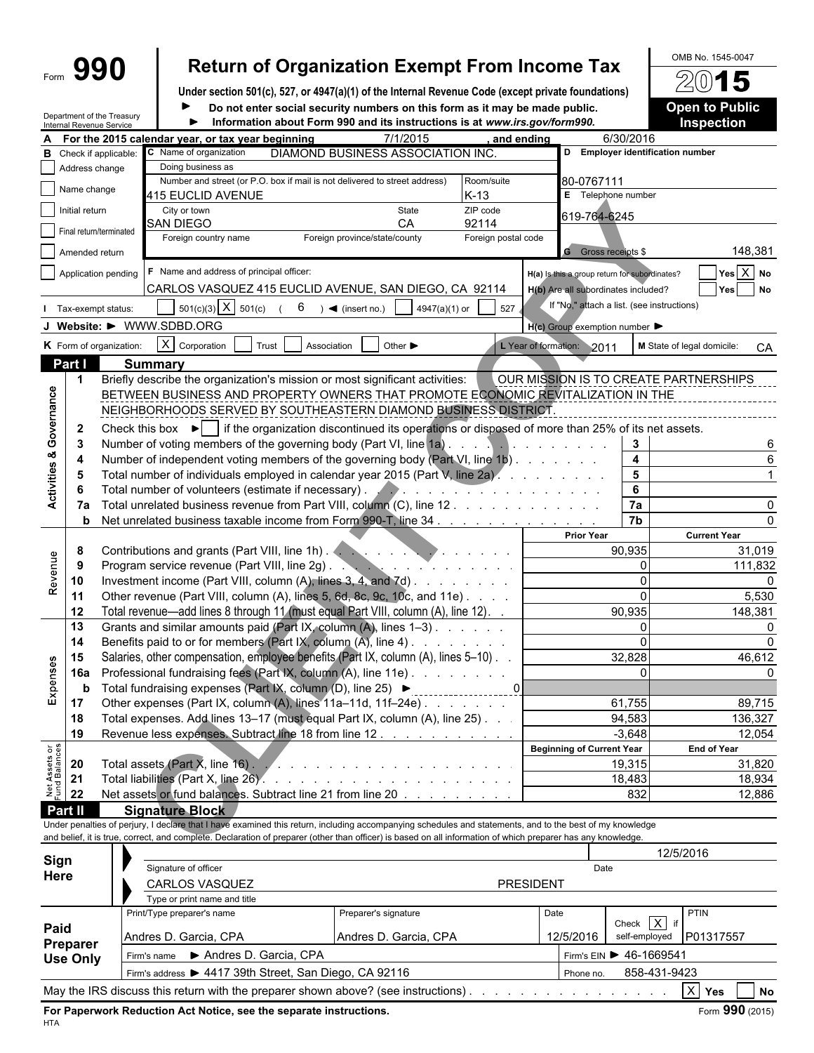|                           |                          | 990                                                           |                                                                                                                                                                                                                                                                                                                          |       |                                   |                               |                             |                                                                                                                       |            | <b>Return of Organization Exempt From Income Tax</b> |                         | OMB No. 1545-0047                     |                       |
|---------------------------|--------------------------|---------------------------------------------------------------|--------------------------------------------------------------------------------------------------------------------------------------------------------------------------------------------------------------------------------------------------------------------------------------------------------------------------|-------|-----------------------------------|-------------------------------|-----------------------------|-----------------------------------------------------------------------------------------------------------------------|------------|------------------------------------------------------|-------------------------|---------------------------------------|-----------------------|
|                           |                          |                                                               | Under section 501(c), 527, or 4947(a)(1) of the Internal Revenue Code (except private foundations)                                                                                                                                                                                                                       |       |                                   |                               |                             |                                                                                                                       |            |                                                      |                         | 2015                                  |                       |
|                           |                          |                                                               |                                                                                                                                                                                                                                                                                                                          |       |                                   |                               |                             | Do not enter social security numbers on this form as it may be made public.                                           |            |                                                      |                         | <b>Open to Public</b>                 |                       |
|                           | Internal Revenue Service | Department of the Treasury                                    |                                                                                                                                                                                                                                                                                                                          |       |                                   |                               |                             | Information about Form 990 and its instructions is at www.irs.gov/form990.                                            |            |                                                      |                         | Inspection                            |                       |
|                           |                          |                                                               | A For the 2015 calendar year, or tax year beginning                                                                                                                                                                                                                                                                      |       |                                   |                               | 7/1/2015                    |                                                                                                                       | and ending |                                                      | 6/30/2016               |                                       |                       |
| в                         |                          | Check if applicable:                                          | C Name of organization                                                                                                                                                                                                                                                                                                   |       | DIAMOND BUSINESS ASSOCIATION INC. |                               |                             |                                                                                                                       |            |                                                      |                         | D Employer identification number      |                       |
|                           | Address change           |                                                               | Doing business as                                                                                                                                                                                                                                                                                                        |       |                                   |                               |                             |                                                                                                                       |            |                                                      |                         |                                       |                       |
|                           | Name change              |                                                               | Number and street (or P.O. box if mail is not delivered to street address)<br>415 EUCLID AVENUE                                                                                                                                                                                                                          |       |                                   |                               |                             | Room/suite<br>$K-13$                                                                                                  |            | 80-0767111<br>E Telephone number                     |                         |                                       |                       |
|                           | Initial return           |                                                               | City or town                                                                                                                                                                                                                                                                                                             |       |                                   |                               | State                       | ZIP code                                                                                                              |            | 619-764-6245                                         |                         |                                       |                       |
|                           |                          | Final return/terminated                                       | <b>SAN DIEGO</b><br>Foreign country name                                                                                                                                                                                                                                                                                 |       |                                   | Foreign province/state/county | CA                          | 92114<br>Foreign postal code                                                                                          |            |                                                      |                         |                                       |                       |
|                           | Amended return           |                                                               |                                                                                                                                                                                                                                                                                                                          |       |                                   |                               |                             |                                                                                                                       |            | <b>G</b> Gross receipts \$                           |                         |                                       | 148,381               |
|                           |                          | Application pending                                           | F Name and address of principal officer:                                                                                                                                                                                                                                                                                 |       |                                   |                               |                             |                                                                                                                       |            | H(a) is this a group return for subordinates?        |                         |                                       | $Yes \overline{X} No$ |
|                           |                          |                                                               | CARLOS VASQUEZ 415 EUCLID AVENUE, SAN DIEGO, CA 92114                                                                                                                                                                                                                                                                    |       |                                   |                               |                             |                                                                                                                       |            | H(b) Are all subordinates included?                  |                         | Yes                                   | <b>No</b>             |
|                           |                          | Tax-exempt status:                                            | $501(c)(3)$ X $501(c)$                                                                                                                                                                                                                                                                                                   |       | 6                                 | $\rightarrow$ (insert no.)    | 4947(a)(1) or               | 527                                                                                                                   |            | If "No," attach a list. (see instructions)           |                         |                                       |                       |
|                           |                          |                                                               | J Website: $\blacktriangleright$ WWW.SDBD.ORG                                                                                                                                                                                                                                                                            |       |                                   |                               |                             |                                                                                                                       |            | $H(c)$ Group exemption number                        |                         |                                       |                       |
|                           |                          | K Form of organization:                                       | $X$ Corporation                                                                                                                                                                                                                                                                                                          | Trust | Association                       |                               | Other $\blacktriangleright$ |                                                                                                                       |            | L Year of formation: 2011                            |                         | M State of legal domicile:            | CA                    |
|                           | Part I                   |                                                               | <b>Summary</b>                                                                                                                                                                                                                                                                                                           |       |                                   |                               |                             |                                                                                                                       |            |                                                      |                         |                                       |                       |
|                           |                          |                                                               | Briefly describe the organization's mission or most significant activities:                                                                                                                                                                                                                                              |       |                                   |                               |                             |                                                                                                                       |            |                                                      |                         | OUR MISSION IS TO CREATE PARTNERSHIPS |                       |
|                           |                          |                                                               | BETWEEN BUSINESS AND PROPERTY OWNERS THAT PROMOTE ECONOMIC REVITALIZATION IN THE                                                                                                                                                                                                                                         |       |                                   |                               |                             |                                                                                                                       |            |                                                      |                         |                                       |                       |
| Governance                |                          |                                                               | NEIGHBORHOODS SERVED BY SOUTHEASTERN DIAMOND BUSINESS DISTRICT                                                                                                                                                                                                                                                           |       |                                   |                               |                             |                                                                                                                       |            |                                                      |                         |                                       |                       |
|                           | $\mathbf{2}$             |                                                               | Check this box $\blacktriangleright$   if the organization discontinued its operations or disposed of more than 25% of its net assets.                                                                                                                                                                                   |       |                                   |                               |                             |                                                                                                                       |            |                                                      |                         |                                       |                       |
|                           | 3                        |                                                               |                                                                                                                                                                                                                                                                                                                          |       |                                   |                               |                             |                                                                                                                       |            |                                                      | $\mathbf{3}$            |                                       |                       |
| ಹ                         | 4                        |                                                               | Number of independent voting members of the governing body (Part VI, line 1b)                                                                                                                                                                                                                                            |       |                                   |                               |                             |                                                                                                                       |            |                                                      | $\overline{\mathbf{4}}$ |                                       |                       |
|                           | 5                        |                                                               | Total number of individuals employed in calendar year 2015 (Part V, line 2a).                                                                                                                                                                                                                                            |       |                                   |                               |                             |                                                                                                                       |            |                                                      | 5                       |                                       |                       |
| Activities                |                          |                                                               | Total number of volunteers (estimate if necessary).                                                                                                                                                                                                                                                                      |       |                                   |                               |                             | .                                                                                                                     |            |                                                      | 6                       |                                       |                       |
|                           | 7a                       |                                                               | Total unrelated business revenue from Part VIII, column (C), line 12.                                                                                                                                                                                                                                                    |       |                                   |                               |                             |                                                                                                                       |            |                                                      | 7a                      |                                       |                       |
|                           | b                        |                                                               | Net unrelated business taxable income from Form 990-T, line 34                                                                                                                                                                                                                                                           |       |                                   |                               |                             |                                                                                                                       |            |                                                      | 7b                      |                                       |                       |
|                           |                          |                                                               |                                                                                                                                                                                                                                                                                                                          |       |                                   |                               |                             |                                                                                                                       |            | <b>Prior Year</b>                                    |                         | <b>Current Year</b>                   |                       |
|                           | 8                        |                                                               |                                                                                                                                                                                                                                                                                                                          |       |                                   |                               |                             |                                                                                                                       |            |                                                      | 90,935                  |                                       | 31,019                |
| Revenue                   |                          |                                                               | Program service revenue (Part VIII, line 2g).                                                                                                                                                                                                                                                                            |       |                                   |                               |                             | <u> De anticipa de la contrada de la contrada de la contrada de la contrada de la contrada de la contrada de la c</u> |            |                                                      | 0                       |                                       | 111,832               |
|                           | 10                       |                                                               | Investment income (Part VIII, column (A), lines 3, 4, and 7d)                                                                                                                                                                                                                                                            |       |                                   |                               |                             |                                                                                                                       |            |                                                      | $\Omega$                |                                       |                       |
|                           | 11                       |                                                               | Other revenue (Part VIII, column (A), lines 5, 6d, 8c, 9c, 10c, and 11e)                                                                                                                                                                                                                                                 |       |                                   |                               |                             |                                                                                                                       |            |                                                      |                         |                                       | 5,530                 |
|                           | 12                       |                                                               | Total revenue—add lines 8 through 11 (must equal Part VIII, column (A), line 12). .                                                                                                                                                                                                                                      |       |                                   |                               |                             |                                                                                                                       |            |                                                      | 90,935                  |                                       | 148,381               |
|                           | 13                       |                                                               | Grants and similar amounts paid (Part IX, column $(A)$ , lines $1-3$ ).                                                                                                                                                                                                                                                  |       |                                   |                               |                             |                                                                                                                       |            |                                                      | 0                       |                                       | O                     |
|                           | 14                       |                                                               | Benefits paid to or for members (Part IX, column (A), line 4)                                                                                                                                                                                                                                                            |       |                                   |                               |                             |                                                                                                                       |            |                                                      |                         |                                       |                       |
|                           | 15                       |                                                               | Salaries, other compensation, employee benefits (Part IX, column (A), lines 5-10).                                                                                                                                                                                                                                       |       |                                   |                               |                             |                                                                                                                       |            |                                                      | 32,828                  |                                       | 46,612                |
| Expenses                  | 16a                      |                                                               | Professional fundraising fees (Part IX, column (A), line 11e)                                                                                                                                                                                                                                                            |       |                                   |                               |                             |                                                                                                                       |            |                                                      | 0                       |                                       |                       |
|                           | b                        |                                                               |                                                                                                                                                                                                                                                                                                                          |       |                                   |                               |                             |                                                                                                                       |            |                                                      |                         |                                       |                       |
|                           | 17                       | Other expenses (Part IX, column (A), lines 11a-11d, 11f-24e). |                                                                                                                                                                                                                                                                                                                          |       | 61,755                            |                               |                             | 89,715                                                                                                                |            |                                                      |                         |                                       |                       |
|                           | 18                       |                                                               | Total expenses. Add lines 13-17 (must equal Part IX, column (A), line 25).                                                                                                                                                                                                                                               |       |                                   |                               |                             |                                                                                                                       |            |                                                      | 94,583                  |                                       | 136,327               |
|                           | 19                       |                                                               | Revenue less expenses. Subtract line 18 from line 12.                                                                                                                                                                                                                                                                    |       |                                   |                               |                             |                                                                                                                       |            |                                                      | $-3,648$                |                                       | 12,054                |
| or<br>ces                 |                          |                                                               |                                                                                                                                                                                                                                                                                                                          |       |                                   |                               |                             |                                                                                                                       |            | <b>Beginning of Current Year</b>                     |                         | <b>End of Year</b>                    |                       |
|                           | 20                       |                                                               |                                                                                                                                                                                                                                                                                                                          |       |                                   |                               |                             |                                                                                                                       |            |                                                      | 19,315                  |                                       | 31,820                |
| Net Assets<br>Fund Balanc | 21                       |                                                               |                                                                                                                                                                                                                                                                                                                          |       |                                   |                               |                             |                                                                                                                       |            |                                                      | 18,483                  |                                       | 18,934                |
|                           | 22                       |                                                               | Net assets or fund balances. Subtract line 21 from line 20                                                                                                                                                                                                                                                               |       |                                   |                               |                             |                                                                                                                       |            |                                                      | 832                     |                                       | 12,886                |
|                           | Part II                  |                                                               | <b>Signature Block</b>                                                                                                                                                                                                                                                                                                   |       |                                   |                               |                             |                                                                                                                       |            |                                                      |                         |                                       |                       |
|                           |                          |                                                               | Under penalties of perjury, I declare that I have examined this return, including accompanying schedules and statements, and to the best of my knowledge<br>and belief, it is true, correct, and complete. Declaration of preparer (other than officer) is based on all information of which preparer has any knowledge. |       |                                   |                               |                             |                                                                                                                       |            |                                                      |                         |                                       |                       |
|                           |                          |                                                               |                                                                                                                                                                                                                                                                                                                          |       |                                   |                               |                             |                                                                                                                       |            |                                                      |                         | 12/5/2016                             |                       |
| Sign                      |                          |                                                               | Signature of officer                                                                                                                                                                                                                                                                                                     |       |                                   |                               |                             |                                                                                                                       |            | Date                                                 |                         |                                       |                       |
| Here                      |                          |                                                               |                                                                                                                                                                                                                                                                                                                          |       |                                   |                               |                             |                                                                                                                       |            |                                                      |                         |                                       |                       |

| <br>Paid<br>Preparer<br><b>Use Only</b> | <b>CARLOS VASQUEZ</b>                                  |                                                                                    | <b>PRESIDENT</b> |                                             |
|-----------------------------------------|--------------------------------------------------------|------------------------------------------------------------------------------------|------------------|---------------------------------------------|
|                                         | Type or print name and title                           |                                                                                    |                  |                                             |
|                                         | Print/Type preparer's name                             | Preparer's signature                                                               | Date             | <b>PTIN</b><br>Check $X$<br>if <sub>1</sub> |
|                                         | Andres D. Garcia, CPA                                  | Andres D. Garcia, CPA                                                              | 12/5/2016        | self-employed<br>P01317557                  |
|                                         | Andres D. Garcia, CPA<br>Firm's name                   |                                                                                    |                  | Firm's EIN > 46-1669541                     |
|                                         | Firm's address > 4417 39th Street, San Diego, CA 92116 |                                                                                    | Phone no.        | 858-431-9423                                |
|                                         |                                                        | May the IRS discuss this return with the preparer shown above? (see instructions). |                  | X<br>Yes<br><b>No</b>                       |

**For Paperwork Reduction Act Notice, see the separate instructions.** The setting of the separate instructions of the separate instructions. HTA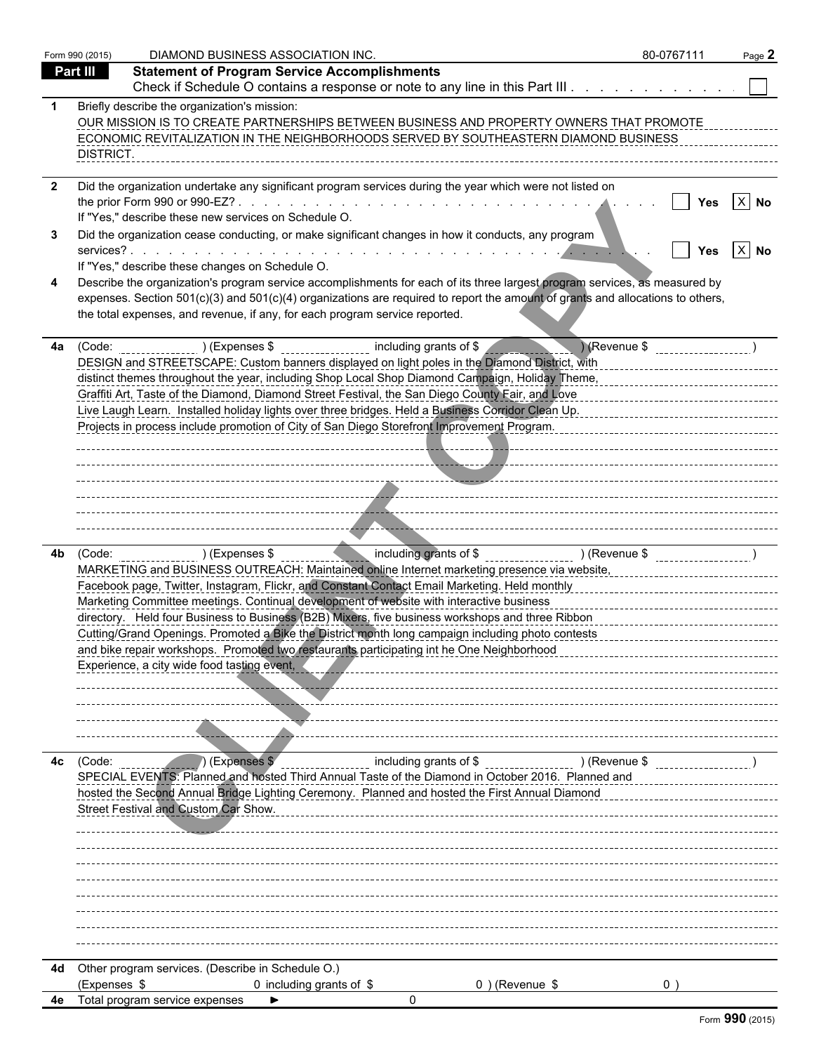| Part III<br><b>Statement of Program Service Accomplishments</b><br>Check if Schedule O contains a response or note to any line in this Part III<br>Briefly describe the organization's mission:<br>OUR MISSION IS TO CREATE PARTNERSHIPS BETWEEN BUSINESS AND PROPERTY OWNERS THAT PROMOTE<br>ECONOMIC REVITALIZATION IN THE NEIGHBORHOODS SERVED BY SOUTHEASTERN DIAMOND BUSINESS<br>DISTRICT.<br>Did the organization undertake any significant program services during the year which were not listed on<br>$X$ No<br>Yes<br>If "Yes," describe these new services on Schedule O.<br>Did the organization cease conducting, or make significant changes in how it conducts, any program<br>$ X $ No<br>Yes<br>If "Yes," describe these changes on Schedule O.<br>Describe the organization's program service accomplishments for each of its three largest program services, as measured by<br>expenses. Section 501(c)(3) and 501(c)(4) organizations are required to report the amount of grants and allocations to others,<br>the total expenses, and revenue, if any, for each program service reported.<br>Revenue \$<br>(Code: ) (Expenses \$<br>including grants of \$<br>DESIGN and STREETSCAPE: Custom banners displayed on light poles in the Diamond District, with<br>distinct themes throughout the year, including Shop Local Shop Diamond Campaign, Holiday Theme,<br>Graffiti Art, Taste of the Diamond, Diamond Street Festival, the San Diego County Fair, and Love<br>Live Laugh Learn. Installed holiday lights over three bridges. Held a Business Corridor Clean Up.<br>Projects in process include promotion of City of San Diego Storefront Improvement Program.<br>ncluding grants of \$ ___________________ ) (Revenue \$ ___________________ )<br>) (Expenses \$<br>(Code: will also a face of the control of the control of the control of the control of the control of the control of the control of the control of the control of the control of the control of the control of the control of<br>MARKETING and BUSINESS OUTREACH: Maintained online Internet marketing presence via website, encontrary and an<br>Facebook page, Twitter, Instagram, Flickr, and Constant Contact Email Marketing. Held monthly<br>Marketing Committee meetings. Continual development of website with interactive business<br>directory. Held four Business to Business (B2B) Mixers, five business workshops and three Ribbon<br>Cutting/Grand Openings. Promoted a Bike the District month long campaign including photo contests<br>and bike repair workshops. Promoted two restaurants participating int he One Neighborhood<br>Experience, a city wide food tasting event,<br>) (Expenses \$<br>including grants of \$<br>) (Revenue \$<br>(Code:<br>SPECIAL EVENTS: Planned and hosted Third Annual Taste of the Diamond in October 2016. Planned and<br>hosted the Second Annual Bridge Lighting Ceremony. Planned and hosted the First Annual Diamond<br>Street Festival and Custom Car Show.<br>Other program services. (Describe in Schedule O.)<br>(Expenses \$<br>0 including grants of \$<br>$0$ ) (Revenue \$<br>0 <sup>1</sup><br>Total program service expenses<br>0 |    | Form 990 (2015) | DIAMOND BUSINESS ASSOCIATION INC. | 80-0767111 | Page 2 |
|---------------------------------------------------------------------------------------------------------------------------------------------------------------------------------------------------------------------------------------------------------------------------------------------------------------------------------------------------------------------------------------------------------------------------------------------------------------------------------------------------------------------------------------------------------------------------------------------------------------------------------------------------------------------------------------------------------------------------------------------------------------------------------------------------------------------------------------------------------------------------------------------------------------------------------------------------------------------------------------------------------------------------------------------------------------------------------------------------------------------------------------------------------------------------------------------------------------------------------------------------------------------------------------------------------------------------------------------------------------------------------------------------------------------------------------------------------------------------------------------------------------------------------------------------------------------------------------------------------------------------------------------------------------------------------------------------------------------------------------------------------------------------------------------------------------------------------------------------------------------------------------------------------------------------------------------------------------------------------------------------------------------------------------------------------------------------------------------------------------------------------------------------------------------------------------------------------------------------------------------------------------------------------------------------------------------------------------------------------------------------------------------------------------------------------------------------------------------------------------------------------------------------------------------------------------------------------------------------------------------------------------------------------------------------------------------------------------------------------------------------------------------------------------------------------------------------------------------------------------------------------------------------------------------------------------------------------------------------------------------------------------------------------------------------------------------------------------------------------------------------------------------------------------------------------------------------------|----|-----------------|-----------------------------------|------------|--------|
|                                                                                                                                                                                                                                                                                                                                                                                                                                                                                                                                                                                                                                                                                                                                                                                                                                                                                                                                                                                                                                                                                                                                                                                                                                                                                                                                                                                                                                                                                                                                                                                                                                                                                                                                                                                                                                                                                                                                                                                                                                                                                                                                                                                                                                                                                                                                                                                                                                                                                                                                                                                                                                                                                                                                                                                                                                                                                                                                                                                                                                                                                                                                                                                                         |    |                 |                                   |            |        |
|                                                                                                                                                                                                                                                                                                                                                                                                                                                                                                                                                                                                                                                                                                                                                                                                                                                                                                                                                                                                                                                                                                                                                                                                                                                                                                                                                                                                                                                                                                                                                                                                                                                                                                                                                                                                                                                                                                                                                                                                                                                                                                                                                                                                                                                                                                                                                                                                                                                                                                                                                                                                                                                                                                                                                                                                                                                                                                                                                                                                                                                                                                                                                                                                         |    |                 |                                   |            |        |
|                                                                                                                                                                                                                                                                                                                                                                                                                                                                                                                                                                                                                                                                                                                                                                                                                                                                                                                                                                                                                                                                                                                                                                                                                                                                                                                                                                                                                                                                                                                                                                                                                                                                                                                                                                                                                                                                                                                                                                                                                                                                                                                                                                                                                                                                                                                                                                                                                                                                                                                                                                                                                                                                                                                                                                                                                                                                                                                                                                                                                                                                                                                                                                                                         |    |                 |                                   |            |        |
|                                                                                                                                                                                                                                                                                                                                                                                                                                                                                                                                                                                                                                                                                                                                                                                                                                                                                                                                                                                                                                                                                                                                                                                                                                                                                                                                                                                                                                                                                                                                                                                                                                                                                                                                                                                                                                                                                                                                                                                                                                                                                                                                                                                                                                                                                                                                                                                                                                                                                                                                                                                                                                                                                                                                                                                                                                                                                                                                                                                                                                                                                                                                                                                                         |    |                 |                                   |            |        |
|                                                                                                                                                                                                                                                                                                                                                                                                                                                                                                                                                                                                                                                                                                                                                                                                                                                                                                                                                                                                                                                                                                                                                                                                                                                                                                                                                                                                                                                                                                                                                                                                                                                                                                                                                                                                                                                                                                                                                                                                                                                                                                                                                                                                                                                                                                                                                                                                                                                                                                                                                                                                                                                                                                                                                                                                                                                                                                                                                                                                                                                                                                                                                                                                         |    |                 |                                   |            |        |
|                                                                                                                                                                                                                                                                                                                                                                                                                                                                                                                                                                                                                                                                                                                                                                                                                                                                                                                                                                                                                                                                                                                                                                                                                                                                                                                                                                                                                                                                                                                                                                                                                                                                                                                                                                                                                                                                                                                                                                                                                                                                                                                                                                                                                                                                                                                                                                                                                                                                                                                                                                                                                                                                                                                                                                                                                                                                                                                                                                                                                                                                                                                                                                                                         |    |                 |                                   |            |        |
|                                                                                                                                                                                                                                                                                                                                                                                                                                                                                                                                                                                                                                                                                                                                                                                                                                                                                                                                                                                                                                                                                                                                                                                                                                                                                                                                                                                                                                                                                                                                                                                                                                                                                                                                                                                                                                                                                                                                                                                                                                                                                                                                                                                                                                                                                                                                                                                                                                                                                                                                                                                                                                                                                                                                                                                                                                                                                                                                                                                                                                                                                                                                                                                                         | 4a |                 |                                   |            |        |
|                                                                                                                                                                                                                                                                                                                                                                                                                                                                                                                                                                                                                                                                                                                                                                                                                                                                                                                                                                                                                                                                                                                                                                                                                                                                                                                                                                                                                                                                                                                                                                                                                                                                                                                                                                                                                                                                                                                                                                                                                                                                                                                                                                                                                                                                                                                                                                                                                                                                                                                                                                                                                                                                                                                                                                                                                                                                                                                                                                                                                                                                                                                                                                                                         |    |                 |                                   |            |        |
|                                                                                                                                                                                                                                                                                                                                                                                                                                                                                                                                                                                                                                                                                                                                                                                                                                                                                                                                                                                                                                                                                                                                                                                                                                                                                                                                                                                                                                                                                                                                                                                                                                                                                                                                                                                                                                                                                                                                                                                                                                                                                                                                                                                                                                                                                                                                                                                                                                                                                                                                                                                                                                                                                                                                                                                                                                                                                                                                                                                                                                                                                                                                                                                                         | 4b |                 |                                   |            |        |
|                                                                                                                                                                                                                                                                                                                                                                                                                                                                                                                                                                                                                                                                                                                                                                                                                                                                                                                                                                                                                                                                                                                                                                                                                                                                                                                                                                                                                                                                                                                                                                                                                                                                                                                                                                                                                                                                                                                                                                                                                                                                                                                                                                                                                                                                                                                                                                                                                                                                                                                                                                                                                                                                                                                                                                                                                                                                                                                                                                                                                                                                                                                                                                                                         | 4с |                 |                                   |            |        |
|                                                                                                                                                                                                                                                                                                                                                                                                                                                                                                                                                                                                                                                                                                                                                                                                                                                                                                                                                                                                                                                                                                                                                                                                                                                                                                                                                                                                                                                                                                                                                                                                                                                                                                                                                                                                                                                                                                                                                                                                                                                                                                                                                                                                                                                                                                                                                                                                                                                                                                                                                                                                                                                                                                                                                                                                                                                                                                                                                                                                                                                                                                                                                                                                         | 4d |                 |                                   |            |        |
|                                                                                                                                                                                                                                                                                                                                                                                                                                                                                                                                                                                                                                                                                                                                                                                                                                                                                                                                                                                                                                                                                                                                                                                                                                                                                                                                                                                                                                                                                                                                                                                                                                                                                                                                                                                                                                                                                                                                                                                                                                                                                                                                                                                                                                                                                                                                                                                                                                                                                                                                                                                                                                                                                                                                                                                                                                                                                                                                                                                                                                                                                                                                                                                                         |    |                 |                                   |            |        |
|                                                                                                                                                                                                                                                                                                                                                                                                                                                                                                                                                                                                                                                                                                                                                                                                                                                                                                                                                                                                                                                                                                                                                                                                                                                                                                                                                                                                                                                                                                                                                                                                                                                                                                                                                                                                                                                                                                                                                                                                                                                                                                                                                                                                                                                                                                                                                                                                                                                                                                                                                                                                                                                                                                                                                                                                                                                                                                                                                                                                                                                                                                                                                                                                         |    |                 |                                   |            |        |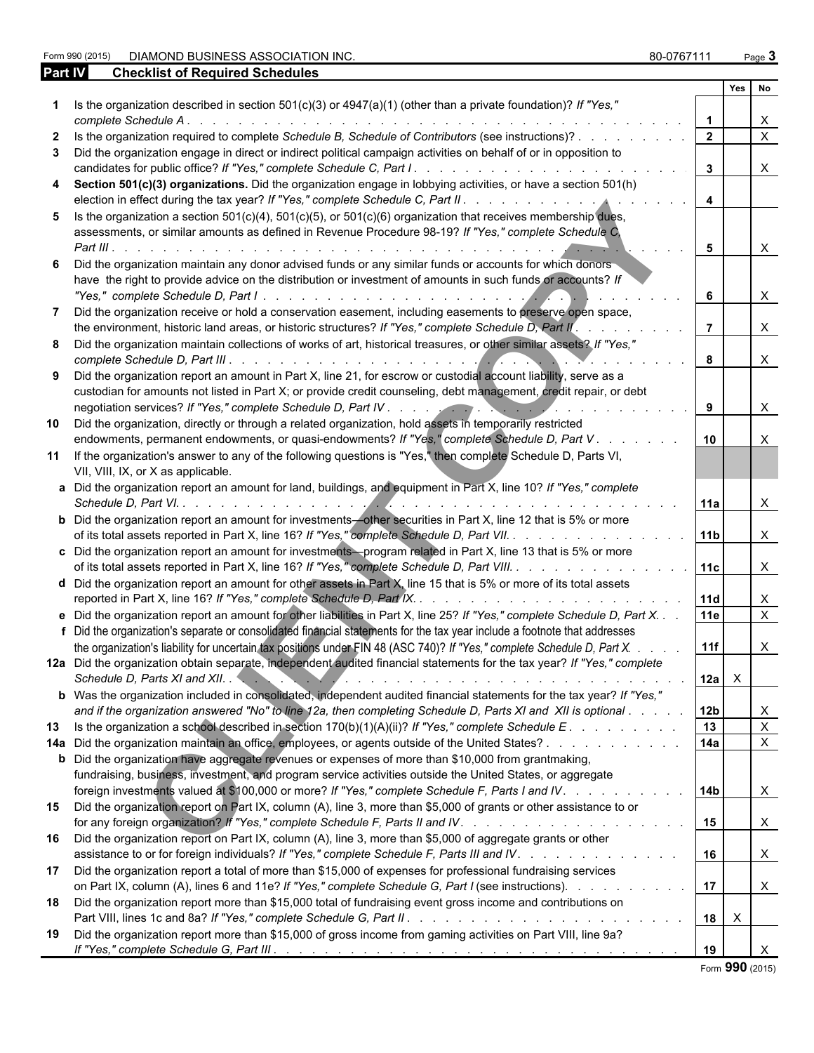Form 2015 **DIAMOND BUSINESS ASSOCIATION INC.** And the set of the set of the set of the set of the set of the set of the set of the set of the set of the set of the set of the set of the set of the set of the set of the set

| Part IV | <b>Checklist of Required Schedules</b>                                                                                                                                                                                                                                                                                                                                                                                     |                 |              |                           |
|---------|----------------------------------------------------------------------------------------------------------------------------------------------------------------------------------------------------------------------------------------------------------------------------------------------------------------------------------------------------------------------------------------------------------------------------|-----------------|--------------|---------------------------|
|         |                                                                                                                                                                                                                                                                                                                                                                                                                            |                 | Yes          | No                        |
|         | Is the organization described in section $501(c)(3)$ or $4947(a)(1)$ (other than a private foundation)? If "Yes,"<br>complete Schedule A.                                                                                                                                                                                                                                                                                  |                 |              |                           |
|         | Is the organization required to complete Schedule B, Schedule of Contributors (see instructions)?                                                                                                                                                                                                                                                                                                                          | $\mathbf{2}$    |              | $\times$                  |
|         | Did the organization engage in direct or indirect political campaign activities on behalf of or in opposition to                                                                                                                                                                                                                                                                                                           |                 |              |                           |
|         |                                                                                                                                                                                                                                                                                                                                                                                                                            | $\mathbf{3}$    |              | $\mathsf{X}$              |
|         | Section 501(c)(3) organizations. Did the organization engage in lobbying activities, or have a section 501(h)                                                                                                                                                                                                                                                                                                              | $\overline{4}$  |              |                           |
|         | Is the organization a section $501(c)(4)$ , $501(c)(5)$ , or $501(c)(6)$ organization that receives membership dues,<br>assessments, or similar amounts as defined in Revenue Procedure 98-19? If "Yes," complete Schedule C,                                                                                                                                                                                              | 5               |              | $\mathsf{X}$              |
|         | Did the organization maintain any donor advised funds or any similar funds or accounts for which donors<br>have the right to provide advice on the distribution or investment of amounts in such funds or accounts? If                                                                                                                                                                                                     |                 |              |                           |
|         | Did the organization receive or hold a conservation easement, including easements to preserve open space,                                                                                                                                                                                                                                                                                                                  | 6               |              | $\times$                  |
|         | the environment, historic land areas, or historic structures? If "Yes," complete Schedule D, Part II.                                                                                                                                                                                                                                                                                                                      |                 |              | $\times$                  |
|         | Did the organization maintain collections of works of art, historical treasures, or other similar assets? If "Yes,"                                                                                                                                                                                                                                                                                                        | 8               |              | $\times$                  |
|         | Did the organization report an amount in Part X, line 21, for escrow or custodial account liability, serve as a<br>custodian for amounts not listed in Part X; or provide credit counseling, debt management, credit repair, or debt                                                                                                                                                                                       |                 |              | $\times$                  |
| 10      | Did the organization, directly or through a related organization, hold assets in temporarily restricted                                                                                                                                                                                                                                                                                                                    |                 |              |                           |
|         | endowments, permanent endowments, or quasi-endowments? If "Yes," complete Schedule D, Part V.<br>11 If the organization's answer to any of the following questions is "Yes," then complete Schedule D, Parts VI,<br>VII, VIII, IX, or X as applicable.                                                                                                                                                                     | 10              |              |                           |
|         | a Did the organization report an amount for land, buildings, and equipment in Part X, line 10? If "Yes," complete                                                                                                                                                                                                                                                                                                          | 11a             |              | $\times$                  |
|         | <b>b</b> Did the organization report an amount for investments-other securities in Part X, line 12 that is 5% or more<br>of its total assets reported in Part X, line 16? If "Yes," complete Schedule D, Part VII.                                                                                                                                                                                                         | 11 <sub>b</sub> |              | $\times$                  |
|         | c Did the organization report an amount for investments-program related in Part X, line 13 that is 5% or more<br>of its total assets reported in Part X, line 16? If "Yes," complete Schedule D, Part VIII.                                                                                                                                                                                                                | 11c             |              | $\times$                  |
|         | d Did the organization report an amount for other assets in Part X, line 15 that is 5% or more of its total assets<br>reported in Part X, line 16? If "Yes," complete Schedule D, Part IX<br>design a construction of the construction of the construction of the construction of the construction of the construction of the construction of the construction of the construction of the construction of the construction | <b>11d</b>      |              | X                         |
|         | e Did the organization report an amount for other liabilities in Part X, line 25? If "Yes," complete Schedule D, Part X.                                                                                                                                                                                                                                                                                                   | <b>11e</b>      |              | $\times$                  |
|         | f Did the organization's separate or consolidated financial statements for the tax year include a footnote that addresses<br>the organization's liability for uncertain tax positions under FIN 48 (ASC 740)? If "Yes," complete Schedule D, Part X.                                                                                                                                                                       | 11f             |              | X                         |
|         | 12a Did the organization obtain separate, independent audited financial statements for the tax year? If "Yes," complete<br>Schedule D, Parts XI and XII.                                                                                                                                                                                                                                                                   | 12a             | $\mathsf{X}$ |                           |
|         | b Was the organization included in consolidated, independent audited financial statements for the tax year? If "Yes,"<br>and if the organization answered "No" to line 12a, then completing Schedule D, Parts XI and XII is optional                                                                                                                                                                                       | 12 <sub>b</sub> |              | X                         |
|         | 13 Is the organization a school described in section 170(b)(1)(A)(ii)? If "Yes," complete Schedule E.                                                                                                                                                                                                                                                                                                                      | 13              |              | $\boldsymbol{\mathsf{X}}$ |
|         | 14a Did the organization maintain an office, employees, or agents outside of the United States?                                                                                                                                                                                                                                                                                                                            | 14a             |              | $\mathsf{X}$              |
|         | <b>b</b> Did the organization have aggregate revenues or expenses of more than \$10,000 from grantmaking,<br>fundraising, business, investment, and program service activities outside the United States, or aggregate                                                                                                                                                                                                     |                 |              |                           |
| 15      | foreign investments valued at \$100,000 or more? If "Yes," complete Schedule F, Parts I and IV.<br>Did the organization report on Part IX, column (A), line 3, more than \$5,000 of grants or other assistance to or                                                                                                                                                                                                       | 14b<br>15       |              | $\mathsf{X}$<br>X         |
| 16      | Did the organization report on Part IX, column (A), line 3, more than \$5,000 of aggregate grants or other<br>assistance to or for foreign individuals? If "Yes," complete Schedule F, Parts III and IV.                                                                                                                                                                                                                   | 16              |              | X                         |
| 17      | Did the organization report a total of more than \$15,000 of expenses for professional fundraising services<br>on Part IX, column (A), lines 6 and 11e? If "Yes," complete Schedule G, Part I (see instructions).                                                                                                                                                                                                          | 17              |              | $\mathsf{X}$              |
| 18      | Did the organization report more than \$15,000 total of fundraising event gross income and contributions on                                                                                                                                                                                                                                                                                                                | 18              | $\mathsf{X}$ |                           |
| 19      | Did the organization report more than \$15,000 of gross income from gaming activities on Part VIII, line 9a?                                                                                                                                                                                                                                                                                                               | 19              |              |                           |

Form **990** (2015)

|--|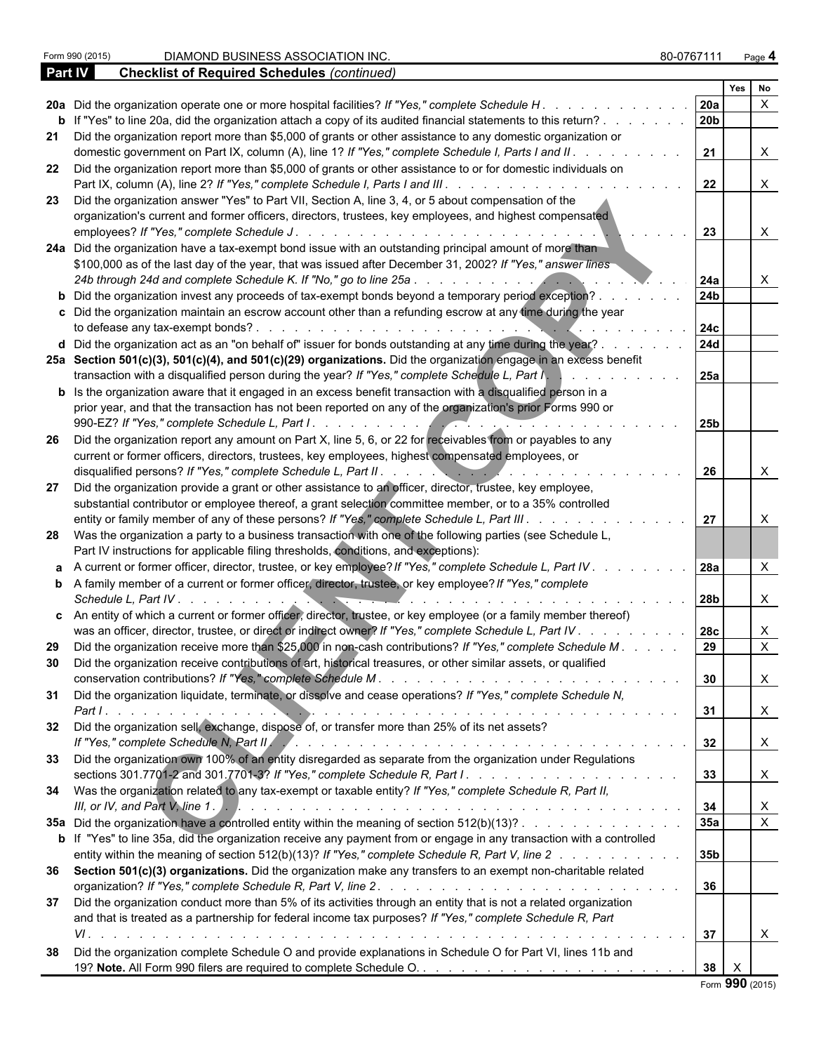|           |                                                                                                                                                                                                                                                                                                                      |                 | Yes          | No                        |  |
|-----------|----------------------------------------------------------------------------------------------------------------------------------------------------------------------------------------------------------------------------------------------------------------------------------------------------------------------|-----------------|--------------|---------------------------|--|
|           | 20a Did the organization operate one or more hospital facilities? If "Yes," complete Schedule H                                                                                                                                                                                                                      | 20a             |              | $\mathsf{x}$              |  |
|           | b If "Yes" to line 20a, did the organization attach a copy of its audited financial statements to this return?                                                                                                                                                                                                       | l 20b           |              |                           |  |
|           | 21 Did the organization report more than \$5,000 of grants or other assistance to any domestic organization or<br>domestic government on Part IX, column (A), line 1? If "Yes," complete Schedule I, Parts I and II.                                                                                                 | 21              |              | X                         |  |
|           | 22 Did the organization report more than \$5,000 of grants or other assistance to or for domestic individuals on<br>Part IX, column (A), line 2? If "Yes," complete Schedule I, Parts I and III. .                                                                                                                   | 22              |              | $\times$                  |  |
|           | 23 Did the organization answer "Yes" to Part VII, Section A, line 3, 4, or 5 about compensation of the<br>organization's current and former officers, directors, trustees, key employees, and highest compensated<br>employees? If "Yes," complete Schedule J.<br>de la caractería de la caractería de la caractería | 23              |              |                           |  |
|           | 24a Did the organization have a tax-exempt bond issue with an outstanding principal amount of more than<br>\$100,000 as of the last day of the year, that was issued after December 31, 2002? If "Yes," answer lines<br>24b through 24d and complete Schedule K. If "No," go to line 25a                             | 24a             |              |                           |  |
|           | b Did the organization invest any proceeds of tax-exempt bonds beyond a temporary period exception?.<br>c Did the organization maintain an escrow account other than a refunding escrow at any time during the year                                                                                                  | 24 <sub>b</sub> |              |                           |  |
|           | to defease any tax-exempt bonds?.<br>d Did the organization act as an "on behalf of" issuer for bonds outstanding at any time during the year?.                                                                                                                                                                      | 24c<br>24d      |              |                           |  |
|           | 25a Section 501(c)(3), 501(c)(4), and 501(c)(29) organizations. Did the organization engage in an excess benefit<br>transaction with a disqualified person during the year? If "Yes," complete Schedule L, Part I,                                                                                                   | 25a             |              |                           |  |
|           | <b>b</b> Is the organization aware that it engaged in an excess benefit transaction with a disqualified person in a<br>prior year, and that the transaction has not been reported on any of the organization's prior Forms 990 or<br>990-EZ? If "Yes," complete Schedule L, Part I                                   | 25 <sub>b</sub> |              |                           |  |
| 26        | Did the organization report any amount on Part X, line 5, 6, or 22 for receivables from or payables to any<br>current or former officers, directors, trustees, key employees, highest compensated employees, or                                                                                                      |                 |              |                           |  |
| 27        | disqualified persons? If "Yes," complete Schedule L, Part II.<br>$\cdots$ . $\cdots$<br>Did the organization provide a grant or other assistance to an officer, director, trustee, key employee,<br>substantial contributor or employee thereof, a grant selection committee member, or to a 35% controlled          | 26              |              |                           |  |
|           | entity or family member of any of these persons? If "Yes," complete Schedule L, Part III.<br>28 Was the organization a party to a business transaction with one of the following parties (see Schedule L,<br>Part IV instructions for applicable filing thresholds, conditions, and exceptions):                     | 27              |              |                           |  |
|           | a A current or former officer, director, trustee, or key employee? If "Yes," complete Schedule L, Part IV.                                                                                                                                                                                                           | l 28a           |              |                           |  |
|           | <b>b</b> A family member of a current or former officer, director, trustee, or key employee? If "Yes," complete<br>Schedule L. Part IV.                                                                                                                                                                              | 28b             |              | X                         |  |
|           | c An entity of which a current or former officer, director, trustee, or key employee (or a family member thereof)<br>was an officer, director, trustee, or direct or indirect owner? If "Yes," complete Schedule L, Part IV.                                                                                         | 28c             |              | X                         |  |
| 29.<br>30 | Did the organization receive more than \$25,000 in non-cash contributions? If "Yes," complete Schedule M.<br>Did the organization receive contributions of art, historical treasures, or other similar assets, or qualified                                                                                          | 29              |              | $\times$                  |  |
|           | 31 Did the organization liquidate, terminate, or dissolve and cease operations? If "Yes," complete Schedule N,                                                                                                                                                                                                       | $\vert$ 31      |              | <b>X</b><br>$\times$      |  |
|           | 32 Did the organization sell, exchange, dispose of, or transfer more than 25% of its net assets?                                                                                                                                                                                                                     | 32              |              | $\times$                  |  |
|           | 33 Did the organization own 100% of an entity disregarded as separate from the organization under Regulations                                                                                                                                                                                                        | 33              |              | $\times$                  |  |
|           | 34 Was the organization related to any tax-exempt or taxable entity? If "Yes," complete Schedule R, Part II,                                                                                                                                                                                                         | 34              |              |                           |  |
|           | 35a Did the organization have a controlled entity within the meaning of section 512(b)(13)?<br>b If "Yes" to line 35a, did the organization receive any payment from or engage in any transaction with a controlled                                                                                                  | 35a             |              | $\boldsymbol{\mathsf{X}}$ |  |
|           | entity within the meaning of section 512(b)(13)? If "Yes," complete Schedule R, Part V, line 2<br>36 Section 501(c)(3) organizations. Did the organization make any transfers to an exempt non-charitable related                                                                                                    | 35b             |              |                           |  |
|           | 37 Did the organization conduct more than 5% of its activities through an entity that is not a related organization                                                                                                                                                                                                  | 36              |              |                           |  |
|           | and that is treated as a partnership for federal income tax purposes? If "Yes," complete Schedule R, Part<br>Did the organization complete Schedule O and provide explanations in Schedule O for Part VI, lines 11b and                                                                                              |                 |              | X                         |  |
| 38        |                                                                                                                                                                                                                                                                                                                      | 38              | $\mathsf{X}$ |                           |  |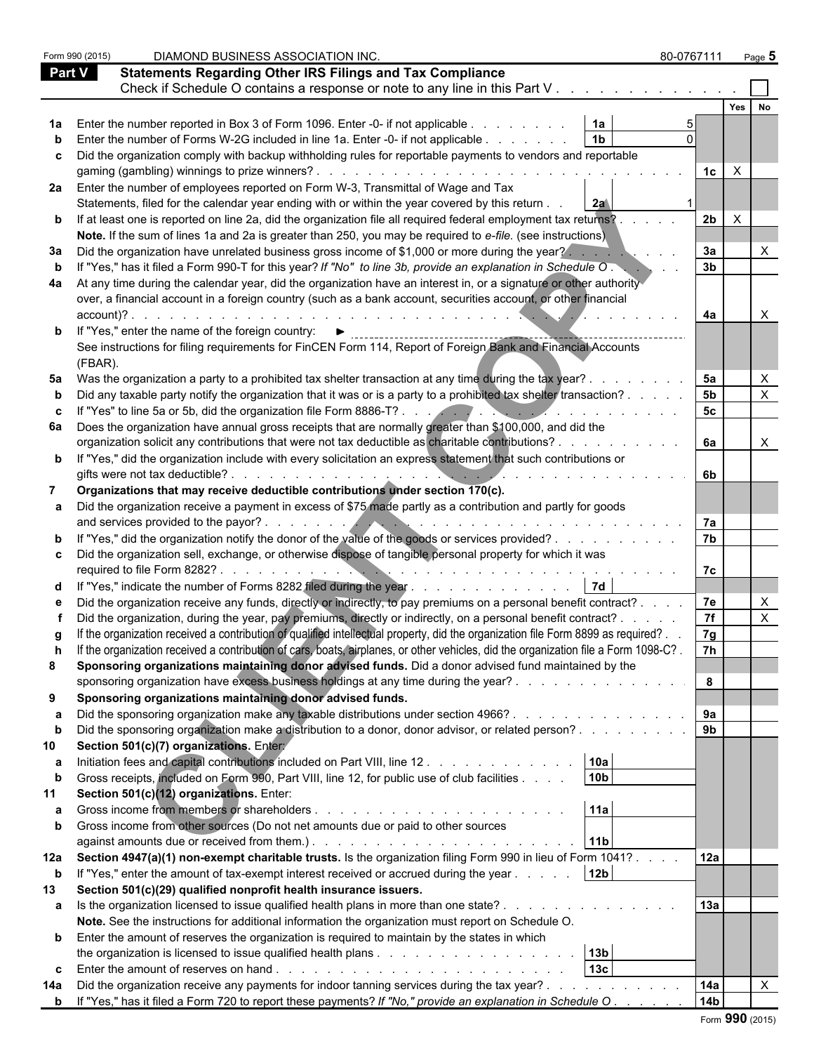|               | Form 990 (2015) | DIAMOND BUSINESS ASSOCIATION INC.                                                                                                                                                                                                                                            | 80-0767111           | Page $5$         |  |
|---------------|-----------------|------------------------------------------------------------------------------------------------------------------------------------------------------------------------------------------------------------------------------------------------------------------------------|----------------------|------------------|--|
| <b>Part V</b> |                 | <b>Statements Regarding Other IRS Filings and Tax Compliance</b>                                                                                                                                                                                                             |                      |                  |  |
|               |                 | Check if Schedule O contains a response or note to any line in this Part V                                                                                                                                                                                                   |                      |                  |  |
|               |                 |                                                                                                                                                                                                                                                                              |                      | Yes<br><b>No</b> |  |
|               |                 | 1a<br>Enter the number reported in Box 3 of Form 1096. Enter -0- if not applicable                                                                                                                                                                                           |                      |                  |  |
|               |                 | 1 <sub>b</sub><br>Enter the number of Forms W-2G included in line 1a. Enter -0- if not applicable                                                                                                                                                                            |                      |                  |  |
|               |                 |                                                                                                                                                                                                                                                                              |                      |                  |  |
| C             |                 | Did the organization comply with backup withholding rules for reportable payments to vendors and reportable                                                                                                                                                                  | $\mathsf{X}$<br>1c l |                  |  |
|               |                 |                                                                                                                                                                                                                                                                              |                      |                  |  |
|               |                 | 2a Enter the number of employees reported on Form W-3, Transmittal of Wage and Tax<br>Statements, filed for the calendar year ending with or within the year covered by this return.                                                                                         |                      |                  |  |
|               |                 | 2a                                                                                                                                                                                                                                                                           | 2b                   |                  |  |
|               |                 | <b>b</b> If at least one is reported on line 2a, did the organization file all required federal employment tax returns?.                                                                                                                                                     | $\times$             |                  |  |
|               |                 | Note. If the sum of lines 1a and 2a is greater than 250, you may be required to e-file. (see instructions)                                                                                                                                                                   |                      |                  |  |
| За            |                 | Did the organization have unrelated business gross income of \$1,000 or more during the year?                                                                                                                                                                                | 3a                   |                  |  |
|               |                 | If "Yes," has it filed a Form 990-T for this year? If "No" to line 3b, provide an explanation in Schedule O.                                                                                                                                                                 | 3 <sub>b</sub>       |                  |  |
| 4a            |                 | At any time during the calendar year, did the organization have an interest in, or a signature or other authority                                                                                                                                                            |                      |                  |  |
|               |                 | over, a financial account in a foreign country (such as a bank account, securities account, or other financial                                                                                                                                                               |                      |                  |  |
|               | account)?.      |                                                                                                                                                                                                                                                                              | 4a                   |                  |  |
|               |                 | <b>b</b> If "Yes," enter the name of the foreign country: I                                                                                                                                                                                                                  |                      |                  |  |
|               |                 | See instructions for filing requirements for FinCEN Form 114, Report of Foreign Bank and Financial Accounts                                                                                                                                                                  |                      |                  |  |
|               | (FBAR).         |                                                                                                                                                                                                                                                                              |                      |                  |  |
|               |                 | 5a Was the organization a party to a prohibited tax shelter transaction at any time during the tax year?.                                                                                                                                                                    | 5a                   |                  |  |
|               |                 | Did any taxable party notify the organization that it was or is a party to a prohibited tax shelter transaction?                                                                                                                                                             | 5 <sub>b</sub>       |                  |  |
|               |                 | If "Yes" to line 5a or 5b, did the organization file Form 8886-T?                                                                                                                                                                                                            | 5 <sub>c</sub>       |                  |  |
| 6а            |                 | Does the organization have annual gross receipts that are normally greater than \$100,000, and did the                                                                                                                                                                       |                      |                  |  |
|               |                 | organization solicit any contributions that were not tax deductible as charitable contributions?.                                                                                                                                                                            | 6a                   | X                |  |
|               |                 | <b>b</b> If "Yes," did the organization include with every solicitation an express statement that such contributions or                                                                                                                                                      |                      |                  |  |
|               |                 | gifts were not tax deductible?.                                                                                                                                                                                                                                              | 6b.                  |                  |  |
|               |                 | Organizations that may receive deductible contributions under section 170(c).                                                                                                                                                                                                |                      |                  |  |
|               |                 | Did the organization receive a payment in excess of \$75 made partly as a contribution and partly for goods                                                                                                                                                                  |                      |                  |  |
|               |                 | and services provided to the payor?.<br><u>All and the second contract of the second contract of the second contract of the second contract of the second contract of the second contract of the second contract of the second contract of the second contract of the se</u> | 7a                   |                  |  |
|               |                 | "Yes," did the organization notify the donor of the value of the goods or services provided?                                                                                                                                                                                 | 7 <sub>b</sub>       |                  |  |
|               |                 | Did the organization sell, exchange, or otherwise dispose of tangible personal property for which it was                                                                                                                                                                     |                      |                  |  |
|               |                 | required to file Form 8282?                                                                                                                                                                                                                                                  | 7c                   |                  |  |
|               |                 | <b>7d</b><br>"Yes," indicate the number of Forms 8282 filed during the year $\dots \dots \dots \dots \dots$                                                                                                                                                                  |                      |                  |  |
|               |                 | Did the organization receive any funds, directly or indirectly, to pay premiums on a personal benefit contract?                                                                                                                                                              | 7e                   |                  |  |
|               |                 | Did the organization, during the year, pay premiums, directly or indirectly, on a personal benefit contract? .                                                                                                                                                               | 7f                   |                  |  |
|               |                 | If the organization received a contribution of qualified intellectual property, did the organization file Form 8899 as required?.                                                                                                                                            | 7g                   |                  |  |
|               |                 | If the organization received a contribution of cars, boats, airplanes, or other vehicles, did the organization file a Form 1098-C?.                                                                                                                                          | 7h                   |                  |  |
| 8             |                 | Sponsoring organizations maintaining donor advised funds. Did a donor advised fund maintained by the                                                                                                                                                                         |                      |                  |  |
|               |                 | sponsoring organization have excess business holdings at any time during the year?                                                                                                                                                                                           | 8                    |                  |  |
| 9             |                 | Sponsoring organizations maintaining donor advised funds.                                                                                                                                                                                                                    |                      |                  |  |
| а             |                 | Did the sponsoring organization make any taxable distributions under section 4966?                                                                                                                                                                                           | 9a                   |                  |  |
| b             |                 | Did the sponsoring organization make a distribution to a donor, donor advisor, or related person?                                                                                                                                                                            | 9 <sub>b</sub>       |                  |  |
| 10            |                 | Section 501(c)(7) organizations. Entery                                                                                                                                                                                                                                      |                      |                  |  |
| а             |                 | 10a<br>Initiation fees and capital contributions included on Part VIII, line 12                                                                                                                                                                                              |                      |                  |  |
|               |                 | 10 <sub>b</sub><br>Gross receipts, included on Form 990, Part VIII, line 12, for public use of club facilities                                                                                                                                                               |                      |                  |  |
| 11            |                 | Section 501(c)(12) organizations. Enter:                                                                                                                                                                                                                                     |                      |                  |  |
| а             |                 | 11a                                                                                                                                                                                                                                                                          |                      |                  |  |
|               |                 | Gross income from other sources (Do not net amounts due or paid to other sources                                                                                                                                                                                             |                      |                  |  |
|               |                 | against amounts due or received from them.). The subset of the state of the state of the state of the state of the state of the state of the state of the state of the state of the state of the state of the state of the sta<br> 11b                                       |                      |                  |  |
| 12a           |                 | Section 4947(a)(1) non-exempt charitable trusts. Is the organization filing Form 990 in lieu of Form 1041?                                                                                                                                                                   | 12a                  |                  |  |
| $\mathbf b$   |                 | 12 <sub>b</sub><br>If "Yes," enter the amount of tax-exempt interest received or accrued during the year                                                                                                                                                                     |                      |                  |  |
| 13            |                 | Section 501(c)(29) qualified nonprofit health insurance issuers.                                                                                                                                                                                                             |                      |                  |  |
|               |                 | a Is the organization licensed to issue qualified health plans in more than one state?                                                                                                                                                                                       | 13a                  |                  |  |
|               |                 | Note. See the instructions for additional information the organization must report on Schedule O.                                                                                                                                                                            |                      |                  |  |
|               |                 | <b>b</b> Enter the amount of reserves the organization is required to maintain by the states in which                                                                                                                                                                        |                      |                  |  |
|               |                 | 13b                                                                                                                                                                                                                                                                          |                      |                  |  |
| C             |                 | 13 <sub>c</sub>                                                                                                                                                                                                                                                              |                      |                  |  |
| 14a           |                 | Did the organization receive any payments for indoor tanning services during the tax year?                                                                                                                                                                                   | 14a                  |                  |  |
|               |                 | <b>b</b> If "Yes," has it filed a Form 720 to report these payments? If "No," provide an explanation in Schedule O.                                                                                                                                                          | 14 <sub>b</sub>      |                  |  |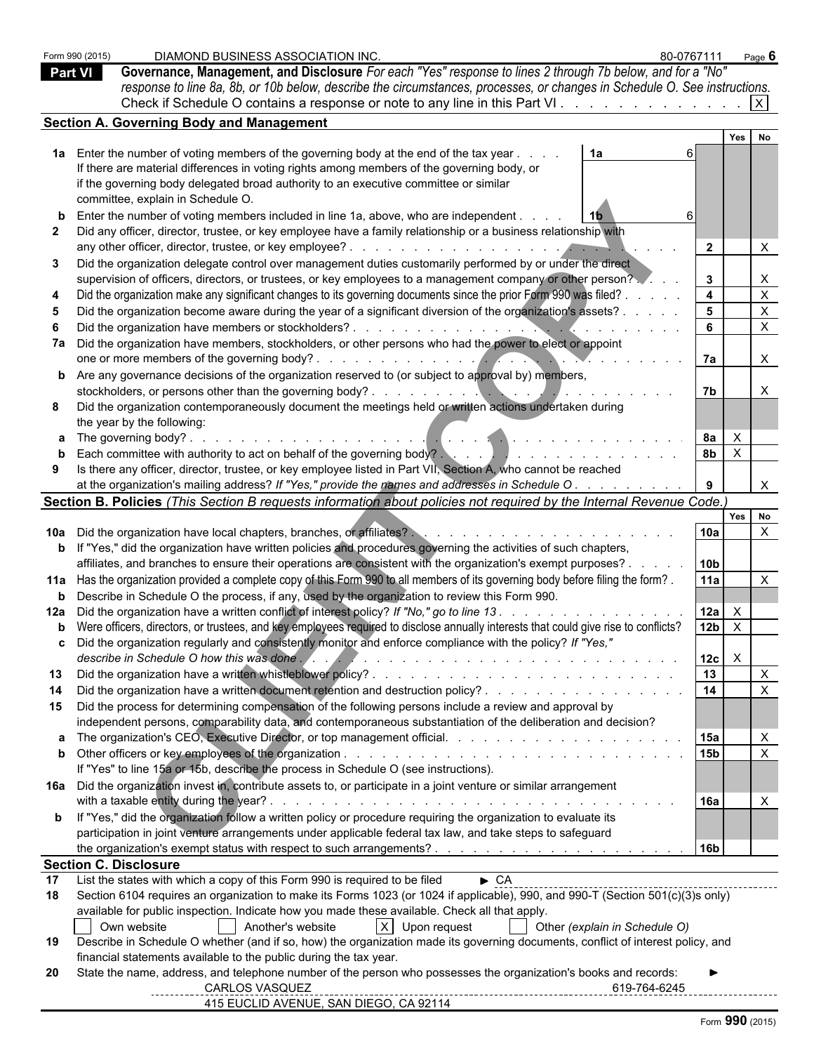|    | DIAMOND BUSINESS ASSOCIATION INC.<br>Form 990 (2015)<br>Governance, Management, and Disclosure For each "Yes" response to lines 2 through 7b below, and for a "No"<br><b>Part VI</b><br>response to line 8a, 8b, or 10b below, describe the circumstances, processes, or changes in Schedule O. See instructions.<br>Check if Schedule O contains a response or note to any line in this Part VI. | 80-0767111                    |                      |              | Page $6$     |
|----|---------------------------------------------------------------------------------------------------------------------------------------------------------------------------------------------------------------------------------------------------------------------------------------------------------------------------------------------------------------------------------------------------|-------------------------------|----------------------|--------------|--------------|
|    | <b>Section A. Governing Body and Management</b>                                                                                                                                                                                                                                                                                                                                                   |                               |                      |              |              |
|    |                                                                                                                                                                                                                                                                                                                                                                                                   |                               |                      | Yes          |              |
|    | 1a Enter the number of voting members of the governing body at the end of the tax year.<br>1a<br>If there are material differences in voting rights among members of the governing body, or                                                                                                                                                                                                       |                               |                      |              |              |
|    | if the governing body delegated broad authority to an executive committee or similar                                                                                                                                                                                                                                                                                                              |                               |                      |              |              |
|    | committee, explain in Schedule O.                                                                                                                                                                                                                                                                                                                                                                 |                               |                      |              |              |
|    | Enter the number of voting members included in line 1a, above, who are independent.                                                                                                                                                                                                                                                                                                               |                               |                      |              |              |
|    | Did any officer, director, trustee, or key employee have a family relationship or a business relationship with                                                                                                                                                                                                                                                                                    |                               |                      |              |              |
|    | Did the organization delegate control over management duties customarily performed by or under the direct                                                                                                                                                                                                                                                                                         |                               | $\overline{2}$       |              | X            |
|    | supervision of officers, directors, or trustees, or key employees to a management company or other person?                                                                                                                                                                                                                                                                                        |                               | $\mathbf{3}$         |              | X            |
|    | Did the organization make any significant changes to its governing documents since the prior Form 990 was filed?                                                                                                                                                                                                                                                                                  |                               | $\overline{4}$       |              | $\mathsf{X}$ |
|    | Did the organization become aware during the year of a significant diversion of the organization's assets?                                                                                                                                                                                                                                                                                        |                               | 5                    |              | $\mathsf{X}$ |
|    |                                                                                                                                                                                                                                                                                                                                                                                                   |                               | 6                    |              | $\mathsf{X}$ |
|    | 7a Did the organization have members, stockholders, or other persons who had the power to elect or appoint                                                                                                                                                                                                                                                                                        |                               |                      |              |              |
|    | <b>b</b> Are any governance decisions of the organization reserved to (or subject to approval by) members,                                                                                                                                                                                                                                                                                        |                               | 7a                   |              | $\mathsf{X}$ |
|    |                                                                                                                                                                                                                                                                                                                                                                                                   |                               | 7b                   |              | X            |
|    | Did the organization contemporaneously document the meetings held or written actions undertaken during                                                                                                                                                                                                                                                                                            |                               |                      |              |              |
|    | the year by the following:                                                                                                                                                                                                                                                                                                                                                                        |                               |                      |              |              |
|    |                                                                                                                                                                                                                                                                                                                                                                                                   |                               | 8а<br>8 <sub>b</sub> | $\mathsf{X}$ |              |
|    | Each committee with authority to act on behalf of the governing body?<br>and the set of the set of the set of the set of the set of the set of the set of the set of the set of the set of the set of the set of the set of the<br>Is there any officer, director, trustee, or key employee listed in Part VII, Section A, who cannot be reached                                                  |                               |                      | $\mathsf{X}$ |              |
|    | at the organization's mailing address? If "Yes," provide the names and addresses in Schedule O.                                                                                                                                                                                                                                                                                                   |                               | 9                    |              |              |
|    | Section B. Policies (This Section B requests information about policies not required by the Internal Revenue Code.)                                                                                                                                                                                                                                                                               |                               |                      |              |              |
|    |                                                                                                                                                                                                                                                                                                                                                                                                   |                               |                      | Yes No       |              |
|    |                                                                                                                                                                                                                                                                                                                                                                                                   |                               | 10a                  |              | $\times$     |
|    | b If "Yes," did the organization have written policies and procedures governing the activities of such chapters,<br>affiliates, and branches to ensure their operations are consistent with the organization's exempt purposes? .                                                                                                                                                                 |                               | 10 <sub>b</sub>      |              |              |
|    | 11a Has the organization provided a complete copy of this Form 990 to all members of its governing body before filing the form?.                                                                                                                                                                                                                                                                  |                               | 11a                  |              | $\times$     |
|    | <b>b</b> Describe in Schedule O the process, if any, used by the organization to review this Form 990.                                                                                                                                                                                                                                                                                            |                               |                      |              |              |
|    | 12a Did the organization have a written conflict of interest policy? If "No," go to line 13.                                                                                                                                                                                                                                                                                                      |                               | 12a                  | $\mathsf{X}$ |              |
|    | b Were officers, directors, or trustees, and key employees required to disclose annually interests that could give rise to conflicts?                                                                                                                                                                                                                                                             |                               | 12 <sub>b</sub>      | $\mathsf{X}$ |              |
|    | c Did the organization regularly and consistently monitor and enforce compliance with the policy? If "Yes,"<br>describe in Schedule O how this was done.                                                                                                                                                                                                                                          |                               | 12c                  | $\mathsf{X}$ |              |
| 13 |                                                                                                                                                                                                                                                                                                                                                                                                   |                               | 13                   |              | $\mathsf{X}$ |
|    | Did the organization have a written document retention and destruction policy?                                                                                                                                                                                                                                                                                                                    |                               | 14                   |              | $\mathsf{x}$ |
|    | 15 Did the process for determining compensation of the following persons include a review and approval by                                                                                                                                                                                                                                                                                         |                               |                      |              |              |
|    | independent persons, comparability data, and contemporaneous substantiation of the deliberation and decision?                                                                                                                                                                                                                                                                                     |                               |                      |              |              |
|    |                                                                                                                                                                                                                                                                                                                                                                                                   |                               |                      |              | $\times$     |
|    | If "Yes" to line 15a or 15b, describe the process in Schedule O (see instructions).                                                                                                                                                                                                                                                                                                               |                               | 15b                  |              | $\mathsf{X}$ |
|    | 16a Did the organization invest in, contribute assets to, or participate in a joint venture or similar arrangement                                                                                                                                                                                                                                                                                |                               |                      |              |              |
|    | with a taxable entity during the year?.<br>and the contract of the contract of the contract of the contract of the contract of the contract of the contract of the contract of the contract of the contract of the contract of the contract of the contract of the contra                                                                                                                         |                               | <b>16a</b>           |              | X            |
|    | <b>b</b> If "Yes," did the organization follow a written policy or procedure requiring the organization to evaluate its                                                                                                                                                                                                                                                                           |                               |                      |              |              |
|    | participation in joint venture arrangements under applicable federal tax law, and take steps to safeguard                                                                                                                                                                                                                                                                                         |                               |                      |              |              |
|    | <b>Section C. Disclosure</b>                                                                                                                                                                                                                                                                                                                                                                      |                               | l 16b                |              |              |
| 17 | List the states with which a copy of this Form 990 is required to be filed<br>$\triangleright$ CA                                                                                                                                                                                                                                                                                                 |                               |                      |              |              |
| 18 | Section 6104 requires an organization to make its Forms 1023 (or 1024 if applicable), 990, and 990-T (Section 501(c)(3)s only)                                                                                                                                                                                                                                                                    |                               |                      |              |              |
|    | available for public inspection. Indicate how you made these available. Check all that apply.                                                                                                                                                                                                                                                                                                     |                               |                      |              |              |
|    | Another's website<br>X Upon request<br>Own website                                                                                                                                                                                                                                                                                                                                                | Other (explain in Schedule O) |                      |              |              |
| 19 | Describe in Schedule O whether (and if so, how) the organization made its governing documents, conflict of interest policy, and<br>financial statements available to the public during the tax year.                                                                                                                                                                                              |                               |                      |              |              |
| 20 | State the name, address, and telephone number of the person who possesses the organization's books and records:                                                                                                                                                                                                                                                                                   |                               |                      |              |              |
|    | <b>CARLOS VASQUEZ</b>                                                                                                                                                                                                                                                                                                                                                                             | 619-764-6245                  |                      |              |              |
|    | 415 EUCLID AVENUE, SAN DIEGO, CA 92114                                                                                                                                                                                                                                                                                                                                                            |                               |                      |              |              |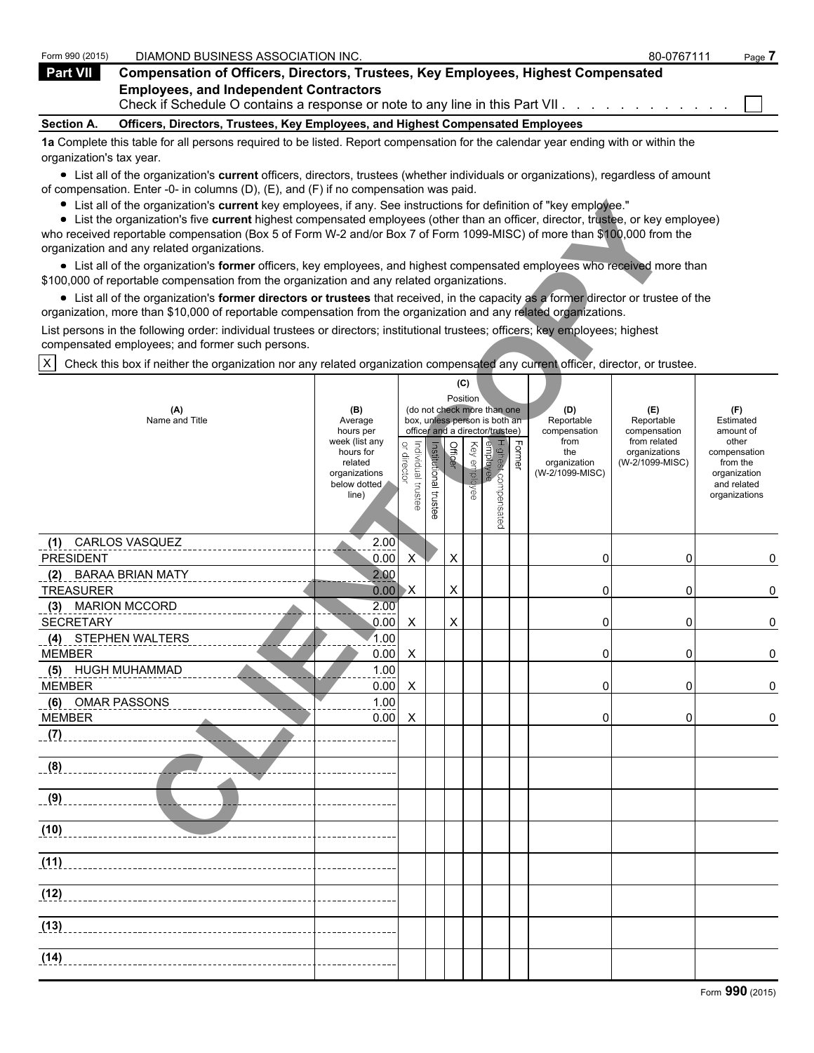| Form 990 (2015)   | DIAMOND BUSINESS ASSOCIATION INC.                                                                                                 | 80-0767111 | Page. |
|-------------------|-----------------------------------------------------------------------------------------------------------------------------------|------------|-------|
| Part VII          | <b>Compensation of Officers, Directors, Trustees, Key Employees, Highest Compensated</b>                                          |            |       |
|                   | <b>Employees, and Independent Contractors</b><br>Check if Schedule O contains a response or note to any line in this Part VII.    |            |       |
| <b>Section A.</b> | Officers, Directors, Trustees, Key Employees, and Highest Compensated Employees                                                   |            |       |
|                   | An Complete this table for all necessary required to be lieted. Depart componention for the episoder veganding with an within the |            |       |

**1a** Complete this table for all persons required to be listed. Report compensation for the calendar year ending with or within the organization's tax year.

List all of the organization's **current** officers, directors, trustees (whether individuals or organizations), regardless of amount of compensation. Enter -0- in columns (D), (E), and (F) if no compensation was paid.

| List all of the organization's current key employees, if any. See instructions for definition of "key employee."<br>List the organization's five current highest compensated employees (other than an officer, director, trustee, or key employee)<br>who received reportable compensation (Box 5 of Form W-2 and/or Box 7 of Form 1099-MISC) of more than \$100,000 from the<br>organization and any related organizations. |                                                        |                                                     |               |         |                                 |                                 |                                                                                                                  |                                                |                                                                          |  |
|------------------------------------------------------------------------------------------------------------------------------------------------------------------------------------------------------------------------------------------------------------------------------------------------------------------------------------------------------------------------------------------------------------------------------|--------------------------------------------------------|-----------------------------------------------------|---------------|---------|---------------------------------|---------------------------------|------------------------------------------------------------------------------------------------------------------|------------------------------------------------|--------------------------------------------------------------------------|--|
| • List all of the organization's former officers, key employees, and highest compensated employees who received more than<br>\$100,000 of reportable compensation from the organization and any related organizations.                                                                                                                                                                                                       |                                                        |                                                     |               |         |                                 |                                 |                                                                                                                  |                                                |                                                                          |  |
| • List all of the organization's former directors or trustees that received, in the capacity as a former director or trustee of the<br>organization, more than \$10,000 of reportable compensation from the organization and any related organizations.                                                                                                                                                                      |                                                        |                                                     |               |         |                                 |                                 |                                                                                                                  |                                                |                                                                          |  |
| List persons in the following order: individual trustees or directors; institutional trustees; officers; key employees; highest<br>compensated employees; and former such persons.                                                                                                                                                                                                                                           |                                                        |                                                     |               |         |                                 |                                 |                                                                                                                  |                                                |                                                                          |  |
| Check this box if neither the organization nor any related organization compensated any current officer, director, or trustee.<br>X                                                                                                                                                                                                                                                                                          |                                                        |                                                     |               |         |                                 |                                 |                                                                                                                  |                                                |                                                                          |  |
| (B)<br>(A)<br>Name and Title<br>Average<br>hours per                                                                                                                                                                                                                                                                                                                                                                         |                                                        |                                                     |               |         |                                 |                                 | (E)<br>Reportable<br>compensation                                                                                | (F)<br>Estimated<br>amount of<br>other         |                                                                          |  |
| hours for<br>related<br>organizations<br>below dotted<br>line)                                                                                                                                                                                                                                                                                                                                                               |                                                        | trustee                                             |               |         |                                 |                                 | the<br>organization<br>(W-2/1099-MISC)                                                                           | organizations<br>(W-2/1099-MISC)               | compensation<br>from the<br>organization<br>and related<br>organizations |  |
| 2.00                                                                                                                                                                                                                                                                                                                                                                                                                         | X                                                      |                                                     | X             |         |                                 |                                 | 0                                                                                                                | 0                                              | 0                                                                        |  |
| 2.00                                                                                                                                                                                                                                                                                                                                                                                                                         | $\mathsf{X}$                                           |                                                     | Χ             |         |                                 |                                 | 0                                                                                                                | 0                                              | 0                                                                        |  |
| 2.00                                                                                                                                                                                                                                                                                                                                                                                                                         | X                                                      |                                                     | X             |         |                                 |                                 | 0                                                                                                                | 0                                              | 0                                                                        |  |
| 1.00                                                                                                                                                                                                                                                                                                                                                                                                                         | X                                                      |                                                     |               |         |                                 |                                 | 0                                                                                                                | 0                                              | 0                                                                        |  |
| 1.00                                                                                                                                                                                                                                                                                                                                                                                                                         |                                                        |                                                     |               |         |                                 |                                 | 0                                                                                                                | 0                                              | 0                                                                        |  |
| 1.00                                                                                                                                                                                                                                                                                                                                                                                                                         |                                                        |                                                     |               |         |                                 |                                 |                                                                                                                  |                                                | 0                                                                        |  |
|                                                                                                                                                                                                                                                                                                                                                                                                                              |                                                        |                                                     |               |         |                                 |                                 |                                                                                                                  |                                                |                                                                          |  |
|                                                                                                                                                                                                                                                                                                                                                                                                                              |                                                        |                                                     |               |         |                                 |                                 |                                                                                                                  |                                                |                                                                          |  |
|                                                                                                                                                                                                                                                                                                                                                                                                                              |                                                        |                                                     |               |         |                                 |                                 |                                                                                                                  |                                                |                                                                          |  |
|                                                                                                                                                                                                                                                                                                                                                                                                                              |                                                        |                                                     |               |         |                                 |                                 |                                                                                                                  |                                                |                                                                          |  |
|                                                                                                                                                                                                                                                                                                                                                                                                                              |                                                        |                                                     |               |         |                                 |                                 |                                                                                                                  |                                                |                                                                          |  |
|                                                                                                                                                                                                                                                                                                                                                                                                                              |                                                        |                                                     |               |         |                                 |                                 |                                                                                                                  |                                                |                                                                          |  |
|                                                                                                                                                                                                                                                                                                                                                                                                                              |                                                        |                                                     |               |         |                                 |                                 |                                                                                                                  |                                                |                                                                          |  |
|                                                                                                                                                                                                                                                                                                                                                                                                                              |                                                        |                                                     |               |         |                                 |                                 |                                                                                                                  |                                                |                                                                          |  |
|                                                                                                                                                                                                                                                                                                                                                                                                                              | week (list any<br>0.00<br>0.00<br>0.00<br>0.00<br>0.00 | or director<br>Individual trustee<br>0.00<br>X<br>X | Institutional | Officer | (C)<br>Position<br>Key employee | Highest compensated<br>employee | (do not check more than one<br>box, unless person is both an<br>officer and a director/trustee)<br><b>Former</b> | (D)<br>Reportable<br>compensation<br>from<br>0 | from related<br>0                                                        |  |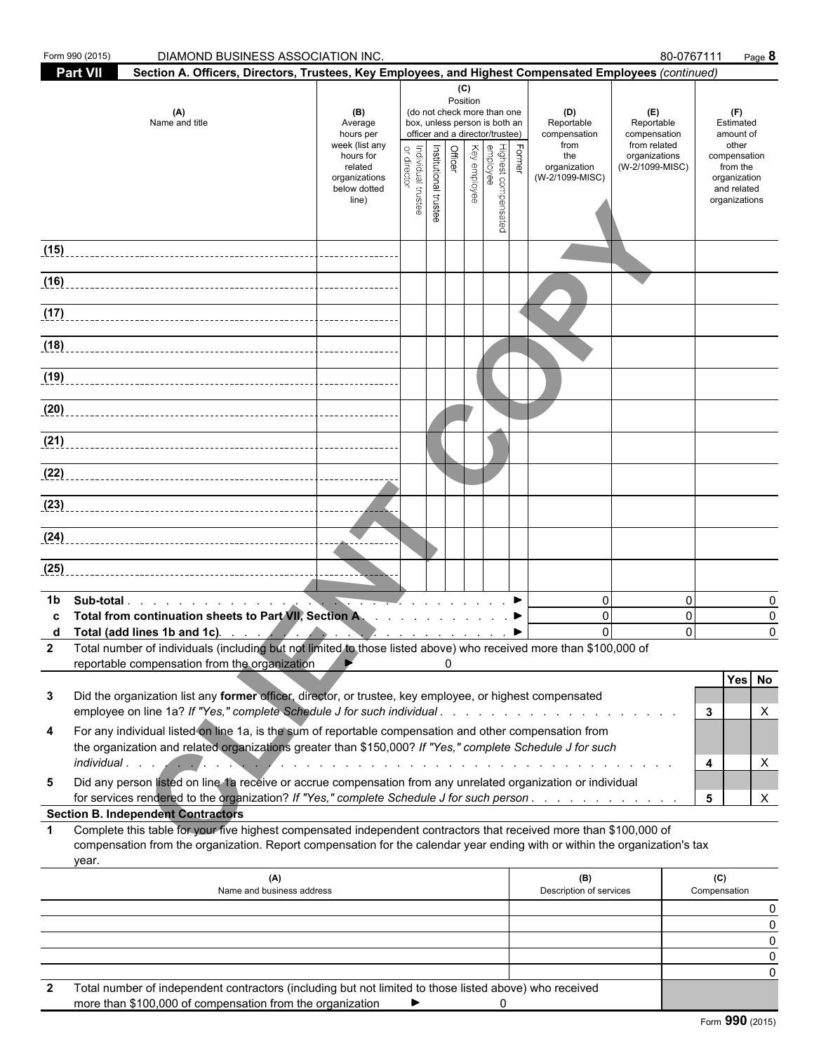|              | Form 990 (2015)<br>DIAMOND BUSINESS ASSOCIATION INC.                                                                                                                                                                                                                                                                                             |                                                                                                                 |                                    |                       |                |                 |                                                                                                                                                              |        |                                                                                     |                                                                                       | 80-0767111                                                                                                         | Page 8             |
|--------------|--------------------------------------------------------------------------------------------------------------------------------------------------------------------------------------------------------------------------------------------------------------------------------------------------------------------------------------------------|-----------------------------------------------------------------------------------------------------------------|------------------------------------|-----------------------|----------------|-----------------|--------------------------------------------------------------------------------------------------------------------------------------------------------------|--------|-------------------------------------------------------------------------------------|---------------------------------------------------------------------------------------|--------------------------------------------------------------------------------------------------------------------|--------------------|
|              | <b>Part VII</b><br>Section A. Officers, Directors, Trustees, Key Employees, and Highest Compensated Employees (continued)                                                                                                                                                                                                                        |                                                                                                                 |                                    |                       |                |                 |                                                                                                                                                              |        |                                                                                     |                                                                                       |                                                                                                                    |                    |
|              | (A)<br>Name and title                                                                                                                                                                                                                                                                                                                            | (B)<br>Average<br>hours per<br>week (list any<br>hours for<br>related<br>organizations<br>below dotted<br>line) | or director<br>Individual trustee  | Institutional trustee | <b>Officer</b> | (C)<br>Position | (do not check more than one<br>box, unless person is both an<br>officer and a director/trustee)<br>Highest comper<br>employee<br>Key employee<br>compensated | Former | (D)<br>Reportable<br>compensation<br>from<br>the<br>organization<br>(W-2/1099-MISC) | (E)<br>Reportable<br>compensation<br>from related<br>organizations<br>(W-2/1099-MISC) | (F)<br>Estimated<br>amount of<br>other<br>compensation<br>from the<br>organization<br>and related<br>organizations |                    |
|              |                                                                                                                                                                                                                                                                                                                                                  |                                                                                                                 |                                    |                       |                |                 |                                                                                                                                                              |        |                                                                                     |                                                                                       |                                                                                                                    |                    |
| (15)         |                                                                                                                                                                                                                                                                                                                                                  |                                                                                                                 |                                    |                       |                |                 |                                                                                                                                                              |        |                                                                                     |                                                                                       |                                                                                                                    |                    |
| (16)         |                                                                                                                                                                                                                                                                                                                                                  |                                                                                                                 |                                    |                       |                |                 |                                                                                                                                                              |        |                                                                                     |                                                                                       |                                                                                                                    |                    |
|              |                                                                                                                                                                                                                                                                                                                                                  |                                                                                                                 |                                    |                       |                |                 |                                                                                                                                                              |        |                                                                                     |                                                                                       |                                                                                                                    |                    |
|              | (18)                                                                                                                                                                                                                                                                                                                                             |                                                                                                                 |                                    |                       |                |                 |                                                                                                                                                              |        |                                                                                     |                                                                                       |                                                                                                                    |                    |
| (19)         |                                                                                                                                                                                                                                                                                                                                                  |                                                                                                                 |                                    |                       |                |                 |                                                                                                                                                              |        |                                                                                     |                                                                                       |                                                                                                                    |                    |
| (20)         |                                                                                                                                                                                                                                                                                                                                                  |                                                                                                                 |                                    |                       |                |                 |                                                                                                                                                              |        |                                                                                     |                                                                                       |                                                                                                                    |                    |
| (21)         |                                                                                                                                                                                                                                                                                                                                                  |                                                                                                                 |                                    |                       |                |                 |                                                                                                                                                              |        |                                                                                     |                                                                                       |                                                                                                                    |                    |
| (22)         |                                                                                                                                                                                                                                                                                                                                                  |                                                                                                                 |                                    |                       |                |                 |                                                                                                                                                              |        |                                                                                     |                                                                                       |                                                                                                                    |                    |
|              |                                                                                                                                                                                                                                                                                                                                                  |                                                                                                                 |                                    |                       |                |                 |                                                                                                                                                              |        |                                                                                     |                                                                                       |                                                                                                                    |                    |
|              |                                                                                                                                                                                                                                                                                                                                                  |                                                                                                                 |                                    |                       |                |                 |                                                                                                                                                              |        |                                                                                     |                                                                                       |                                                                                                                    |                    |
| (25)         |                                                                                                                                                                                                                                                                                                                                                  |                                                                                                                 |                                    |                       |                |                 |                                                                                                                                                              |        |                                                                                     |                                                                                       |                                                                                                                    |                    |
| 1b           | Total from continuation sheets to Part VII, Section A. ▶<br>Total (add lines 1b and 1c). $\qquad \qquad$ $\qquad \qquad$ $\qquad \qquad$ $\qquad \qquad$ $\qquad \qquad$<br>2 Total number of individuals (including but not limited to those listed above) who received more than \$100,000 of<br>reportable compensation from the organization |                                                                                                                 | $\mathbb{Z}$ $\blacktriangleright$ |                       | 0              |                 |                                                                                                                                                              |        | $\mathbf{0}$<br>$\mathbf{0}$<br>$\Omega$                                            |                                                                                       | $\mathbf 0$<br>$\mathbf 0$<br>$\Omega$                                                                             | 0<br>0<br>$\Omega$ |
| 3            | Did the organization list any former officer, director, or trustee, key employee, or highest compensated<br>employee on line 1a? If "Yes," complete Schedule J for such individual                                                                                                                                                               |                                                                                                                 |                                    |                       |                |                 |                                                                                                                                                              |        |                                                                                     |                                                                                       | Yes No<br>3                                                                                                        | X                  |
| 4            | For any individual listed on line 1a, is the sum of reportable compensation and other compensation from<br>the organization and related organizations greater than \$150,000? If "Yes," complete Schedule J for such                                                                                                                             |                                                                                                                 |                                    |                       |                |                 |                                                                                                                                                              |        |                                                                                     |                                                                                       | 4                                                                                                                  | X                  |
| 5            | Did any person listed on line 1a receive or accrue compensation from any unrelated organization or individual<br>for services rendered to the organization? If "Yes," complete Schedule J for such person.                                                                                                                                       |                                                                                                                 |                                    |                       |                |                 |                                                                                                                                                              |        |                                                                                     |                                                                                       | 5                                                                                                                  | X                  |
| $\mathbf 1$  | <b>Section B. Independent Contractors</b><br>Complete this table for your five highest compensated independent contractors that received more than \$100,000 of<br>compensation from the organization. Report compensation for the calendar year ending with or within the organization's tax                                                    |                                                                                                                 |                                    |                       |                |                 |                                                                                                                                                              |        |                                                                                     |                                                                                       |                                                                                                                    |                    |
|              | year.<br>(A)                                                                                                                                                                                                                                                                                                                                     |                                                                                                                 |                                    |                       |                |                 |                                                                                                                                                              |        | (B)                                                                                 |                                                                                       | (C)                                                                                                                |                    |
|              | Name and business address                                                                                                                                                                                                                                                                                                                        |                                                                                                                 |                                    |                       |                |                 |                                                                                                                                                              |        | Description of services                                                             |                                                                                       | Compensation                                                                                                       | 0                  |
|              |                                                                                                                                                                                                                                                                                                                                                  |                                                                                                                 |                                    |                       |                |                 |                                                                                                                                                              |        |                                                                                     |                                                                                       |                                                                                                                    | 0<br>0             |
|              |                                                                                                                                                                                                                                                                                                                                                  |                                                                                                                 |                                    |                       |                |                 |                                                                                                                                                              |        |                                                                                     |                                                                                       |                                                                                                                    | 0<br>0             |
| $\mathbf{2}$ | Total number of independent contractors (including but not limited to those listed above) who received                                                                                                                                                                                                                                           |                                                                                                                 |                                    |                       |                |                 |                                                                                                                                                              |        |                                                                                     |                                                                                       |                                                                                                                    |                    |

| more than \$100,000 of compensation from the organization |  |  |
|-----------------------------------------------------------|--|--|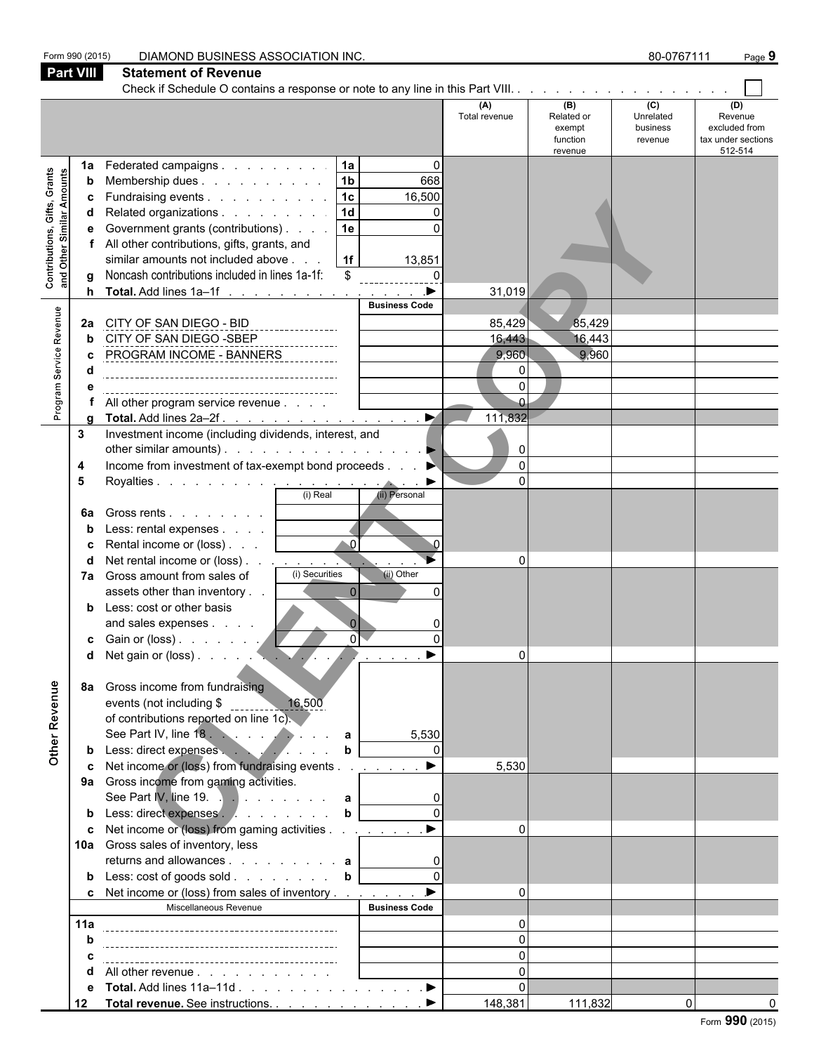| Part VIII<br><b>Statement of Revenue</b><br>(A)<br>(B)<br>(C)<br>(D)<br>Unrelated<br>Revenue<br>Total revenue<br>Related or<br>excluded from<br>exempt<br>business<br>tax under sections<br>function<br>revenue<br>512-514<br>revenue<br> 1a <br>$\mathbf 0$<br>Federated campaigns<br>1a<br><b>Contributions, Gifts, Grants</b><br>and Other Similar Amounts<br> 1 <sub>b</sub>  <br>668<br>Membership dues<br>b<br> 1c <br>Fundraising events<br>16,500<br>c<br> 1d <br>Related organizations<br>0<br>d<br>$\Omega$<br>Government grants (contributions)<br> 1e <br>е<br>All other contributions, gifts, grants, and<br>similar amounts not included above<br> 1f <br>13,851<br>Noncash contributions included in lines 1a-1f:<br>$\frac{1}{2}$<br>\$<br>g<br>$\blacktriangleright$<br>Total. Add lines 1a-1f<br>31,019<br>h<br><b>Business Code</b><br>Program Service Revenue<br>85,429<br>85,429<br>CITY OF SAN DIEGO - BID<br>2a<br>CITY OF SAN DIEGO -SBEP<br>16,443<br>16,443<br>PROGRAM INCOME - BANNERS<br>9,960<br>9,960<br>$\Omega$<br>All other program service revenue<br>$\blacktriangleright$<br>111,832<br>Total. Add lines 2a-2f.<br>α<br>Investment income (including dividends, interest, and<br>3<br>other similar amounts). $\ldots$ $\ldots$ $\ldots$ $\ldots$ $\ldots$<br>0<br>Income from investment of tax-exempt bond proceeds<br>$\Omega$<br>4<br>Royalties<br>(i) Real (ii) Persona<br>5<br>$\blacktriangleright$<br>(ii) Personal<br>Gross rents $\ldots$ $\ldots$ $\ldots$<br>6a<br>Less: rental expenses $\ldots$ $\ldots$<br>b<br>$\triangle$ 0<br>Rental income or (loss)  <br>Net rental income or (loss)<br>∩<br>(i) Securities<br>(ii) Other<br>7a Gross amount from sales of<br>$\overline{0}$<br>assets other than inventory<br>$\Omega$<br>Less: cost or other basis<br>$\Omega$<br>and sales expenses<br>οľ<br>$\Omega$<br>c Gain or (loss) $\ldots$ $\ldots$ $\ldots$<br>Other Revenue<br>Gross income from fundraising<br>8а<br>events (not including \$ 16,500<br>of contributions reported on line 1c).<br>5,530<br>Less: direct expenses<br>Net income or (loss) from fundraising events<br>5,530<br>9a Gross income from gaming activities.<br>See Part IV, line 19. $\therefore$ a<br>Less: direct expenses b<br>b<br>Net income or (loss) from gaming activities <u>.</u><br>$\Omega$<br>c<br>10a Gross sales of inventory, less<br>returns and allowances $\overrightarrow{a}$<br>Less: cost of goods sold b<br>b<br>$\blacktriangleright$<br>c Net income or (loss) from sales of inventory<br>$\Omega$<br>Miscellaneous Revenue<br><b>Business Code</b><br>11a<br>All other revenue<br>d<br>Total. Add lines 11a-11d ▶<br>е<br>Total revenue. See instructions. ▶<br>148,381<br>111,832<br>$\Omega$<br>12 | Form 990 (2015) | DIAMOND BUSINESS ASSOCIATION INC. |  | 80-0767111 | Page 9 |
|---------------------------------------------------------------------------------------------------------------------------------------------------------------------------------------------------------------------------------------------------------------------------------------------------------------------------------------------------------------------------------------------------------------------------------------------------------------------------------------------------------------------------------------------------------------------------------------------------------------------------------------------------------------------------------------------------------------------------------------------------------------------------------------------------------------------------------------------------------------------------------------------------------------------------------------------------------------------------------------------------------------------------------------------------------------------------------------------------------------------------------------------------------------------------------------------------------------------------------------------------------------------------------------------------------------------------------------------------------------------------------------------------------------------------------------------------------------------------------------------------------------------------------------------------------------------------------------------------------------------------------------------------------------------------------------------------------------------------------------------------------------------------------------------------------------------------------------------------------------------------------------------------------------------------------------------------------------------------------------------------------------------------------------------------------------------------------------------------------------------------------------------------------------------------------------------------------------------------------------------------------------------------------------------------------------------------------------------------------------------------------------------------------------------------------------------------------------------------------------------------------------------------------------------------------------------------------------------------------------------------------------------------------------------------------------------------------------------------------------------------------------|-----------------|-----------------------------------|--|------------|--------|
|                                                                                                                                                                                                                                                                                                                                                                                                                                                                                                                                                                                                                                                                                                                                                                                                                                                                                                                                                                                                                                                                                                                                                                                                                                                                                                                                                                                                                                                                                                                                                                                                                                                                                                                                                                                                                                                                                                                                                                                                                                                                                                                                                                                                                                                                                                                                                                                                                                                                                                                                                                                                                                                                                                                                                               |                 |                                   |  |            |        |
|                                                                                                                                                                                                                                                                                                                                                                                                                                                                                                                                                                                                                                                                                                                                                                                                                                                                                                                                                                                                                                                                                                                                                                                                                                                                                                                                                                                                                                                                                                                                                                                                                                                                                                                                                                                                                                                                                                                                                                                                                                                                                                                                                                                                                                                                                                                                                                                                                                                                                                                                                                                                                                                                                                                                                               |                 |                                   |  |            |        |
|                                                                                                                                                                                                                                                                                                                                                                                                                                                                                                                                                                                                                                                                                                                                                                                                                                                                                                                                                                                                                                                                                                                                                                                                                                                                                                                                                                                                                                                                                                                                                                                                                                                                                                                                                                                                                                                                                                                                                                                                                                                                                                                                                                                                                                                                                                                                                                                                                                                                                                                                                                                                                                                                                                                                                               |                 |                                   |  |            |        |
|                                                                                                                                                                                                                                                                                                                                                                                                                                                                                                                                                                                                                                                                                                                                                                                                                                                                                                                                                                                                                                                                                                                                                                                                                                                                                                                                                                                                                                                                                                                                                                                                                                                                                                                                                                                                                                                                                                                                                                                                                                                                                                                                                                                                                                                                                                                                                                                                                                                                                                                                                                                                                                                                                                                                                               |                 |                                   |  |            |        |
|                                                                                                                                                                                                                                                                                                                                                                                                                                                                                                                                                                                                                                                                                                                                                                                                                                                                                                                                                                                                                                                                                                                                                                                                                                                                                                                                                                                                                                                                                                                                                                                                                                                                                                                                                                                                                                                                                                                                                                                                                                                                                                                                                                                                                                                                                                                                                                                                                                                                                                                                                                                                                                                                                                                                                               |                 |                                   |  |            |        |
|                                                                                                                                                                                                                                                                                                                                                                                                                                                                                                                                                                                                                                                                                                                                                                                                                                                                                                                                                                                                                                                                                                                                                                                                                                                                                                                                                                                                                                                                                                                                                                                                                                                                                                                                                                                                                                                                                                                                                                                                                                                                                                                                                                                                                                                                                                                                                                                                                                                                                                                                                                                                                                                                                                                                                               |                 |                                   |  |            |        |
| Form 990 (2015)                                                                                                                                                                                                                                                                                                                                                                                                                                                                                                                                                                                                                                                                                                                                                                                                                                                                                                                                                                                                                                                                                                                                                                                                                                                                                                                                                                                                                                                                                                                                                                                                                                                                                                                                                                                                                                                                                                                                                                                                                                                                                                                                                                                                                                                                                                                                                                                                                                                                                                                                                                                                                                                                                                                                               |                 |                                   |  |            |        |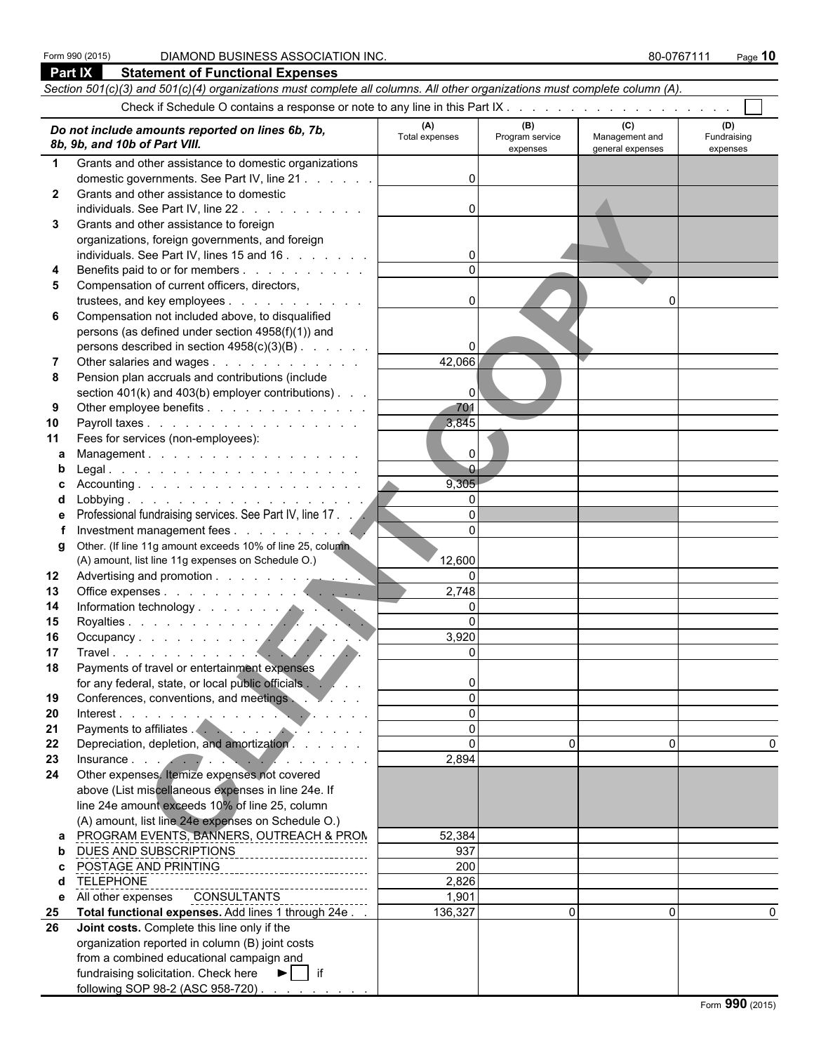| Part IX      | <b>Statement of Functional Expenses</b>                                                                                                                                                                                        |                     |                             |                                    |                         |  |  |  |  |  |  |
|--------------|--------------------------------------------------------------------------------------------------------------------------------------------------------------------------------------------------------------------------------|---------------------|-----------------------------|------------------------------------|-------------------------|--|--|--|--|--|--|
|              | Section 501(c)(3) and 501(c)(4) organizations must complete all columns. All other organizations must complete column (A).                                                                                                     |                     |                             |                                    |                         |  |  |  |  |  |  |
|              |                                                                                                                                                                                                                                |                     |                             |                                    |                         |  |  |  |  |  |  |
|              |                                                                                                                                                                                                                                | (A)                 | (B)                         | (C)                                | (D)                     |  |  |  |  |  |  |
|              | Do not include amounts reported on lines 6b, 7b,<br>8b, 9b, and 10b of Part VIII.                                                                                                                                              | Total expenses      | Program service<br>expenses | Management and<br>general expenses | Fundraising<br>expenses |  |  |  |  |  |  |
| $\mathbf 1$  | Grants and other assistance to domestic organizations                                                                                                                                                                          |                     |                             |                                    |                         |  |  |  |  |  |  |
|              | domestic governments. See Part IV, line 21                                                                                                                                                                                     | $\Omega$            |                             |                                    |                         |  |  |  |  |  |  |
| $\mathbf{2}$ | Grants and other assistance to domestic                                                                                                                                                                                        |                     |                             |                                    |                         |  |  |  |  |  |  |
|              | individuals. See Part IV, line 22                                                                                                                                                                                              | $\Omega$            |                             |                                    |                         |  |  |  |  |  |  |
| 3            | Grants and other assistance to foreign                                                                                                                                                                                         |                     |                             |                                    |                         |  |  |  |  |  |  |
|              | organizations, foreign governments, and foreign                                                                                                                                                                                |                     |                             |                                    |                         |  |  |  |  |  |  |
|              | individuals. See Part IV, lines 15 and 16                                                                                                                                                                                      |                     |                             |                                    |                         |  |  |  |  |  |  |
| 4            | Benefits paid to or for members                                                                                                                                                                                                |                     |                             |                                    |                         |  |  |  |  |  |  |
| 5            | Compensation of current officers, directors,                                                                                                                                                                                   |                     |                             |                                    |                         |  |  |  |  |  |  |
|              | trustees, and key employees                                                                                                                                                                                                    | $\mathbf{0}$        |                             | O                                  |                         |  |  |  |  |  |  |
| 6            | Compensation not included above, to disqualified                                                                                                                                                                               |                     |                             |                                    |                         |  |  |  |  |  |  |
|              | persons (as defined under section 4958(f)(1)) and                                                                                                                                                                              |                     |                             |                                    |                         |  |  |  |  |  |  |
|              | persons described in section 4958(c)(3)(B)                                                                                                                                                                                     | $\Omega$            |                             |                                    |                         |  |  |  |  |  |  |
| 7            | Other salaries and wages                                                                                                                                                                                                       | 42,066              |                             |                                    |                         |  |  |  |  |  |  |
| 8            | Pension plan accruals and contributions (include                                                                                                                                                                               |                     |                             |                                    |                         |  |  |  |  |  |  |
|              | section 401(k) and 403(b) employer contributions).                                                                                                                                                                             | $\mathbf{0}$<br>701 |                             |                                    |                         |  |  |  |  |  |  |
| 9<br>10      | Other employee benefits<br>Payroll taxes                                                                                                                                                                                       | 3,845               |                             |                                    |                         |  |  |  |  |  |  |
| 11           | Fees for services (non-employees):                                                                                                                                                                                             |                     |                             |                                    |                         |  |  |  |  |  |  |
| a            | Management.                                                                                                                                                                                                                    | $\Omega$            |                             |                                    |                         |  |  |  |  |  |  |
| b            |                                                                                                                                                                                                                                | $\overline{0}$      |                             |                                    |                         |  |  |  |  |  |  |
| c            |                                                                                                                                                                                                                                | 9,305               |                             |                                    |                         |  |  |  |  |  |  |
| d            |                                                                                                                                                                                                                                | $\mathbf{0}$        |                             |                                    |                         |  |  |  |  |  |  |
| е            | Professional fundraising services. See Part IV, line 17.                                                                                                                                                                       | $\Omega$            |                             |                                    |                         |  |  |  |  |  |  |
| f            |                                                                                                                                                                                                                                | $\Omega$            |                             |                                    |                         |  |  |  |  |  |  |
| g            | Other. (If line 11g amount exceeds 10% of line 25, column                                                                                                                                                                      |                     |                             |                                    |                         |  |  |  |  |  |  |
|              | (A) amount, list line 11g expenses on Schedule O.)                                                                                                                                                                             | 12,600              |                             |                                    |                         |  |  |  |  |  |  |
| 12           |                                                                                                                                                                                                                                | $\mathbf{0}$        |                             |                                    |                         |  |  |  |  |  |  |
| 13           |                                                                                                                                                                                                                                | 2,748               |                             |                                    |                         |  |  |  |  |  |  |
| 14           |                                                                                                                                                                                                                                | $\Omega$            |                             |                                    |                         |  |  |  |  |  |  |
| 15           | $\blacksquare$                                                                                                                                                                                                                 | $\Omega$            |                             |                                    |                         |  |  |  |  |  |  |
| 16           |                                                                                                                                                                                                                                | 3,920               |                             |                                    |                         |  |  |  |  |  |  |
| 17           | Information technology<br>Royalties<br>Occupancy<br>Travel                                                                                                                                                                     | $\mathbf{0}$        |                             |                                    |                         |  |  |  |  |  |  |
| 18           | Payments of travel or entertainment expenses                                                                                                                                                                                   |                     |                             |                                    |                         |  |  |  |  |  |  |
|              | for any federal, state, or local public officials . You will be a                                                                                                                                                              | 0                   |                             |                                    |                         |  |  |  |  |  |  |
| 19           | Conferences, conventions, and meetings.                                                                                                                                                                                        | $\Omega$            |                             |                                    |                         |  |  |  |  |  |  |
| 20           | Interest.                                                                                                                                                                                                                      | $\Omega$            |                             |                                    |                         |  |  |  |  |  |  |
| 21           | Payments to affiliates .                                                                                                                                                                                                       | $\Omega$            |                             |                                    |                         |  |  |  |  |  |  |
| 22           | Depreciation, depletion, and amortization.                                                                                                                                                                                     | $\Omega$            | 0                           | 0                                  | 0                       |  |  |  |  |  |  |
| 23           | Insurance in the contract of the contract of the contract of the contract of the contract of the contract of the contract of the contract of the contract of the contract of the contract of the contract of the contract of t | 2,894               |                             |                                    |                         |  |  |  |  |  |  |
| 24           | Other expenses. Itemize expenses not covered                                                                                                                                                                                   |                     |                             |                                    |                         |  |  |  |  |  |  |
|              | above (List miscellaneous expenses in line 24e. If                                                                                                                                                                             |                     |                             |                                    |                         |  |  |  |  |  |  |
|              | line 24e amount exceeds 10% of line 25, column<br>(A) amount, list line 24e expenses on Schedule O.)                                                                                                                           |                     |                             |                                    |                         |  |  |  |  |  |  |
|              | PROGRAM EVENTS, BANNERS, OUTREACH & PRON                                                                                                                                                                                       | 52,384              |                             |                                    |                         |  |  |  |  |  |  |
| a<br>b       | DUES AND SUBSCRIPTIONS                                                                                                                                                                                                         | 937                 |                             |                                    |                         |  |  |  |  |  |  |
| C.           |                                                                                                                                                                                                                                | 200                 |                             |                                    |                         |  |  |  |  |  |  |
| d            | <b>TELEPHONE</b>                                                                                                                                                                                                               | 2,826               |                             |                                    |                         |  |  |  |  |  |  |
|              | e All other expenses CONSULTANTS                                                                                                                                                                                               | 1,901               |                             |                                    |                         |  |  |  |  |  |  |
| 25           | Total functional expenses. Add lines 1 through 24e                                                                                                                                                                             | 136,327             | 0                           | 0                                  |                         |  |  |  |  |  |  |
| 26           | Joint costs. Complete this line only if the                                                                                                                                                                                    |                     |                             |                                    |                         |  |  |  |  |  |  |
|              | organization reported in column (B) joint costs                                                                                                                                                                                |                     |                             |                                    |                         |  |  |  |  |  |  |
|              | from a combined educational campaign and                                                                                                                                                                                       |                     |                             |                                    |                         |  |  |  |  |  |  |
|              | fundraising solicitation. Check here $\blacktriangleright$   if                                                                                                                                                                |                     |                             |                                    |                         |  |  |  |  |  |  |
|              | following SOP 98-2 (ASC 958-720)                                                                                                                                                                                               |                     |                             |                                    |                         |  |  |  |  |  |  |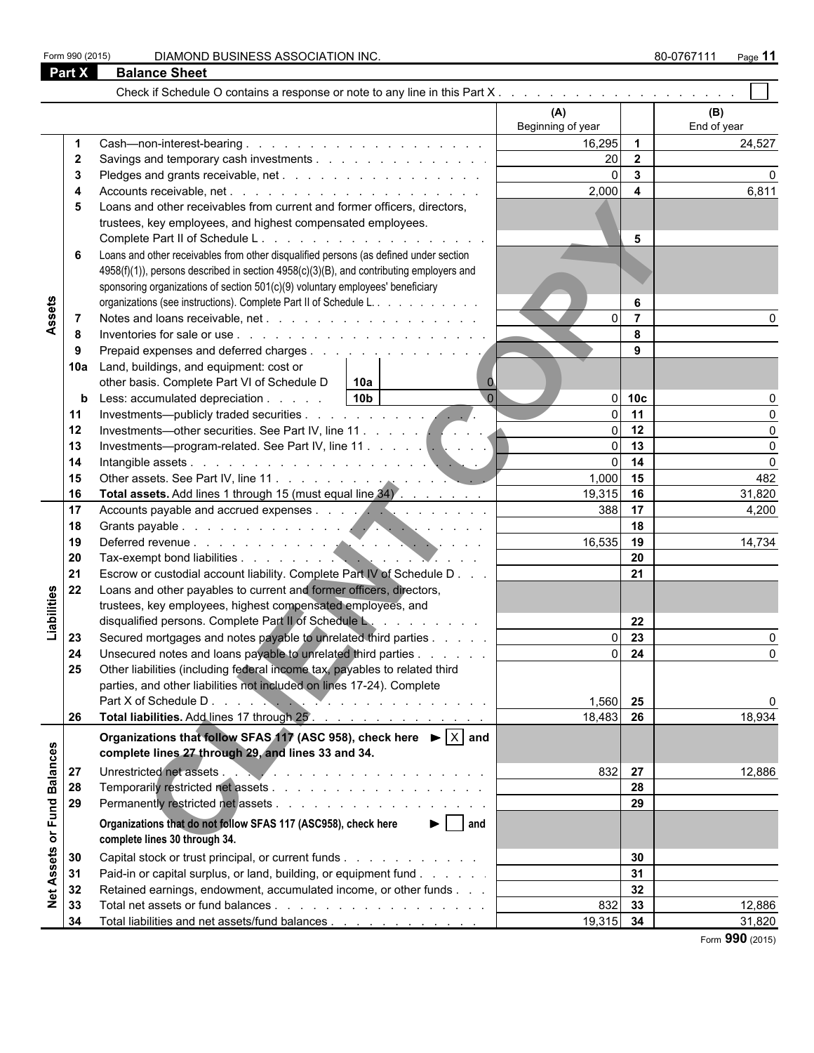Form 990 (2015) DIAMOND BUSINESS ASSOCIATION INC. **80-0767111** Page 11

|                   | <b>Part X</b> | <b>Balance Sheet</b>                                                                          |                   |                         |             |
|-------------------|---------------|-----------------------------------------------------------------------------------------------|-------------------|-------------------------|-------------|
|                   |               |                                                                                               |                   |                         |             |
|                   |               |                                                                                               | (A)               |                         | (B)         |
|                   |               |                                                                                               | Beginning of year |                         | End of year |
|                   | 1             |                                                                                               | 16,295            | $\overline{1}$          | 24,527      |
|                   | 2             | Savings and temporary cash investments                                                        | 20                | $\overline{\mathbf{2}}$ |             |
|                   | 3             |                                                                                               | $\Omega$          | $\mathbf{3}$            |             |
|                   | 4             |                                                                                               | 2,000             | $\overline{\mathbf{4}}$ | 6,811       |
|                   | 5             | Loans and other receivables from current and former officers, directors,                      |                   |                         |             |
|                   |               | trustees, key employees, and highest compensated employees.                                   |                   |                         |             |
|                   |               |                                                                                               |                   | 5                       |             |
|                   | 6             | Loans and other receivables from other disqualified persons (as defined under section         |                   |                         |             |
|                   |               | 4958(f)(1)), persons described in section 4958(c)(3)(B), and contributing employers and       |                   |                         |             |
|                   |               | sponsoring organizations of section 501(c)(9) voluntary employees' beneficiary                |                   |                         |             |
|                   |               | organizations (see instructions). Complete Part II of Schedule L.                             |                   | 6                       |             |
| Assets            |               |                                                                                               | $\Omega$          | $\overline{7}$          |             |
|                   | - 7<br>-8     |                                                                                               |                   | 8                       |             |
|                   | 9             |                                                                                               |                   | 9                       |             |
|                   | 10a           | Land, buildings, and equipment: cost or                                                       |                   |                         |             |
|                   |               | other basis. Complete Part VI of Schedule D<br>l 10a                                          |                   |                         |             |
|                   | b             | 10 <sub>b</sub><br>$\Omega$<br>Less: accumulated depreciation                                 |                   | $0$ 10 $c$              |             |
|                   | 11            |                                                                                               | $\Omega$          | 11                      |             |
|                   | 12            |                                                                                               | $\Omega$          | 12                      |             |
|                   | 13            |                                                                                               | $\Omega$          | 13                      |             |
|                   | 14            |                                                                                               | $\Omega$          | 14                      |             |
|                   | 15            |                                                                                               | 1,000             | 15                      | 482         |
|                   | 16            | Total assets. Add lines 1 through 15 (must equal line 34).                                    | 19,315            | 16                      | 31,820      |
|                   | 17            |                                                                                               | 388               | 17                      | 4,200       |
|                   | 18            |                                                                                               |                   | 18                      |             |
|                   | 19            |                                                                                               | 16,535            | 19                      | 14,734      |
|                   | 20            |                                                                                               |                   | 20                      |             |
|                   | 21            | Escrow or custodial account liability. Complete Part IV of Schedule D                         |                   | 21                      |             |
|                   | 22            | Loans and other payables to current and former officers, directors,                           |                   |                         |             |
| Liabilities       |               | trustees, key employees, highest compensated employees, and                                   |                   |                         |             |
|                   |               | disqualified persons. Complete Part II of Schedule L.                                         |                   | 22                      |             |
|                   | 23            | Secured mortgages and notes payable to unrelated third parties                                | $\Omega$          | 23                      |             |
|                   | 24            | Unsecured notes and loans payable to unrelated third parties                                  | $\overline{0}$    | 24                      |             |
|                   | 25            | Other liabilities (including federal income tax, payables to related third                    |                   |                         |             |
|                   |               | parties, and other liabilities not included on lines 17-24). Complete                         |                   |                         |             |
|                   |               |                                                                                               | 1,560 25          |                         | O           |
|                   | 26            | Total liabilities. Add lines 17 through 25.                                                   | 18,483 26         |                         | 18,934      |
|                   |               |                                                                                               |                   |                         |             |
|                   |               | Organizations that follow SFAS 117 (ASC 958), check here $\blacktriangleright$ $ \times $ and |                   |                         |             |
|                   |               | complete lines 27 through 29, and lines 33 and 34.                                            |                   |                         |             |
|                   | 27            |                                                                                               | 832               | 27                      | 12,886      |
|                   | 28            |                                                                                               |                   | 28                      |             |
| or Fund Balances  | 29            |                                                                                               |                   | 29                      |             |
|                   |               | $\blacktriangleright$   and<br>Organizations that do not follow SFAS 117 (ASC958), check here |                   |                         |             |
|                   |               | complete lines 30 through 34.                                                                 |                   |                         |             |
|                   | 30            | Capital stock or trust principal, or current funds                                            |                   | 30                      |             |
| <b>Net Assets</b> | 31            | Paid-in or capital surplus, or land, building, or equipment fund                              |                   | 31                      |             |
|                   | 32            | Retained earnings, endowment, accumulated income, or other funds                              |                   | 32                      |             |
|                   | 33            |                                                                                               | 832               | 33                      | 12,886      |
|                   | 34            | Total liabilities and net assets/fund balances                                                | $19,315$ 34       |                         | 31,820      |

Form **990** (2015)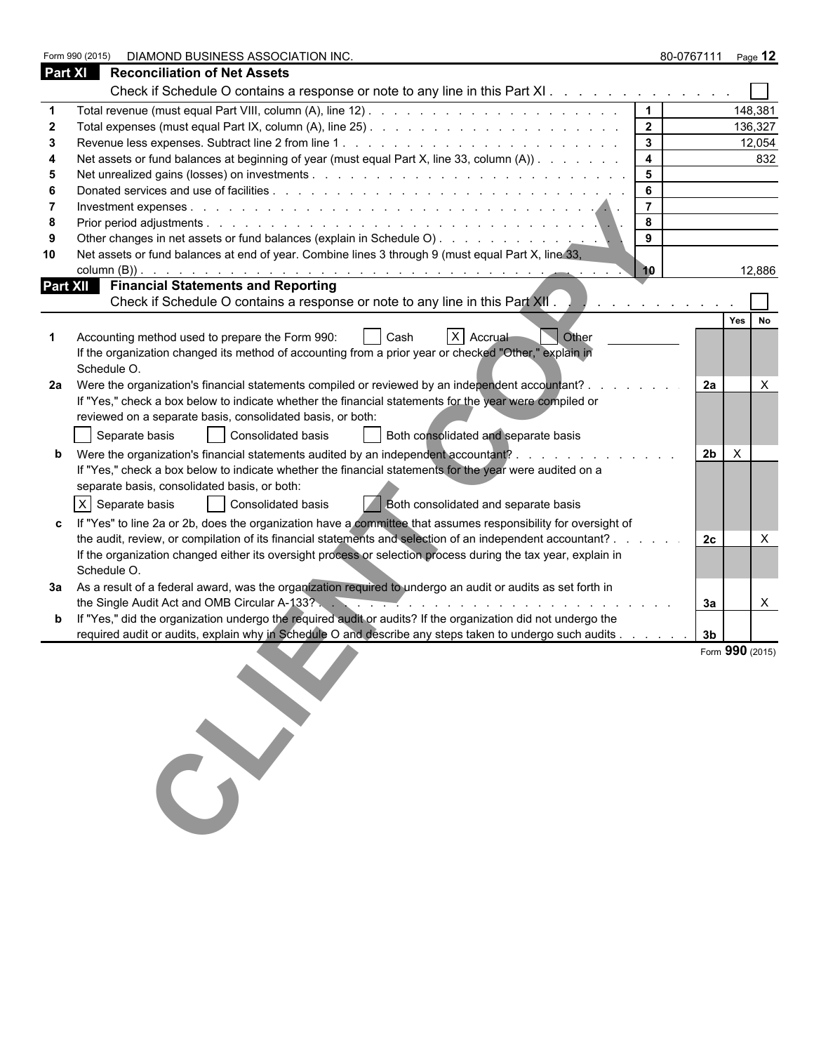|                | Form 990 (2015)<br>DIAMOND BUSINESS ASSOCIATION INC.                                                           |                         | 80-0767111 Page 12 |                 |
|----------------|----------------------------------------------------------------------------------------------------------------|-------------------------|--------------------|-----------------|
| <b>Part XI</b> | <b>Reconciliation of Net Assets</b>                                                                            |                         |                    |                 |
|                | Check if Schedule O contains a response or note to any line in this Part XI.                                   |                         |                    |                 |
|                |                                                                                                                |                         |                    | 148,381         |
|                |                                                                                                                | $\overline{\mathbf{2}}$ |                    | 136,327         |
|                |                                                                                                                | $\mathbf{3}$            |                    | 12,054          |
|                | Net assets or fund balances at beginning of year (must equal Part X, line 33, column (A))                      | $\overline{4}$          |                    | 832             |
| 5              |                                                                                                                | $5\phantom{.0}$         |                    |                 |
|                |                                                                                                                | 6                       |                    |                 |
|                |                                                                                                                | $\overline{7}$          |                    |                 |
| 8              |                                                                                                                | 8<br>9                  |                    |                 |
| 10             | Net assets or fund balances at end of year. Combine lines 3 through 9 (must equal Part X, line 33,             |                         |                    |                 |
|                |                                                                                                                | 10                      |                    | 12,886          |
|                | <b>Part XII</b> Financial Statements and Reporting                                                             |                         |                    |                 |
|                | Check if Schedule O contains a response or note to any line in this Part XII.                                  |                         |                    |                 |
|                |                                                                                                                |                         |                    | Yes<br>No       |
|                | X Accrual<br>Accounting method used to prepare the Form 990:<br>Other<br>Cash                                  |                         |                    |                 |
|                | If the organization changed its method of accounting from a prior year or checked "Other," explain in          |                         |                    |                 |
|                | Schedule O.                                                                                                    |                         |                    |                 |
|                | 2a Were the organization's financial statements compiled or reviewed by an independent accountant?.            |                         | 2a                 | $\times$        |
|                | If "Yes," check a box below to indicate whether the financial statements for the year were compiled or         |                         |                    |                 |
|                | reviewed on a separate basis, consolidated basis, or both:                                                     |                         |                    |                 |
|                | Both consolidated and separate basis<br>Separate basis<br>Consolidated basis                                   |                         |                    |                 |
|                | Were the organization's financial statements audited by an independent accountant?                             |                         | 2 <sub>b</sub>     | $\times$        |
|                | If "Yes," check a box below to indicate whether the financial statements for the year were audited on a        |                         |                    |                 |
|                | separate basis, consolidated basis, or both:                                                                   |                         |                    |                 |
|                | X Separate basis<br>Consolidated basis<br>Both consolidated and separate basis                                 |                         |                    |                 |
|                | If "Yes" to line 2a or 2b, does the organization have a committee that assumes responsibility for oversight of |                         |                    |                 |
|                | the audit, review, or compilation of its financial statements and selection of an independent accountant? .    |                         | 2c                 | X               |
|                | If the organization changed either its oversight process or selection process during the tax year, explain in  |                         |                    |                 |
|                | Schedule O.                                                                                                    |                         |                    |                 |
|                | 3a As a result of a federal award, was the organization required to undergo an audit or audits as set forth in |                         | За                 | X               |
|                | If "Yes," did the organization undergo the required audit or audits? If the organization did not undergo the   |                         |                    |                 |
|                | required audit or audits, explain why in Schedule O and describe any steps taken to undergo such audits        |                         | 3 <sub>b</sub>     |                 |
|                |                                                                                                                |                         |                    | Form 990 (2015) |
|                |                                                                                                                |                         |                    |                 |
|                |                                                                                                                |                         |                    |                 |
|                |                                                                                                                |                         |                    |                 |
|                |                                                                                                                |                         |                    |                 |
|                |                                                                                                                |                         |                    |                 |
|                |                                                                                                                |                         |                    |                 |
|                |                                                                                                                |                         |                    |                 |
|                |                                                                                                                |                         |                    |                 |
|                |                                                                                                                |                         |                    |                 |
|                |                                                                                                                |                         |                    |                 |
|                |                                                                                                                |                         |                    |                 |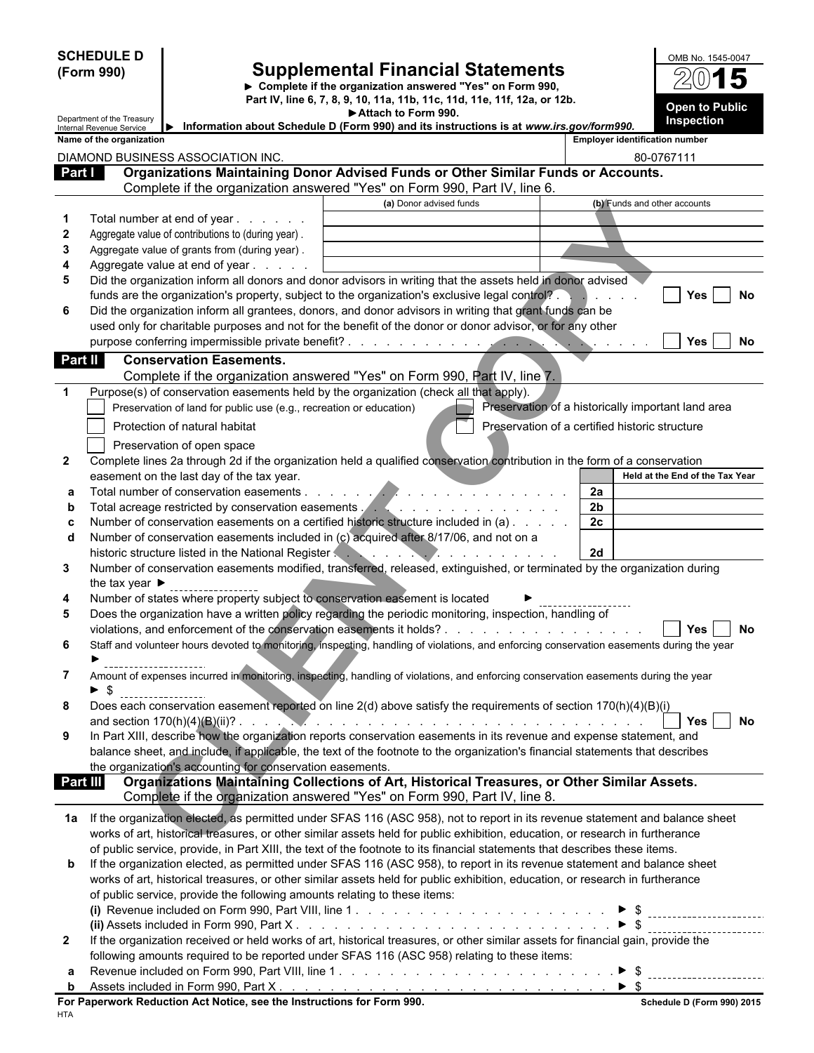|              | <b>SCHEDULE D</b><br>(Form 990)<br>Department of the Treasury |                                                                           | <b>Supplemental Financial Statements</b><br>▶ Complete if the organization answered "Yes" on Form 990,<br>Part IV, line 6, 7, 8, 9, 10, 11a, 11b, 11c, 11d, 11e, 11f, 12a, or 12b.<br>Attach to Form 990. |                                                | OMB No. 1545-0047<br><b>Open to Public</b><br>Inspection |  |
|--------------|---------------------------------------------------------------|---------------------------------------------------------------------------|-----------------------------------------------------------------------------------------------------------------------------------------------------------------------------------------------------------|------------------------------------------------|----------------------------------------------------------|--|
|              | Internal Revenue Service<br>Name of the organization          |                                                                           | Information about Schedule D (Form 990) and its instructions is at www.irs.gov/form990.                                                                                                                   |                                                | <b>Employer identification number</b>                    |  |
|              |                                                               | DIAMOND BUSINESS ASSOCIATION INC.                                         |                                                                                                                                                                                                           |                                                | 80-0767111                                               |  |
| Part I       |                                                               |                                                                           | Organizations Maintaining Donor Advised Funds or Other Similar Funds or Accounts.                                                                                                                         |                                                |                                                          |  |
|              |                                                               |                                                                           | Complete if the organization answered "Yes" on Form 990, Part IV, line 6.                                                                                                                                 |                                                |                                                          |  |
|              |                                                               |                                                                           | (a) Donor advised funds                                                                                                                                                                                   |                                                | (b) Funds and other accounts                             |  |
|              |                                                               | Total number at end of year                                               |                                                                                                                                                                                                           |                                                |                                                          |  |
| $\mathbf{2}$ |                                                               | Aggregate value of contributions to (during year).                        |                                                                                                                                                                                                           |                                                |                                                          |  |
| 3            |                                                               | Aggregate value of grants from (during year).                             |                                                                                                                                                                                                           |                                                |                                                          |  |
| 4            |                                                               | Aggregate value at end of year                                            |                                                                                                                                                                                                           |                                                |                                                          |  |
| 5            |                                                               |                                                                           | Did the organization inform all donors and donor advisors in writing that the assets held in donor advised                                                                                                |                                                |                                                          |  |
| 6            |                                                               |                                                                           | funds are the organization's property, subject to the organization's exclusive legal control?<br>Did the organization inform all grantees, donors, and donor advisors in writing that grant funds can be  |                                                | No<br>Yes.                                               |  |
|              |                                                               |                                                                           | used only for charitable purposes and not for the benefit of the donor or donor advisor, or for any other                                                                                                 |                                                |                                                          |  |
|              |                                                               |                                                                           |                                                                                                                                                                                                           |                                                | Yes<br>No                                                |  |
| Part II      |                                                               | <b>Conservation Easements.</b>                                            |                                                                                                                                                                                                           |                                                |                                                          |  |
|              |                                                               |                                                                           | Complete if the organization answered "Yes" on Form 990, Part IV, line 7.                                                                                                                                 |                                                |                                                          |  |
| $\mathbf{1}$ |                                                               |                                                                           | Purpose(s) of conservation easements held by the organization (check all that apply).                                                                                                                     |                                                |                                                          |  |
|              |                                                               | Preservation of land for public use (e.g., recreation or education)       |                                                                                                                                                                                                           |                                                | Preservation of a historically important land area       |  |
|              |                                                               | Protection of natural habitat                                             |                                                                                                                                                                                                           | Preservation of a certified historic structure |                                                          |  |
|              |                                                               | Preservation of open space                                                |                                                                                                                                                                                                           |                                                |                                                          |  |
| $\mathbf{2}$ |                                                               |                                                                           | Complete lines 2a through 2d if the organization held a qualified conservation contribution in the form of a conservation                                                                                 |                                                |                                                          |  |
|              |                                                               | easement on the last day of the tax year.                                 |                                                                                                                                                                                                           |                                                | Held at the End of the Tax Year                          |  |
| а            |                                                               |                                                                           |                                                                                                                                                                                                           | 2a                                             |                                                          |  |
| b            |                                                               |                                                                           |                                                                                                                                                                                                           | 2 <sub>b</sub>                                 |                                                          |  |
| c            |                                                               |                                                                           | Number of conservation easements on a certified historic structure included in (a)                                                                                                                        | 2c                                             |                                                          |  |
| d            |                                                               | historic structure listed in the National Register                        | Number of conservation easements included in (c) acquired after 8/17/06, and not on a<br>$\overline{\mathcal{A}}$ . The state of the state $\overline{\mathcal{A}}$                                       | 2d                                             |                                                          |  |
| 3            |                                                               |                                                                           | Number of conservation easements modified, transferred, released, extinguished, or terminated by the organization during                                                                                  |                                                |                                                          |  |
|              | the tax year $\blacktriangleright$                            |                                                                           |                                                                                                                                                                                                           |                                                |                                                          |  |
| 4            |                                                               |                                                                           | Number of states where property subject to conservation easement is located                                                                                                                               |                                                |                                                          |  |
| 5            |                                                               |                                                                           | Does the organization have a written policy regarding the periodic monitoring, inspection, handling of                                                                                                    |                                                |                                                          |  |
|              |                                                               |                                                                           |                                                                                                                                                                                                           |                                                | No<br>Yes                                                |  |
| 6            |                                                               |                                                                           | Staff and volunteer hours devoted to monitoring, inspecting, handling of violations, and enforcing conservation easements during the year                                                                 |                                                |                                                          |  |
| 7            |                                                               |                                                                           | Amount of expenses incurred in monitoring, inspecting, handling of violations, and enforcing conservation easements during the year                                                                       |                                                |                                                          |  |
|              | ► \$                                                          |                                                                           |                                                                                                                                                                                                           |                                                |                                                          |  |
| 8            |                                                               |                                                                           | Does each conservation easement reported on line 2(d) above satisfy the requirements of section 170(h)(4)(B)(i)                                                                                           |                                                |                                                          |  |
| 9            |                                                               |                                                                           | In Part XIII, describe how the organization reports conservation easements in its revenue and expense statement, and                                                                                      |                                                | Yes<br>No                                                |  |
|              |                                                               |                                                                           | balance sheet, and include, if applicable, the text of the footnote to the organization's financial statements that describes                                                                             |                                                |                                                          |  |
|              |                                                               | the organization's accounting for conservation easements.                 |                                                                                                                                                                                                           |                                                |                                                          |  |
|              | Part III                                                      |                                                                           | Organizations Maintaining Collections of Art, Historical Treasures, or Other Similar Assets.                                                                                                              |                                                |                                                          |  |
|              |                                                               |                                                                           | Complete if the organization answered "Yes" on Form 990, Part IV, line 8.                                                                                                                                 |                                                |                                                          |  |
|              |                                                               |                                                                           | 1a If the organization elected, as permitted under SFAS 116 (ASC 958), not to report in its revenue statement and balance sheet                                                                           |                                                |                                                          |  |
|              |                                                               |                                                                           | works of art, historical treasures, or other similar assets held for public exhibition, education, or research in furtherance                                                                             |                                                |                                                          |  |
|              |                                                               |                                                                           | of public service, provide, in Part XIII, the text of the footnote to its financial statements that describes these items.                                                                                |                                                |                                                          |  |
| b            |                                                               |                                                                           | If the organization elected, as permitted under SFAS 116 (ASC 958), to report in its revenue statement and balance sheet                                                                                  |                                                |                                                          |  |
|              |                                                               |                                                                           | works of art, historical treasures, or other similar assets held for public exhibition, education, or research in furtherance                                                                             |                                                |                                                          |  |
|              |                                                               | of public service, provide the following amounts relating to these items: |                                                                                                                                                                                                           |                                                |                                                          |  |
|              |                                                               |                                                                           |                                                                                                                                                                                                           |                                                | __________________________                               |  |
|              |                                                               |                                                                           |                                                                                                                                                                                                           |                                                |                                                          |  |
| $\mathbf{2}$ |                                                               |                                                                           | If the organization received or held works of art, historical treasures, or other similar assets for financial gain, provide the                                                                          |                                                |                                                          |  |
|              |                                                               |                                                                           | following amounts required to be reported under SFAS 116 (ASC 958) relating to these items:                                                                                                               |                                                |                                                          |  |
| а            |                                                               |                                                                           |                                                                                                                                                                                                           |                                                |                                                          |  |
| b            |                                                               | For Paperwork Reduction Act Notice, see the Instructions for Form 990.    |                                                                                                                                                                                                           |                                                | Schedule D (Form 990) 2015                               |  |
|              |                                                               |                                                                           |                                                                                                                                                                                                           |                                                |                                                          |  |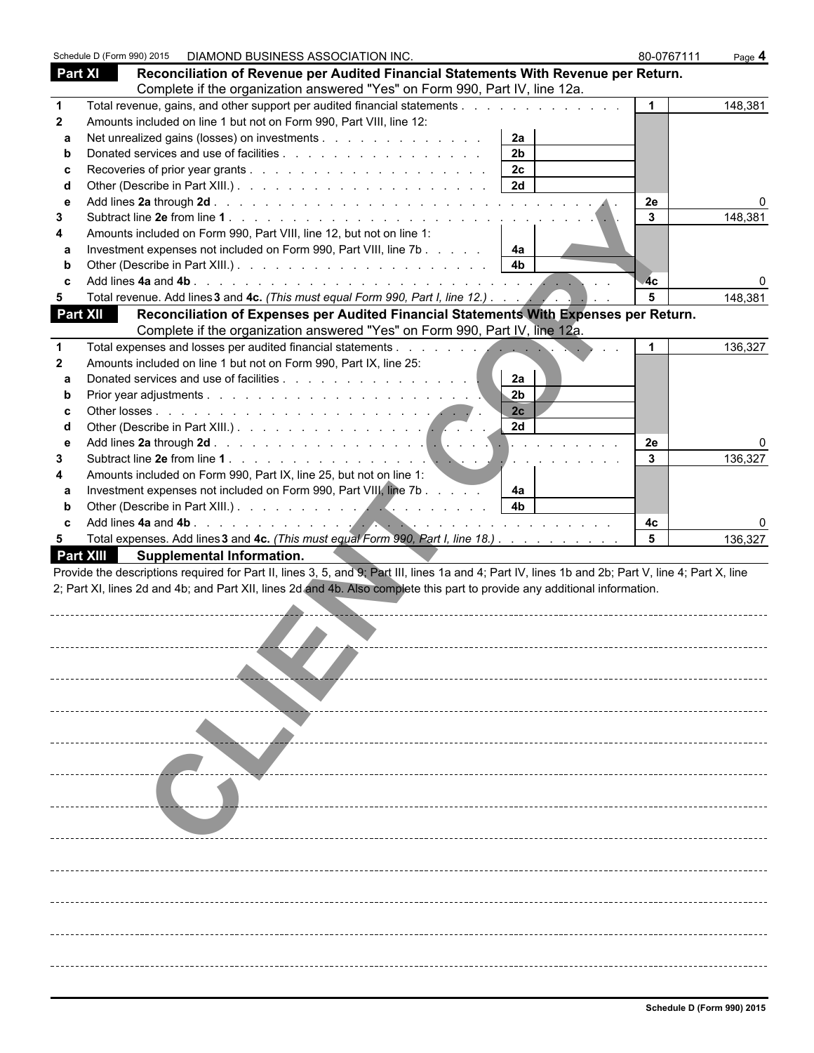|                  | Schedule D (Form 990) 2015 | DIAMOND BUSINESS ASSOCIATION INC. |                                                                                                                                                    |                      | 80-0767111   | Page 4  |
|------------------|----------------------------|-----------------------------------|----------------------------------------------------------------------------------------------------------------------------------------------------|----------------------|--------------|---------|
| Part XI          |                            |                                   | Reconciliation of Revenue per Audited Financial Statements With Revenue per Return.                                                                |                      |              |         |
|                  |                            |                                   | Complete if the organization answered "Yes" on Form 990, Part IV, line 12a.                                                                        |                      |              |         |
| 1                |                            |                                   | Total revenue, gains, and other support per audited financial statements                                                                           |                      | $\mathbf{1}$ | 148,381 |
| $\mathbf{2}$     |                            |                                   | Amounts included on line 1 but not on Form 990, Part VIII, line 12:                                                                                |                      |              |         |
| a                |                            |                                   | Net unrealized gains (losses) on investments                                                                                                       | 2a                   |              |         |
| b                |                            |                                   |                                                                                                                                                    | 2 <sub>b</sub>       |              |         |
| c                |                            |                                   |                                                                                                                                                    | 2c                   |              |         |
| d                |                            |                                   |                                                                                                                                                    | 2d                   |              |         |
| e                |                            |                                   |                                                                                                                                                    |                      | 2e           |         |
| 3                |                            |                                   |                                                                                                                                                    |                      | 3            | 148,381 |
| 4                |                            |                                   | Amounts included on Form 990, Part VIII, line 12, but not on line 1:                                                                               |                      |              |         |
| a                |                            |                                   | Investment expenses not included on Form 990, Part VIII, line 7b                                                                                   | 4a                   |              |         |
| b                |                            |                                   |                                                                                                                                                    | 4 <sub>b</sub>       |              |         |
| C                |                            |                                   |                                                                                                                                                    |                      | 4c           |         |
| 5                |                            |                                   | Total revenue. Add lines 3 and 4c. (This must equal Form 990, Part I, line 12.).                                                                   |                      | 5            | 148,381 |
| Part XII         |                            |                                   | Reconciliation of Expenses per Audited Financial Statements With Expenses per Return.                                                              |                      |              |         |
|                  |                            |                                   | Complete if the organization answered "Yes" on Form 990, Part IV, line 12a.                                                                        |                      |              |         |
| $\mathbf 1$      |                            |                                   |                                                                                                                                                    |                      | -1           | 136,327 |
| $\mathbf{2}$     |                            |                                   | Amounts included on line 1 but not on Form 990, Part IX, line 25:                                                                                  |                      |              |         |
| a                |                            |                                   | Donated services and use of facilities                                                                                                             | 2a<br>2 <sub>b</sub> |              |         |
| b                |                            |                                   |                                                                                                                                                    | 2c                   |              |         |
| C<br>d           |                            |                                   |                                                                                                                                                    | 2d                   |              |         |
| e                |                            |                                   |                                                                                                                                                    |                      | 2e           |         |
| 3                |                            |                                   |                                                                                                                                                    |                      | 3            | 136,327 |
| 4                |                            |                                   | Amounts included on Form 990, Part IX, line 25, but not on line 1:                                                                                 |                      |              |         |
| a                |                            |                                   | Investment expenses not included on Form 990, Part VIII, line 7b                                                                                   | 4a                   |              |         |
| b                |                            |                                   |                                                                                                                                                    | 4 <sub>b</sub>       |              |         |
| C                |                            |                                   |                                                                                                                                                    |                      | 4c           |         |
| 5                |                            |                                   | Total expenses. Add lines 3 and 4c. (This must equal Form 990, Part I, line 18.)                                                                   |                      | 5            | 136,327 |
| <b>Part XIII</b> |                            | <b>Supplemental Information.</b>  |                                                                                                                                                    |                      |              |         |
|                  |                            |                                   | Provide the descriptions required for Part II, lines 3, 5, and 9; Part III, lines 1a and 4; Part IV, lines 1b and 2b; Part V, line 4; Part X, line |                      |              |         |
|                  |                            |                                   | 2; Part XI, lines 2d and 4b; and Part XII, lines 2d and 4b. Also complete this part to provide any additional information.                         |                      |              |         |
|                  |                            |                                   |                                                                                                                                                    |                      |              |         |
|                  |                            |                                   |                                                                                                                                                    |                      |              |         |
|                  |                            |                                   |                                                                                                                                                    |                      |              |         |
|                  |                            |                                   |                                                                                                                                                    |                      |              |         |
|                  |                            |                                   |                                                                                                                                                    |                      |              |         |
|                  |                            |                                   |                                                                                                                                                    |                      |              |         |
|                  |                            |                                   |                                                                                                                                                    |                      |              |         |
|                  |                            |                                   |                                                                                                                                                    |                      |              |         |
|                  |                            |                                   |                                                                                                                                                    |                      |              |         |
|                  |                            |                                   |                                                                                                                                                    |                      |              |         |
|                  |                            |                                   |                                                                                                                                                    |                      |              |         |
|                  |                            |                                   |                                                                                                                                                    |                      |              |         |
|                  |                            |                                   |                                                                                                                                                    |                      |              |         |
|                  |                            |                                   |                                                                                                                                                    |                      |              |         |
|                  |                            |                                   |                                                                                                                                                    |                      |              |         |
|                  |                            |                                   |                                                                                                                                                    |                      |              |         |
|                  |                            |                                   |                                                                                                                                                    |                      |              |         |
|                  |                            |                                   |                                                                                                                                                    |                      |              |         |
|                  |                            |                                   |                                                                                                                                                    |                      |              |         |
|                  |                            |                                   |                                                                                                                                                    |                      |              |         |
|                  |                            |                                   |                                                                                                                                                    |                      |              |         |
|                  |                            |                                   |                                                                                                                                                    |                      |              |         |
|                  |                            |                                   |                                                                                                                                                    |                      |              |         |
|                  |                            |                                   |                                                                                                                                                    |                      |              |         |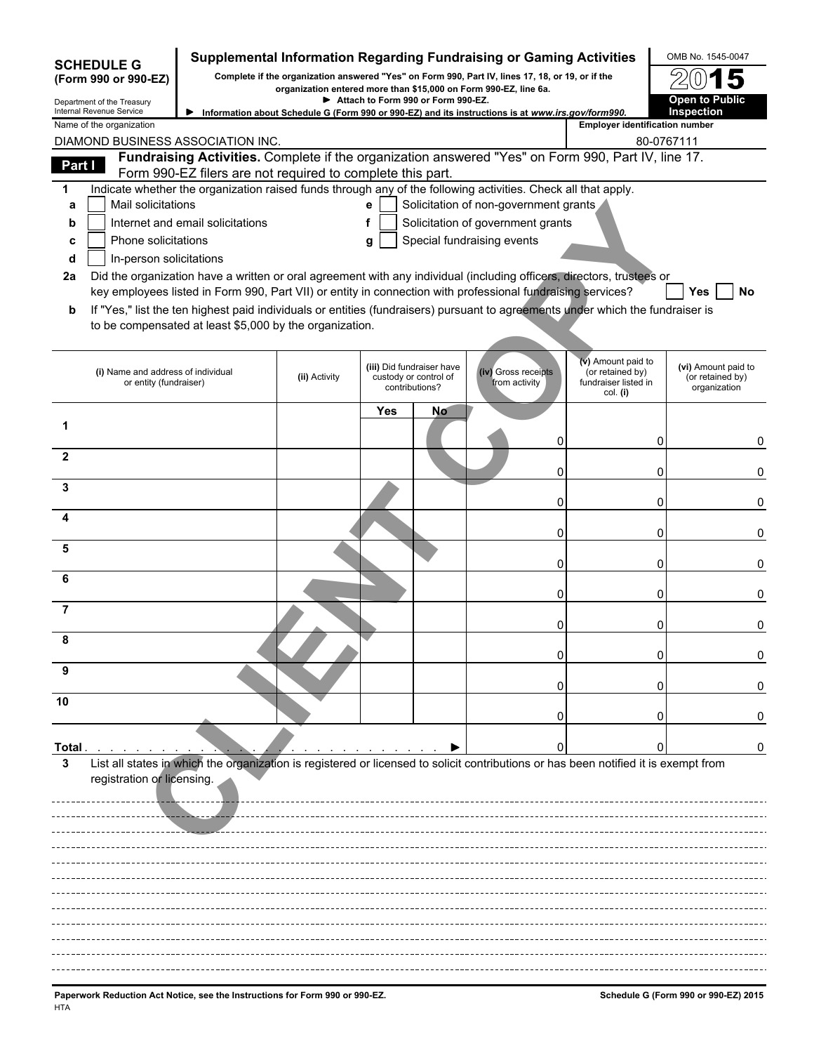|              |                                                              |                                                            |               |     |                                                                      | Supplemental Information Regarding Fundraising or Gaming Activities                                           |                                                                                                                                     | OMB No. 1545-0047                                       |
|--------------|--------------------------------------------------------------|------------------------------------------------------------|---------------|-----|----------------------------------------------------------------------|---------------------------------------------------------------------------------------------------------------|-------------------------------------------------------------------------------------------------------------------------------------|---------------------------------------------------------|
|              | <b>SCHEDULE G</b><br>(Form 990 or 990-EZ)                    |                                                            |               |     |                                                                      | Complete if the organization answered "Yes" on Form 990, Part IV, lines 17, 18, or 19, or if the              |                                                                                                                                     |                                                         |
|              | Department of the Treasury                                   |                                                            |               |     | Attach to Form 990 or Form 990-EZ.                                   | organization entered more than \$15,000 on Form 990-EZ, line 6a.                                              |                                                                                                                                     | <b>Open to Public</b>                                   |
|              | Internal Revenue Service<br>Name of the organization         |                                                            |               |     |                                                                      | Information about Schedule G (Form 990 or 990-EZ) and its instructions is at www.irs.gov/form990.             | <b>Employer identification number</b>                                                                                               | Inspection                                              |
|              |                                                              | DIAMOND BUSINESS ASSOCIATION INC.                          |               |     |                                                                      |                                                                                                               | 80-0767111                                                                                                                          |                                                         |
| Part I       |                                                              | Form 990-EZ filers are not required to complete this part. |               |     |                                                                      |                                                                                                               | Fundraising Activities. Complete if the organization answered "Yes" on Form 990, Part IV, line 17.                                  |                                                         |
| 1            |                                                              |                                                            |               |     |                                                                      | Indicate whether the organization raised funds through any of the following activities. Check all that apply. |                                                                                                                                     |                                                         |
| a            | Mail solicitations                                           |                                                            |               | e   |                                                                      | Solicitation of non-government grants                                                                         |                                                                                                                                     |                                                         |
| b            |                                                              | Internet and email solicitations                           |               | f   |                                                                      | Solicitation of government grants                                                                             |                                                                                                                                     |                                                         |
| c<br>d       | Phone solicitations<br>In-person solicitations               |                                                            |               | g   |                                                                      | Special fundraising events                                                                                    |                                                                                                                                     |                                                         |
| 2a           |                                                              |                                                            |               |     |                                                                      |                                                                                                               | Did the organization have a written or oral agreement with any individual (including officers, directors, trustees or               |                                                         |
|              |                                                              |                                                            |               |     |                                                                      | key employees listed in Form 990, Part VII) or entity in connection with professional fundraising services?   |                                                                                                                                     | <b>Yes</b><br>No                                        |
| b            |                                                              | to be compensated at least \$5,000 by the organization.    |               |     |                                                                      |                                                                                                               | If "Yes," list the ten highest paid individuals or entities (fundraisers) pursuant to agreements under which the fundraiser is      |                                                         |
|              | (i) Name and address of individual<br>or entity (fundraiser) |                                                            | (ii) Activity |     | (iii) Did fundraiser have<br>custody or control of<br>contributions? | (iv) Gross receipts<br>from activity                                                                          | (v) Amount paid to<br>(or retained by)<br>fundraiser listed in<br>col. (i)                                                          | (vi) Amount paid to<br>(or retained by)<br>organization |
|              |                                                              |                                                            |               | Yes | No                                                                   |                                                                                                               |                                                                                                                                     |                                                         |
| $\mathbf{2}$ |                                                              |                                                            |               |     |                                                                      | 0                                                                                                             | 0                                                                                                                                   | 0                                                       |
| 3            |                                                              |                                                            |               |     |                                                                      | 0                                                                                                             | 0                                                                                                                                   | 0                                                       |
|              |                                                              |                                                            |               |     |                                                                      | 0                                                                                                             | 0                                                                                                                                   | 0                                                       |
| 5            |                                                              |                                                            |               |     |                                                                      | 0<br>0                                                                                                        | 0<br>0                                                                                                                              | 0<br>0                                                  |
| 6            |                                                              |                                                            |               |     |                                                                      | 0                                                                                                             | 0                                                                                                                                   | 0                                                       |
| 7            |                                                              |                                                            |               |     |                                                                      | 0                                                                                                             | 0                                                                                                                                   | 0                                                       |
|              |                                                              |                                                            |               |     |                                                                      | O                                                                                                             | 0                                                                                                                                   |                                                         |
| 9            |                                                              |                                                            |               |     |                                                                      |                                                                                                               |                                                                                                                                     | 0                                                       |
| 10           |                                                              |                                                            |               |     |                                                                      |                                                                                                               |                                                                                                                                     |                                                         |
|              |                                                              |                                                            |               |     |                                                                      |                                                                                                               |                                                                                                                                     | 0                                                       |
| Total .<br>3 | registration or licensing.                                   |                                                            |               |     |                                                                      |                                                                                                               | List all states in which the organization is registered or licensed to solicit contributions or has been notified it is exempt from |                                                         |
|              |                                                              |                                                            |               |     |                                                                      |                                                                                                               |                                                                                                                                     |                                                         |
|              |                                                              |                                                            |               |     |                                                                      |                                                                                                               |                                                                                                                                     |                                                         |
|              |                                                              |                                                            |               |     |                                                                      |                                                                                                               |                                                                                                                                     |                                                         |
|              |                                                              |                                                            |               |     |                                                                      |                                                                                                               |                                                                                                                                     |                                                         |
|              |                                                              |                                                            |               |     |                                                                      |                                                                                                               |                                                                                                                                     |                                                         |
|              |                                                              |                                                            |               |     |                                                                      |                                                                                                               |                                                                                                                                     |                                                         |
|              |                                                              |                                                            |               |     |                                                                      |                                                                                                               |                                                                                                                                     |                                                         |
|              |                                                              |                                                            |               |     |                                                                      |                                                                                                               |                                                                                                                                     |                                                         |
|              |                                                              |                                                            |               |     |                                                                      |                                                                                                               |                                                                                                                                     |                                                         |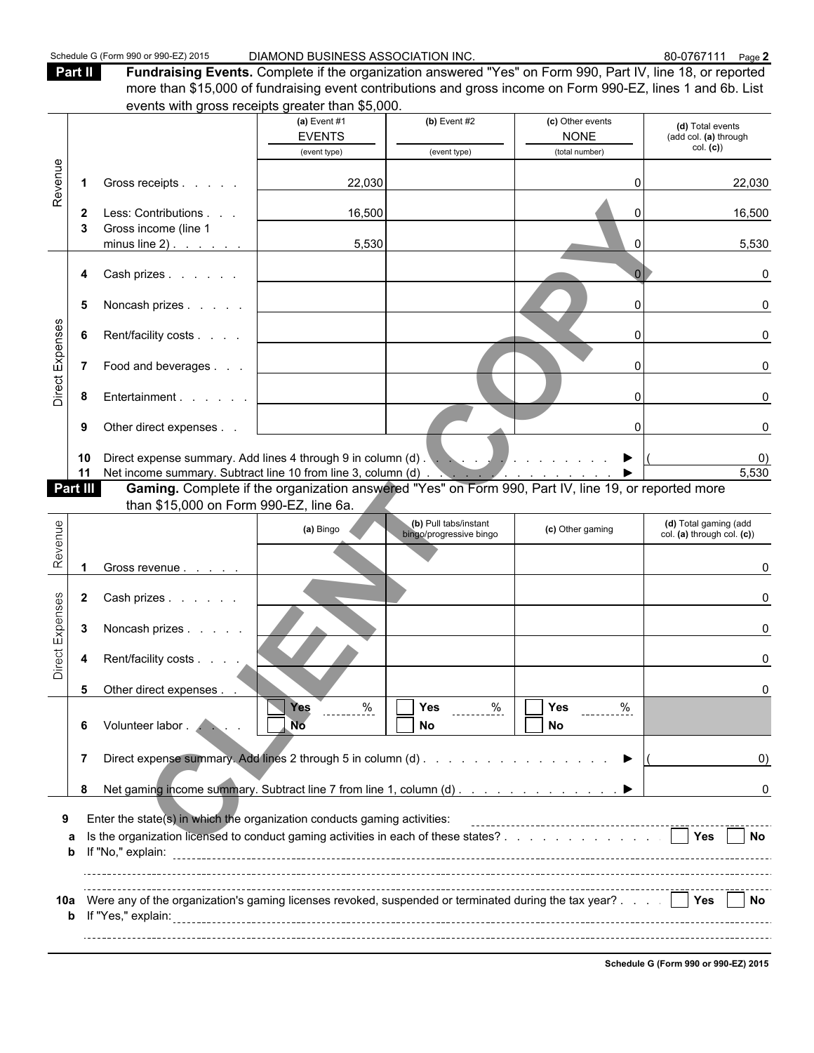Part II **Fundraising Events.** Complete if the organization answered "Yes" on Form 990, Part IV, line 18, or reported more than \$15,000 of fundraising event contributions and gross income on Form 990-EZ, lines 1 and 6b. List events with gross receipts greater than \$5,000.

| (c) Other events<br>(a) Event $#1$<br>$(b)$ Event #2<br>(d) Total events<br><b>EVENTS</b><br><b>NONE</b><br>(add col. (a) through<br>col. (c)<br>(total number)<br>(event type)<br>(event type)<br>Revenue<br>22,030<br>22,030<br>Gross receipts<br>$\mathbf 1$<br>Less: Contributions<br>16,500<br>16,500<br>$\mathbf{2}$<br>Gross income (line 1<br>3<br>5,530<br>5,530<br>minus line $2)$ .<br>$\Omega$<br>Cash prizes<br>0<br>4<br>Noncash prizes<br>5<br><sup>n</sup><br>$\Omega$<br>Direct Expenses<br>Rent/facility costs<br>6<br>0<br>U<br>$\overline{7}$<br>Food and beverages<br>$\Omega$<br>n<br>Entertainment<br>8<br>0<br>n<br>Other direct expenses<br>9<br>10<br>0)<br>5,530<br>Net income summary. Subtract line 10 from line 3, column (d)<br>11<br>Gaming. Complete if the organization answered "Yes" on Form 990, Part IV, line 19, or reported more<br>Part III<br>than \$15,000 on Form 990-EZ, line 6a.<br>Revenue<br>(b) Pull tabs/instant<br>(d) Total gaming (add<br>(a) Bingo<br>(c) Other gaming<br>bingo/progressive bingo<br>col. (a) through col. (c))<br>Gross revenue<br><sup>0</sup><br>Direct Expenses<br>Cash prizes<br>$\mathbf{2}$<br>n<br>3<br>Noncash prizes<br>Rent/facility costs<br>4<br>0<br>5<br>Other direct expenses<br>I<br>−<br>$\%$<br>$rac{96}{1}$<br>Yes<br>%<br>Yes<br>Yes<br>Volunteer labor . /<br>. No<br>No<br>No<br>6<br>Direct expense summary. Add lines 2 through 5 in column (d)<br>7<br>$\left( 0\right)$<br>8<br>0<br>Enter the state(s) in which the organization conducts gaming activities:<br>$\vert$ Yes<br>Is the organization licensed to conduct gaming activities in each of these states?<br><b>No</b><br>a<br>b<br>Were any of the organization's gaming licenses revoked, suspended or terminated during the tax year? $\therefore$<br>No.<br>10a |  |  | events with gross receipts greater than \$0,000. |  |  |
|-------------------------------------------------------------------------------------------------------------------------------------------------------------------------------------------------------------------------------------------------------------------------------------------------------------------------------------------------------------------------------------------------------------------------------------------------------------------------------------------------------------------------------------------------------------------------------------------------------------------------------------------------------------------------------------------------------------------------------------------------------------------------------------------------------------------------------------------------------------------------------------------------------------------------------------------------------------------------------------------------------------------------------------------------------------------------------------------------------------------------------------------------------------------------------------------------------------------------------------------------------------------------------------------------------------------------------------------------------------------------------------------------------------------------------------------------------------------------------------------------------------------------------------------------------------------------------------------------------------------------------------------------------------------------------------------------------------------------------------------------------------------------------------------------------------------------------|--|--|--------------------------------------------------|--|--|
|                                                                                                                                                                                                                                                                                                                                                                                                                                                                                                                                                                                                                                                                                                                                                                                                                                                                                                                                                                                                                                                                                                                                                                                                                                                                                                                                                                                                                                                                                                                                                                                                                                                                                                                                                                                                                               |  |  |                                                  |  |  |
|                                                                                                                                                                                                                                                                                                                                                                                                                                                                                                                                                                                                                                                                                                                                                                                                                                                                                                                                                                                                                                                                                                                                                                                                                                                                                                                                                                                                                                                                                                                                                                                                                                                                                                                                                                                                                               |  |  |                                                  |  |  |
|                                                                                                                                                                                                                                                                                                                                                                                                                                                                                                                                                                                                                                                                                                                                                                                                                                                                                                                                                                                                                                                                                                                                                                                                                                                                                                                                                                                                                                                                                                                                                                                                                                                                                                                                                                                                                               |  |  |                                                  |  |  |
|                                                                                                                                                                                                                                                                                                                                                                                                                                                                                                                                                                                                                                                                                                                                                                                                                                                                                                                                                                                                                                                                                                                                                                                                                                                                                                                                                                                                                                                                                                                                                                                                                                                                                                                                                                                                                               |  |  |                                                  |  |  |
|                                                                                                                                                                                                                                                                                                                                                                                                                                                                                                                                                                                                                                                                                                                                                                                                                                                                                                                                                                                                                                                                                                                                                                                                                                                                                                                                                                                                                                                                                                                                                                                                                                                                                                                                                                                                                               |  |  |                                                  |  |  |
|                                                                                                                                                                                                                                                                                                                                                                                                                                                                                                                                                                                                                                                                                                                                                                                                                                                                                                                                                                                                                                                                                                                                                                                                                                                                                                                                                                                                                                                                                                                                                                                                                                                                                                                                                                                                                               |  |  |                                                  |  |  |
|                                                                                                                                                                                                                                                                                                                                                                                                                                                                                                                                                                                                                                                                                                                                                                                                                                                                                                                                                                                                                                                                                                                                                                                                                                                                                                                                                                                                                                                                                                                                                                                                                                                                                                                                                                                                                               |  |  |                                                  |  |  |
|                                                                                                                                                                                                                                                                                                                                                                                                                                                                                                                                                                                                                                                                                                                                                                                                                                                                                                                                                                                                                                                                                                                                                                                                                                                                                                                                                                                                                                                                                                                                                                                                                                                                                                                                                                                                                               |  |  |                                                  |  |  |
|                                                                                                                                                                                                                                                                                                                                                                                                                                                                                                                                                                                                                                                                                                                                                                                                                                                                                                                                                                                                                                                                                                                                                                                                                                                                                                                                                                                                                                                                                                                                                                                                                                                                                                                                                                                                                               |  |  |                                                  |  |  |
|                                                                                                                                                                                                                                                                                                                                                                                                                                                                                                                                                                                                                                                                                                                                                                                                                                                                                                                                                                                                                                                                                                                                                                                                                                                                                                                                                                                                                                                                                                                                                                                                                                                                                                                                                                                                                               |  |  |                                                  |  |  |
|                                                                                                                                                                                                                                                                                                                                                                                                                                                                                                                                                                                                                                                                                                                                                                                                                                                                                                                                                                                                                                                                                                                                                                                                                                                                                                                                                                                                                                                                                                                                                                                                                                                                                                                                                                                                                               |  |  |                                                  |  |  |
|                                                                                                                                                                                                                                                                                                                                                                                                                                                                                                                                                                                                                                                                                                                                                                                                                                                                                                                                                                                                                                                                                                                                                                                                                                                                                                                                                                                                                                                                                                                                                                                                                                                                                                                                                                                                                               |  |  |                                                  |  |  |
|                                                                                                                                                                                                                                                                                                                                                                                                                                                                                                                                                                                                                                                                                                                                                                                                                                                                                                                                                                                                                                                                                                                                                                                                                                                                                                                                                                                                                                                                                                                                                                                                                                                                                                                                                                                                                               |  |  |                                                  |  |  |
|                                                                                                                                                                                                                                                                                                                                                                                                                                                                                                                                                                                                                                                                                                                                                                                                                                                                                                                                                                                                                                                                                                                                                                                                                                                                                                                                                                                                                                                                                                                                                                                                                                                                                                                                                                                                                               |  |  |                                                  |  |  |
|                                                                                                                                                                                                                                                                                                                                                                                                                                                                                                                                                                                                                                                                                                                                                                                                                                                                                                                                                                                                                                                                                                                                                                                                                                                                                                                                                                                                                                                                                                                                                                                                                                                                                                                                                                                                                               |  |  |                                                  |  |  |
|                                                                                                                                                                                                                                                                                                                                                                                                                                                                                                                                                                                                                                                                                                                                                                                                                                                                                                                                                                                                                                                                                                                                                                                                                                                                                                                                                                                                                                                                                                                                                                                                                                                                                                                                                                                                                               |  |  |                                                  |  |  |
|                                                                                                                                                                                                                                                                                                                                                                                                                                                                                                                                                                                                                                                                                                                                                                                                                                                                                                                                                                                                                                                                                                                                                                                                                                                                                                                                                                                                                                                                                                                                                                                                                                                                                                                                                                                                                               |  |  |                                                  |  |  |
|                                                                                                                                                                                                                                                                                                                                                                                                                                                                                                                                                                                                                                                                                                                                                                                                                                                                                                                                                                                                                                                                                                                                                                                                                                                                                                                                                                                                                                                                                                                                                                                                                                                                                                                                                                                                                               |  |  |                                                  |  |  |
|                                                                                                                                                                                                                                                                                                                                                                                                                                                                                                                                                                                                                                                                                                                                                                                                                                                                                                                                                                                                                                                                                                                                                                                                                                                                                                                                                                                                                                                                                                                                                                                                                                                                                                                                                                                                                               |  |  |                                                  |  |  |
|                                                                                                                                                                                                                                                                                                                                                                                                                                                                                                                                                                                                                                                                                                                                                                                                                                                                                                                                                                                                                                                                                                                                                                                                                                                                                                                                                                                                                                                                                                                                                                                                                                                                                                                                                                                                                               |  |  |                                                  |  |  |
|                                                                                                                                                                                                                                                                                                                                                                                                                                                                                                                                                                                                                                                                                                                                                                                                                                                                                                                                                                                                                                                                                                                                                                                                                                                                                                                                                                                                                                                                                                                                                                                                                                                                                                                                                                                                                               |  |  |                                                  |  |  |
|                                                                                                                                                                                                                                                                                                                                                                                                                                                                                                                                                                                                                                                                                                                                                                                                                                                                                                                                                                                                                                                                                                                                                                                                                                                                                                                                                                                                                                                                                                                                                                                                                                                                                                                                                                                                                               |  |  |                                                  |  |  |
|                                                                                                                                                                                                                                                                                                                                                                                                                                                                                                                                                                                                                                                                                                                                                                                                                                                                                                                                                                                                                                                                                                                                                                                                                                                                                                                                                                                                                                                                                                                                                                                                                                                                                                                                                                                                                               |  |  |                                                  |  |  |
|                                                                                                                                                                                                                                                                                                                                                                                                                                                                                                                                                                                                                                                                                                                                                                                                                                                                                                                                                                                                                                                                                                                                                                                                                                                                                                                                                                                                                                                                                                                                                                                                                                                                                                                                                                                                                               |  |  |                                                  |  |  |
|                                                                                                                                                                                                                                                                                                                                                                                                                                                                                                                                                                                                                                                                                                                                                                                                                                                                                                                                                                                                                                                                                                                                                                                                                                                                                                                                                                                                                                                                                                                                                                                                                                                                                                                                                                                                                               |  |  |                                                  |  |  |
|                                                                                                                                                                                                                                                                                                                                                                                                                                                                                                                                                                                                                                                                                                                                                                                                                                                                                                                                                                                                                                                                                                                                                                                                                                                                                                                                                                                                                                                                                                                                                                                                                                                                                                                                                                                                                               |  |  |                                                  |  |  |

**Schedule G (Form 990 or 990-EZ) 2015**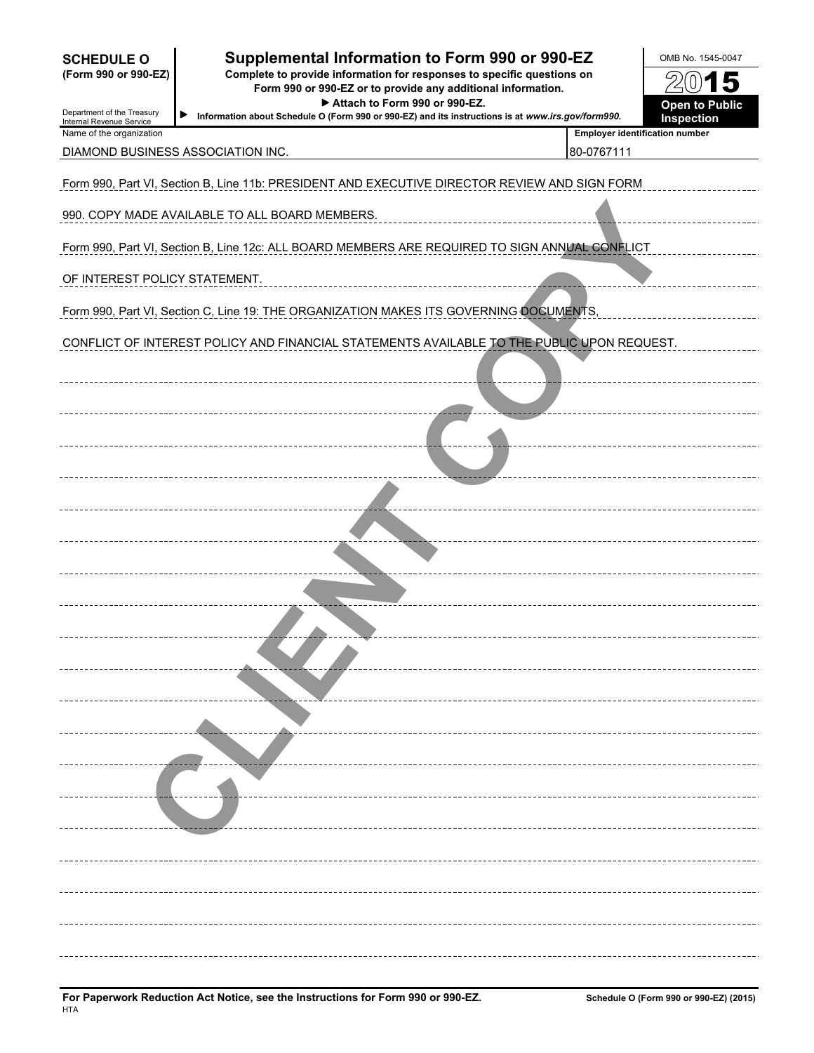| <b>SCHEDULE O</b><br>(Form 990 or 990-EZ)<br>Department of the Treasury<br>Internal Revenue Service | Supplemental Information to Form 990 or 990-EZ<br>Complete to provide information for responses to specific questions on<br>Form 990 or 990-EZ or to provide any additional information.<br>Attach to Form 990 or 990-EZ.<br>▶<br>Information about Schedule O (Form 990 or 990-EZ) and its instructions is at www.irs.gov/form990. |                                                     | OMB No. 1545-0047<br>$0)$ 15<br><b>Open to Public</b><br>Inspection |  |  |  |  |  |  |  |
|-----------------------------------------------------------------------------------------------------|-------------------------------------------------------------------------------------------------------------------------------------------------------------------------------------------------------------------------------------------------------------------------------------------------------------------------------------|-----------------------------------------------------|---------------------------------------------------------------------|--|--|--|--|--|--|--|
| Name of the organization                                                                            | DIAMOND BUSINESS ASSOCIATION INC.                                                                                                                                                                                                                                                                                                   | <b>Employer identification number</b><br>80-0767111 |                                                                     |  |  |  |  |  |  |  |
|                                                                                                     | Form 990, Part VI, Section B, Line 11b: PRESIDENT AND EXECUTIVE DIRECTOR REVIEW AND SIGN FORM                                                                                                                                                                                                                                       |                                                     |                                                                     |  |  |  |  |  |  |  |
|                                                                                                     | 990. COPY MADE AVAILABLE TO ALL BOARD MEMBERS.                                                                                                                                                                                                                                                                                      |                                                     |                                                                     |  |  |  |  |  |  |  |
|                                                                                                     | Form 990, Part VI, Section B, Line 12c: ALL BOARD MEMBERS ARE REQUIRED TO SIGN ANNUAL CONFLICT                                                                                                                                                                                                                                      |                                                     |                                                                     |  |  |  |  |  |  |  |
| OF INTEREST POLICY STATEMENT.                                                                       |                                                                                                                                                                                                                                                                                                                                     |                                                     |                                                                     |  |  |  |  |  |  |  |
|                                                                                                     | Form 990, Part VI, Section C, Line 19: THE ORGANIZATION MAKES ITS GOVERNING DOCUMENTS,                                                                                                                                                                                                                                              |                                                     |                                                                     |  |  |  |  |  |  |  |
|                                                                                                     | CONFLICT OF INTEREST POLICY AND FINANCIAL STATEMENTS AVAILABLE TO THE PUBLIC UPON REQUEST.                                                                                                                                                                                                                                          |                                                     |                                                                     |  |  |  |  |  |  |  |
|                                                                                                     |                                                                                                                                                                                                                                                                                                                                     |                                                     |                                                                     |  |  |  |  |  |  |  |
|                                                                                                     |                                                                                                                                                                                                                                                                                                                                     |                                                     |                                                                     |  |  |  |  |  |  |  |
|                                                                                                     |                                                                                                                                                                                                                                                                                                                                     |                                                     |                                                                     |  |  |  |  |  |  |  |
|                                                                                                     |                                                                                                                                                                                                                                                                                                                                     |                                                     |                                                                     |  |  |  |  |  |  |  |
|                                                                                                     |                                                                                                                                                                                                                                                                                                                                     |                                                     |                                                                     |  |  |  |  |  |  |  |
|                                                                                                     |                                                                                                                                                                                                                                                                                                                                     |                                                     |                                                                     |  |  |  |  |  |  |  |
|                                                                                                     |                                                                                                                                                                                                                                                                                                                                     |                                                     |                                                                     |  |  |  |  |  |  |  |
|                                                                                                     |                                                                                                                                                                                                                                                                                                                                     |                                                     |                                                                     |  |  |  |  |  |  |  |
|                                                                                                     |                                                                                                                                                                                                                                                                                                                                     |                                                     |                                                                     |  |  |  |  |  |  |  |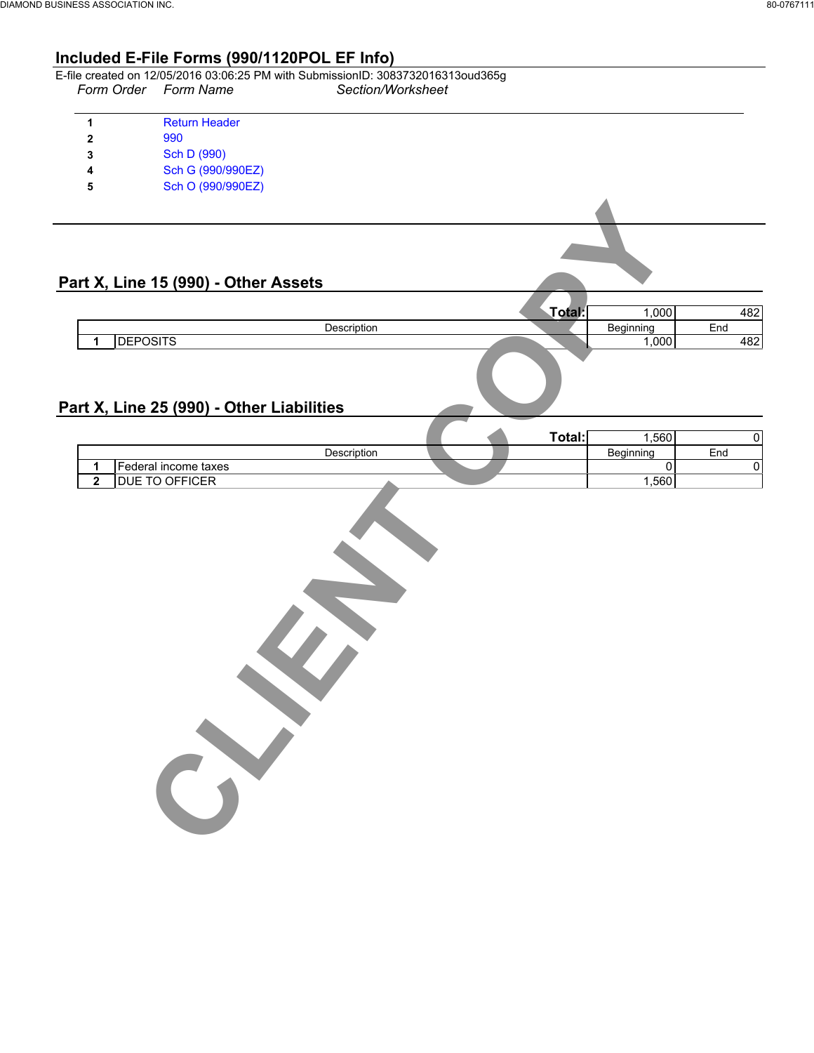# **Included E-File Forms (990/1120POL EF Info)**

|   | Form Order Form Name | E-file created on 12/05/2016 03:06:25 PM with SubmissionID: 3083732016313oud365g<br>Section/Worksheet |  |
|---|----------------------|-------------------------------------------------------------------------------------------------------|--|
|   | <b>Return Header</b> |                                                                                                       |  |
|   | 990                  |                                                                                                       |  |
| 3 | Sch D (990)          |                                                                                                       |  |
| 4 | Sch G (990/990EZ)    |                                                                                                       |  |
| 5 | Sch O (990/990EZ)    |                                                                                                       |  |
|   |                      |                                                                                                       |  |
|   |                      |                                                                                                       |  |

### **Part X, Line 15 (990) - Other Assets**

|                 |             | .000      | nn.         |
|-----------------|-------------|-----------|-------------|
|                 | Description | Beginning | ™<br>End    |
| <b>DEPOSITS</b> |             | ,000      | ده ۱<br>+o∠ |
|                 |             |           |             |

# **Part X, Line 25 (990) - Other Liabilities**

CLIPS<sup>2</sup>

|                      |  | $T$ otal:<br>vuu | .560      |     |
|----------------------|--|------------------|-----------|-----|
| Description          |  |                  | Beainning | End |
| Federal income taxes |  |                  |           |     |
| OFFICER<br>DUE.      |  |                  | .560      |     |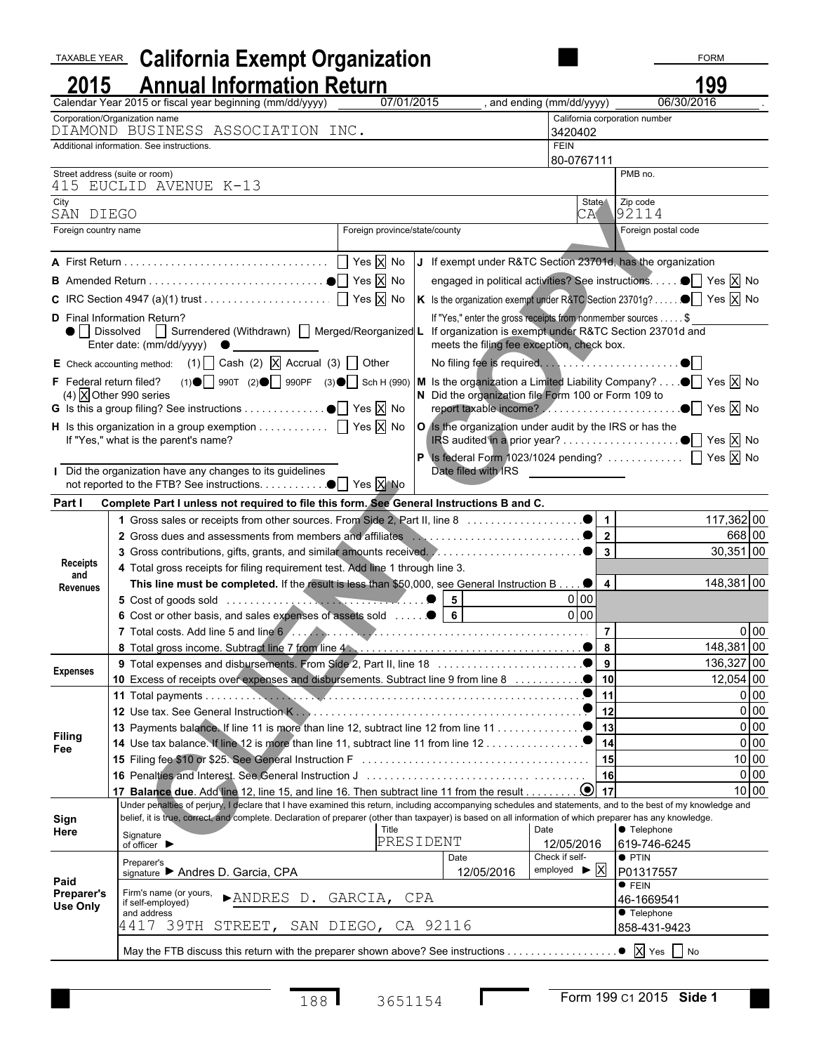| TAXABLE YEAR           | <b>California Exempt Organization</b>                                                                                                                        |            |                                                                                                                                                                                                                                                                                                                                                                                                                                                                                                                                                                                                                                                                                                                                                                                                                                                                                                                                                                                                                                                                                                                                                                                                        |                                                           | <b>FORM</b>                                    |                        |
|------------------------|--------------------------------------------------------------------------------------------------------------------------------------------------------------|------------|--------------------------------------------------------------------------------------------------------------------------------------------------------------------------------------------------------------------------------------------------------------------------------------------------------------------------------------------------------------------------------------------------------------------------------------------------------------------------------------------------------------------------------------------------------------------------------------------------------------------------------------------------------------------------------------------------------------------------------------------------------------------------------------------------------------------------------------------------------------------------------------------------------------------------------------------------------------------------------------------------------------------------------------------------------------------------------------------------------------------------------------------------------------------------------------------------------|-----------------------------------------------------------|------------------------------------------------|------------------------|
| 2015                   | <b>Annual Information Return</b>                                                                                                                             |            |                                                                                                                                                                                                                                                                                                                                                                                                                                                                                                                                                                                                                                                                                                                                                                                                                                                                                                                                                                                                                                                                                                                                                                                                        |                                                           | 199                                            |                        |
|                        | Calendar Year 2015 or fiscal year beginning (mm/dd/yyyy)                                                                                                     | 07/01/2015 |                                                                                                                                                                                                                                                                                                                                                                                                                                                                                                                                                                                                                                                                                                                                                                                                                                                                                                                                                                                                                                                                                                                                                                                                        | , and ending (mm/dd/yyyy)                                 | 06/30/2016                                     |                        |
|                        | Corporation/Organization name                                                                                                                                |            |                                                                                                                                                                                                                                                                                                                                                                                                                                                                                                                                                                                                                                                                                                                                                                                                                                                                                                                                                                                                                                                                                                                                                                                                        | California corporation number                             |                                                |                        |
|                        | DIAMOND BUSINESS ASSOCIATION INC.<br>Additional information. See instructions.                                                                               |            |                                                                                                                                                                                                                                                                                                                                                                                                                                                                                                                                                                                                                                                                                                                                                                                                                                                                                                                                                                                                                                                                                                                                                                                                        | 3420402<br><b>FEIN</b>                                    |                                                |                        |
|                        |                                                                                                                                                              |            |                                                                                                                                                                                                                                                                                                                                                                                                                                                                                                                                                                                                                                                                                                                                                                                                                                                                                                                                                                                                                                                                                                                                                                                                        | 80-0767111                                                |                                                |                        |
|                        | Street address (suite or room)<br>415 EUCLID AVENUE K-13                                                                                                     |            |                                                                                                                                                                                                                                                                                                                                                                                                                                                                                                                                                                                                                                                                                                                                                                                                                                                                                                                                                                                                                                                                                                                                                                                                        |                                                           | PMB no.                                        |                        |
| City<br>SAN DIEGO      |                                                                                                                                                              |            |                                                                                                                                                                                                                                                                                                                                                                                                                                                                                                                                                                                                                                                                                                                                                                                                                                                                                                                                                                                                                                                                                                                                                                                                        | State \                                                   | Zip code                                       |                        |
| Foreign country name   |                                                                                                                                                              |            |                                                                                                                                                                                                                                                                                                                                                                                                                                                                                                                                                                                                                                                                                                                                                                                                                                                                                                                                                                                                                                                                                                                                                                                                        |                                                           | Foreign postal code                            |                        |
|                        |                                                                                                                                                              |            |                                                                                                                                                                                                                                                                                                                                                                                                                                                                                                                                                                                                                                                                                                                                                                                                                                                                                                                                                                                                                                                                                                                                                                                                        |                                                           |                                                |                        |
|                        |                                                                                                                                                              |            |                                                                                                                                                                                                                                                                                                                                                                                                                                                                                                                                                                                                                                                                                                                                                                                                                                                                                                                                                                                                                                                                                                                                                                                                        |                                                           |                                                |                        |
|                        |                                                                                                                                                              |            |                                                                                                                                                                                                                                                                                                                                                                                                                                                                                                                                                                                                                                                                                                                                                                                                                                                                                                                                                                                                                                                                                                                                                                                                        |                                                           |                                                |                        |
|                        | C IRC Section 4947 (a)(1) trust $\dots \dots \dots \dots \dots \dots \dots$ T Yes $\overline{X}$ No                                                          |            |                                                                                                                                                                                                                                                                                                                                                                                                                                                                                                                                                                                                                                                                                                                                                                                                                                                                                                                                                                                                                                                                                                                                                                                                        |                                                           |                                                |                        |
|                        | <b>D</b> Final Information Return?<br>Enter date: (mm/dd/yyyy) $\bullet$                                                                                     |            |                                                                                                                                                                                                                                                                                                                                                                                                                                                                                                                                                                                                                                                                                                                                                                                                                                                                                                                                                                                                                                                                                                                                                                                                        |                                                           |                                                |                        |
|                        | E Check accounting method: (1) $\Box$ Cash (2) $\Box$ Accrual (3) $\Box$ Other                                                                               |            |                                                                                                                                                                                                                                                                                                                                                                                                                                                                                                                                                                                                                                                                                                                                                                                                                                                                                                                                                                                                                                                                                                                                                                                                        |                                                           |                                                |                        |
|                        | (4) $\overline{X}$ Other 990 series                                                                                                                          |            |                                                                                                                                                                                                                                                                                                                                                                                                                                                                                                                                                                                                                                                                                                                                                                                                                                                                                                                                                                                                                                                                                                                                                                                                        |                                                           |                                                |                        |
|                        | <b>G</b> Is this a group filing? See instructions $\bullet$ Yes $\boxed{\times}$ No                                                                          |            |                                                                                                                                                                                                                                                                                                                                                                                                                                                                                                                                                                                                                                                                                                                                                                                                                                                                                                                                                                                                                                                                                                                                                                                                        |                                                           |                                                |                        |
|                        |                                                                                                                                                              |            |                                                                                                                                                                                                                                                                                                                                                                                                                                                                                                                                                                                                                                                                                                                                                                                                                                                                                                                                                                                                                                                                                                                                                                                                        |                                                           |                                                |                        |
|                        | If "Yes," what is the parent's name?                                                                                                                         |            |                                                                                                                                                                                                                                                                                                                                                                                                                                                                                                                                                                                                                                                                                                                                                                                                                                                                                                                                                                                                                                                                                                                                                                                                        |                                                           |                                                |                        |
|                        | Did the organization have any changes to its guidelines                                                                                                      |            |                                                                                                                                                                                                                                                                                                                                                                                                                                                                                                                                                                                                                                                                                                                                                                                                                                                                                                                                                                                                                                                                                                                                                                                                        |                                                           |                                                |                        |
| Part I                 | Complete Part I unless not required to file this form. See General Instructions B and C.                                                                     |            |                                                                                                                                                                                                                                                                                                                                                                                                                                                                                                                                                                                                                                                                                                                                                                                                                                                                                                                                                                                                                                                                                                                                                                                                        |                                                           |                                                |                        |
|                        |                                                                                                                                                              |            |                                                                                                                                                                                                                                                                                                                                                                                                                                                                                                                                                                                                                                                                                                                                                                                                                                                                                                                                                                                                                                                                                                                                                                                                        |                                                           |                                                |                        |
|                        |                                                                                                                                                              |            |                                                                                                                                                                                                                                                                                                                                                                                                                                                                                                                                                                                                                                                                                                                                                                                                                                                                                                                                                                                                                                                                                                                                                                                                        |                                                           |                                                |                        |
| <b>Receipts</b>        |                                                                                                                                                              |            |                                                                                                                                                                                                                                                                                                                                                                                                                                                                                                                                                                                                                                                                                                                                                                                                                                                                                                                                                                                                                                                                                                                                                                                                        |                                                           |                                                |                        |
| and                    | 4 Total gross receipts for filing requirement test. Add line 1 through line 3.                                                                               |            | 92114<br>CA<br>Foreign province/state/county<br>If exempt under R&TC Section 23701d, has the organization<br>engaged in political activities? See instructions. ■ Yes X No<br>K Is the organization exempt under R&TC Section 23701g? $\bullet$ Yes $\boxtimes$ No<br>If "Yes," enter the gross receipts from nonmember sources \$<br>● Dissolved   Surrendered (Withdrawn)   Merged/Reorganized L If organization is exempt under R&TC Section 23701d and<br>meets the filing fee exception, check box.<br>F Federal return filed? (1) $\bigcirc$ 990T (2) $\bigcirc$ 990PF (3) $\bigcirc$ Sch H (990) M Is the organization a Limited Liability Company? $\bigcirc$ Yes X No<br>N Did the organization file Form 100 or Form 109 to<br>H Is this organization in a group exemption $\Box$ Yes $\overline{X}$ No $\overline{Q}$ is the organization under audit by the IRS or has the<br>Date filed with IRS<br>117,362 00<br>668 00<br>$30,351$ 00<br>148,381 00<br>This line must be completed. If the result is less than \$50,000, see General Instruction B 0<br>$\overline{4}$<br>0 <sub>0</sub><br>l 5<br>0 00 <br> 6 <br>0 00<br>148,381 00<br>$9^{\circ}$<br>136,327 00<br>10<br>$12,054$ 00 |                                                           |                                                |                        |
| <b>Revenues</b>        |                                                                                                                                                              |            |                                                                                                                                                                                                                                                                                                                                                                                                                                                                                                                                                                                                                                                                                                                                                                                                                                                                                                                                                                                                                                                                                                                                                                                                        |                                                           |                                                |                        |
|                        |                                                                                                                                                              |            |                                                                                                                                                                                                                                                                                                                                                                                                                                                                                                                                                                                                                                                                                                                                                                                                                                                                                                                                                                                                                                                                                                                                                                                                        |                                                           |                                                |                        |
|                        |                                                                                                                                                              |            |                                                                                                                                                                                                                                                                                                                                                                                                                                                                                                                                                                                                                                                                                                                                                                                                                                                                                                                                                                                                                                                                                                                                                                                                        |                                                           |                                                |                        |
|                        |                                                                                                                                                              |            |                                                                                                                                                                                                                                                                                                                                                                                                                                                                                                                                                                                                                                                                                                                                                                                                                                                                                                                                                                                                                                                                                                                                                                                                        |                                                           |                                                |                        |
| <b>Expenses</b>        |                                                                                                                                                              |            |                                                                                                                                                                                                                                                                                                                                                                                                                                                                                                                                                                                                                                                                                                                                                                                                                                                                                                                                                                                                                                                                                                                                                                                                        |                                                           |                                                |                        |
|                        |                                                                                                                                                              |            |                                                                                                                                                                                                                                                                                                                                                                                                                                                                                                                                                                                                                                                                                                                                                                                                                                                                                                                                                                                                                                                                                                                                                                                                        |                                                           |                                                |                        |
|                        |                                                                                                                                                              |            |                                                                                                                                                                                                                                                                                                                                                                                                                                                                                                                                                                                                                                                                                                                                                                                                                                                                                                                                                                                                                                                                                                                                                                                                        | 11                                                        |                                                | 0 <sub>0</sub>         |
|                        |                                                                                                                                                              |            |                                                                                                                                                                                                                                                                                                                                                                                                                                                                                                                                                                                                                                                                                                                                                                                                                                                                                                                                                                                                                                                                                                                                                                                                        | 12<br>13                                                  |                                                | 0 <sub>0</sub><br>0 00 |
| <b>Filing</b>          | 14 Use tax balance. If line 12 is more than line 11, subtract line 11 from line 12                                                                           |            |                                                                                                                                                                                                                                                                                                                                                                                                                                                                                                                                                                                                                                                                                                                                                                                                                                                                                                                                                                                                                                                                                                                                                                                                        | 14                                                        |                                                | 0 00                   |
| Fee                    |                                                                                                                                                              |            |                                                                                                                                                                                                                                                                                                                                                                                                                                                                                                                                                                                                                                                                                                                                                                                                                                                                                                                                                                                                                                                                                                                                                                                                        | 15                                                        |                                                | 10 00                  |
|                        | 16 Penalties and Interest. See General Instruction Jurian Communication Construction Communication                                                           |            |                                                                                                                                                                                                                                                                                                                                                                                                                                                                                                                                                                                                                                                                                                                                                                                                                                                                                                                                                                                                                                                                                                                                                                                                        | 16                                                        |                                                | 0 <sub>0</sub>         |
|                        |                                                                                                                                                              |            |                                                                                                                                                                                                                                                                                                                                                                                                                                                                                                                                                                                                                                                                                                                                                                                                                                                                                                                                                                                                                                                                                                                                                                                                        | 17                                                        |                                                | 10 00                  |
|                        | Under penalties of perjury, I declare that I have examined this return, including accompanying schedules and statements, and to the best of my knowledge and |            |                                                                                                                                                                                                                                                                                                                                                                                                                                                                                                                                                                                                                                                                                                                                                                                                                                                                                                                                                                                                                                                                                                                                                                                                        |                                                           |                                                |                        |
| Sign<br>Here           | belief, it is true, correct, and complete. Declaration of preparer (other than taxpayer) is based on all information of which preparer has any knowledge.    | Title      |                                                                                                                                                                                                                                                                                                                                                                                                                                                                                                                                                                                                                                                                                                                                                                                                                                                                                                                                                                                                                                                                                                                                                                                                        | Date                                                      | ● Telephone                                    |                        |
|                        | Signature<br>of officer $\blacktriangleright$                                                                                                                | PRESIDENT  |                                                                                                                                                                                                                                                                                                                                                                                                                                                                                                                                                                                                                                                                                                                                                                                                                                                                                                                                                                                                                                                                                                                                                                                                        | 12/05/2016                                                | 619-746-6245                                   |                        |
|                        | Preparer's<br>signature Andres D. Garcia, CPA                                                                                                                |            | Date<br>12/05/2016                                                                                                                                                                                                                                                                                                                                                                                                                                                                                                                                                                                                                                                                                                                                                                                                                                                                                                                                                                                                                                                                                                                                                                                     | Check if self-<br>employed $\blacktriangleright$ $\mid$ X | <b>O</b> PTIN<br>P01317557                     |                        |
| Paid                   |                                                                                                                                                              |            |                                                                                                                                                                                                                                                                                                                                                                                                                                                                                                                                                                                                                                                                                                                                                                                                                                                                                                                                                                                                                                                                                                                                                                                                        |                                                           | $\bullet$ FEIN                                 |                        |
| Preparer's<br>Use Only | Firm's name (or yours,<br>ANDRES D. GARCIA, CPA<br>if self-employed)                                                                                         |            |                                                                                                                                                                                                                                                                                                                                                                                                                                                                                                                                                                                                                                                                                                                                                                                                                                                                                                                                                                                                                                                                                                                                                                                                        |                                                           | 46-1669541                                     |                        |
|                        | and address<br>4417 39TH STREET, SAN DIEGO, CA 92116                                                                                                         |            |                                                                                                                                                                                                                                                                                                                                                                                                                                                                                                                                                                                                                                                                                                                                                                                                                                                                                                                                                                                                                                                                                                                                                                                                        |                                                           | ● Telephone<br>858-431-9423                    |                        |
|                        | May the FTB discuss this return with the preparer shown above? See instructions                                                                              |            |                                                                                                                                                                                                                                                                                                                                                                                                                                                                                                                                                                                                                                                                                                                                                                                                                                                                                                                                                                                                                                                                                                                                                                                                        |                                                           | $\bullet$ $\overline{X}$ Yes $\overline{X}$ No |                        |
|                        |                                                                                                                                                              |            |                                                                                                                                                                                                                                                                                                                                                                                                                                                                                                                                                                                                                                                                                                                                                                                                                                                                                                                                                                                                                                                                                                                                                                                                        |                                                           |                                                |                        |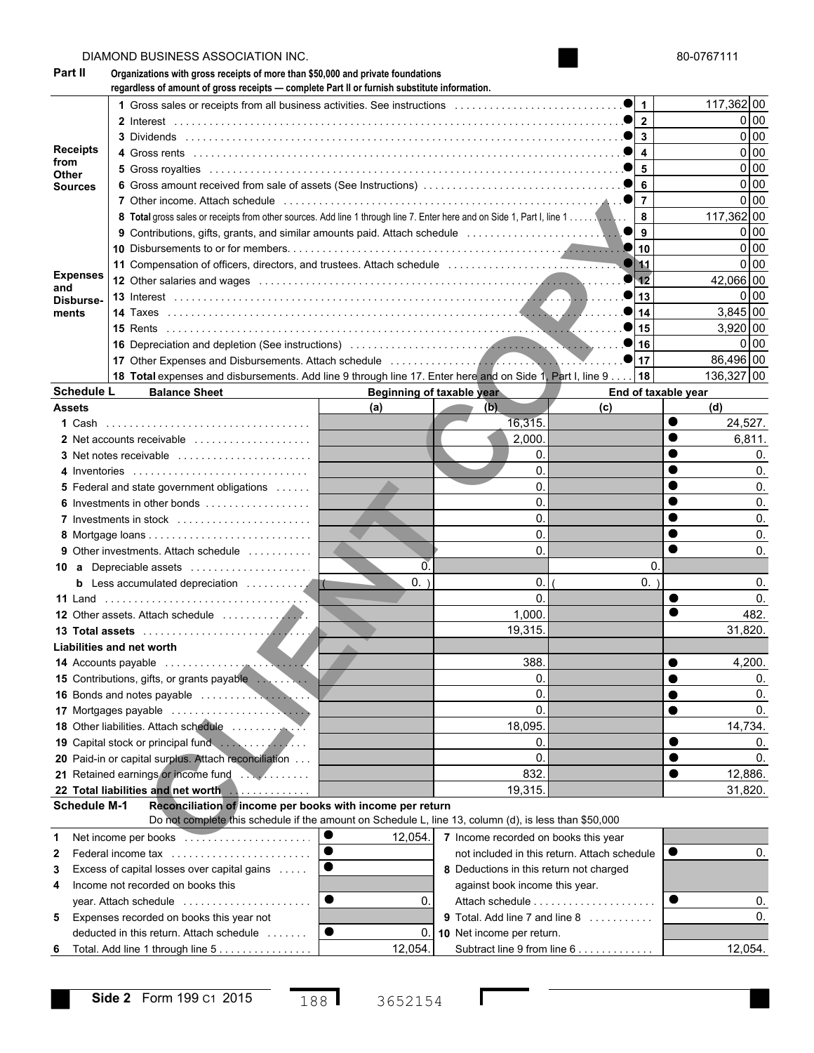|                         | DIAMOND BUSINESS ASSOCIATION INC.                                                                                                                                               |                           |                                         |                                              |    | 80-0767111                  |
|-------------------------|---------------------------------------------------------------------------------------------------------------------------------------------------------------------------------|---------------------------|-----------------------------------------|----------------------------------------------|----|-----------------------------|
| Part II                 | Organizations with gross receipts of more than \$50,000 and private foundations<br>regardless of amount of gross receipts - complete Part II or furnish substitute information. |                           |                                         |                                              |    |                             |
|                         |                                                                                                                                                                                 |                           |                                         | 1                                            |    | 117,362 00                  |
|                         |                                                                                                                                                                                 |                           |                                         | $\overline{\mathbf{c}}$                      |    | 0 <sub>0</sub>              |
|                         |                                                                                                                                                                                 |                           |                                         | 3                                            |    | 0 <sub>0</sub>              |
| <b>Receipts</b><br>from |                                                                                                                                                                                 |                           |                                         | $\overline{\mathbf{4}}$                      |    | 0 <sub>0</sub>              |
| Other                   |                                                                                                                                                                                 |                           |                                         | 5                                            |    | 0 <sub>0</sub>              |
| <b>Sources</b>          |                                                                                                                                                                                 |                           |                                         | 6                                            |    | 0 <sub>0</sub>              |
|                         |                                                                                                                                                                                 |                           |                                         | $\overline{7}$                               |    | 0 <sub>0</sub>              |
|                         |                                                                                                                                                                                 |                           |                                         | 8                                            |    | 117,362 00                  |
|                         | 9 Contributions, gifts, grants, and similar amounts paid. Attach schedule                                                                                                       |                           |                                         | 9<br>●                                       |    | 0 <sub>0</sub>              |
|                         |                                                                                                                                                                                 |                           |                                         | 10                                           |    | 0 <sub>0</sub>              |
| <b>Expenses</b>         |                                                                                                                                                                                 |                           |                                         | 11<br>12                                     |    | 0 <sub>0</sub><br>42,066 00 |
| and                     | 12 Other salaries and wages entertainment contains and container and container and container and container and                                                                  |                           |                                         | 13                                           |    | 0 <sub>0</sub>              |
| Disburse-<br>ments      |                                                                                                                                                                                 |                           |                                         | 14                                           |    | 3,845 00                    |
|                         |                                                                                                                                                                                 |                           |                                         | 15                                           |    | $3,920$ 00                  |
|                         |                                                                                                                                                                                 |                           |                                         | 16                                           |    | 0 <sub>0</sub>              |
|                         | 17 Other Expenses and Disbursements. Attach schedule entertainment of the expenses and Disbursements. Attach schedule                                                           |                           |                                         | 17                                           |    | 86.496 00                   |
|                         | 18 Total expenses and disbursements. Add line 9 through line 17. Enter here and on Side 1, Part I, line 9.                                                                      |                           |                                         | 18                                           |    | 136,327 00                  |
| <b>Schedule L</b>       | <b>Balance Sheet</b>                                                                                                                                                            | Beginning of taxable year |                                         | End of taxable year                          |    |                             |
| <b>Assets</b>           |                                                                                                                                                                                 | (a)                       | (b)                                     | (c)                                          |    | (d)                         |
|                         |                                                                                                                                                                                 |                           | 16,315.                                 |                                              |    | 24,527.                     |
|                         | 2 Net accounts receivable                                                                                                                                                       |                           | 2,000                                   |                                              |    | 6,811.                      |
|                         |                                                                                                                                                                                 |                           | 0.                                      |                                              |    | 0.                          |
|                         | 4 Inventories                                                                                                                                                                   |                           | 0.                                      |                                              |    | 0.                          |
|                         | 5 Federal and state government obligations                                                                                                                                      |                           | 0.                                      |                                              |    | 0.                          |
| 6                       |                                                                                                                                                                                 |                           | 0.                                      |                                              |    | 0.                          |
|                         | 7 Investments in stock                                                                                                                                                          |                           | 0.                                      |                                              |    | 0.                          |
|                         |                                                                                                                                                                                 |                           | 0.                                      |                                              |    | 0.                          |
|                         | <b>9</b> Other investments. Attach schedule                                                                                                                                     |                           | 0.                                      |                                              |    | 0.                          |
|                         | <b>10 a</b> Depreciable assets                                                                                                                                                  | $\overline{0}$            |                                         |                                              | 0. |                             |
|                         | b Less accumulated depreciation<br>IC.                                                                                                                                          | 0.                        | 0.                                      |                                              | 0. | 0.                          |
|                         |                                                                                                                                                                                 |                           | 0.                                      |                                              |    | 0.                          |
|                         |                                                                                                                                                                                 |                           | 1,000.<br>19,315.                       |                                              |    | 482.<br>31.820.             |
|                         | Liabilities and net worth                                                                                                                                                       |                           |                                         |                                              |    |                             |
|                         |                                                                                                                                                                                 |                           | 388.                                    |                                              |    | 4,200.                      |
|                         | 15 Contributions, gifts, or grants payable                                                                                                                                      |                           | 0.                                      |                                              |    | 0.                          |
|                         |                                                                                                                                                                                 |                           | 0.                                      |                                              |    | 0.                          |
|                         |                                                                                                                                                                                 |                           | 0.                                      |                                              |    | 0.                          |
|                         |                                                                                                                                                                                 |                           | 18,095.                                 |                                              |    | 14,734.                     |
|                         |                                                                                                                                                                                 |                           | 0.                                      |                                              |    | 0.                          |
|                         | 20 Paid-in or capital surplus. Attach reconciliation                                                                                                                            |                           | 0.                                      |                                              |    | 0.                          |
|                         | 21 Retained earnings or income fund                                                                                                                                             |                           | 832.                                    |                                              |    | 12,886.                     |
|                         |                                                                                                                                                                                 |                           | 19,315.                                 |                                              |    | 31,820.                     |
| <b>Schedule M-1</b>     | Reconciliation of income per books with income per return                                                                                                                       |                           |                                         |                                              |    |                             |
|                         | Do not complete this schedule if the amount on Schedule L, line 13, column (d), is less than \$50,000                                                                           |                           |                                         |                                              |    |                             |
| 1                       |                                                                                                                                                                                 | 12,054.                   | 7 Income recorded on books this year    |                                              |    |                             |
| 2                       | Federal income tax                                                                                                                                                              |                           |                                         | not included in this return. Attach schedule |    | 0.                          |
| 3                       | Excess of capital losses over capital gains                                                                                                                                     |                           | 8 Deductions in this return not charged |                                              |    |                             |
| 4                       | Income not recorded on books this<br>●                                                                                                                                          | 0.                        | against book income this year.          |                                              |    | 0.                          |
|                         | year. Attach schedule                                                                                                                                                           |                           | 9 Total. Add line 7 and line 8          |                                              |    | 0.                          |
| 5                       | Expenses recorded on books this year not<br>●<br>deducted in this return. Attach schedule                                                                                       | 0.                        | 10 Net income per return.               |                                              |    |                             |
|                         | Total. Add line 1 through line 5                                                                                                                                                | 12,054.                   |                                         | Subtract line 9 from line 6                  |    | 12,054.                     |
| 6                       |                                                                                                                                                                                 |                           |                                         |                                              |    |                             |

 $\mathbf l$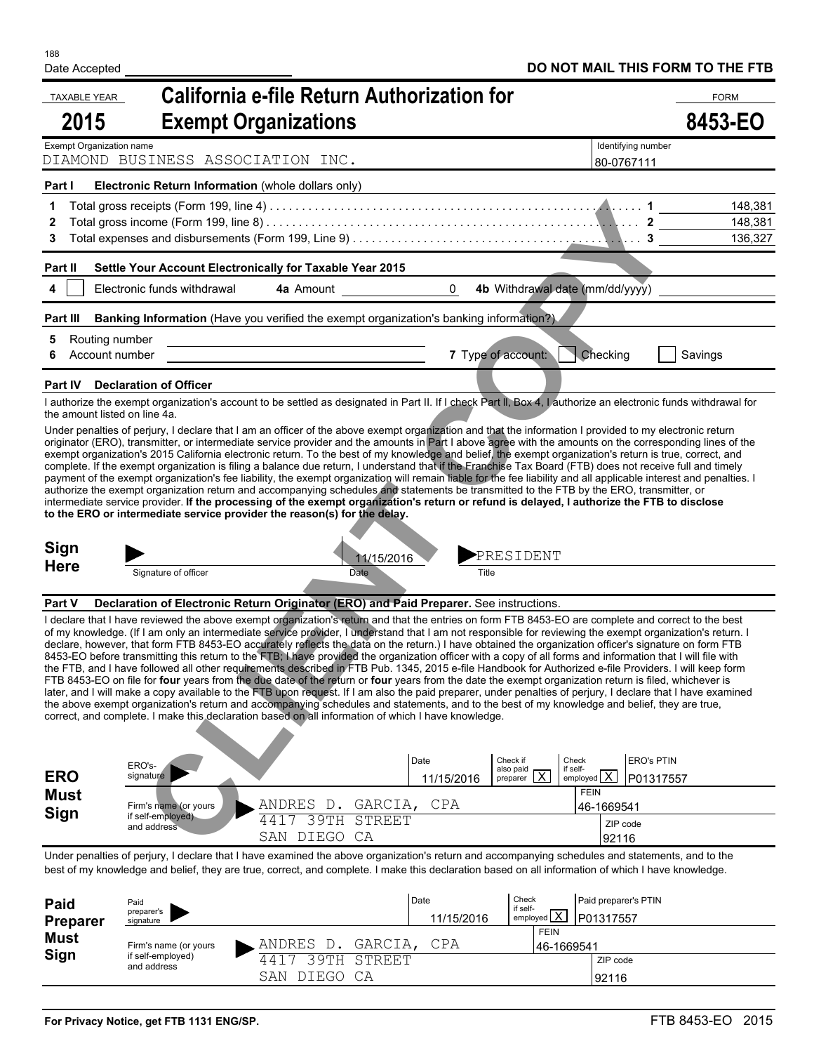| <b>TAXABLE YEAR</b>      |                                                                                                                                                                                                                                                                                                                                                                                                                                                                                                                                                                                                                                                                                                                                                                                                                                                                                                                                                                                                                                                                                                                                                                                                                                                                                                                                                                                 | <b>California e-file Return Authorization for</b>               |                    |                                       |                                                               |                                | <b>FORM</b>                   |
|--------------------------|---------------------------------------------------------------------------------------------------------------------------------------------------------------------------------------------------------------------------------------------------------------------------------------------------------------------------------------------------------------------------------------------------------------------------------------------------------------------------------------------------------------------------------------------------------------------------------------------------------------------------------------------------------------------------------------------------------------------------------------------------------------------------------------------------------------------------------------------------------------------------------------------------------------------------------------------------------------------------------------------------------------------------------------------------------------------------------------------------------------------------------------------------------------------------------------------------------------------------------------------------------------------------------------------------------------------------------------------------------------------------------|-----------------------------------------------------------------|--------------------|---------------------------------------|---------------------------------------------------------------|--------------------------------|-------------------------------|
| 2015                     | <b>Exempt Organizations</b>                                                                                                                                                                                                                                                                                                                                                                                                                                                                                                                                                                                                                                                                                                                                                                                                                                                                                                                                                                                                                                                                                                                                                                                                                                                                                                                                                     |                                                                 |                    |                                       |                                                               |                                | 8453-EO                       |
| Exempt Organization name | DIAMOND BUSINESS ASSOCIATION INC.                                                                                                                                                                                                                                                                                                                                                                                                                                                                                                                                                                                                                                                                                                                                                                                                                                                                                                                                                                                                                                                                                                                                                                                                                                                                                                                                               |                                                                 |                    |                                       | Identifying number<br>80-0767111                              |                                |                               |
| Part I                   | Electronic Return Information (whole dollars only)                                                                                                                                                                                                                                                                                                                                                                                                                                                                                                                                                                                                                                                                                                                                                                                                                                                                                                                                                                                                                                                                                                                                                                                                                                                                                                                              |                                                                 |                    |                                       |                                                               |                                |                               |
| 1<br>2<br>3              |                                                                                                                                                                                                                                                                                                                                                                                                                                                                                                                                                                                                                                                                                                                                                                                                                                                                                                                                                                                                                                                                                                                                                                                                                                                                                                                                                                                 |                                                                 |                    |                                       |                                                               |                                | 148,381<br>148,381<br>136,327 |
| Part II                  | Settle Your Account Electronically for Taxable Year 2015                                                                                                                                                                                                                                                                                                                                                                                                                                                                                                                                                                                                                                                                                                                                                                                                                                                                                                                                                                                                                                                                                                                                                                                                                                                                                                                        |                                                                 |                    |                                       |                                                               |                                |                               |
| 4                        | Electronic funds withdrawal                                                                                                                                                                                                                                                                                                                                                                                                                                                                                                                                                                                                                                                                                                                                                                                                                                                                                                                                                                                                                                                                                                                                                                                                                                                                                                                                                     | 4a Amount                                                       | $\overline{0}$     | 4b Withdrawal date (mm/dd/yyyy)       |                                                               |                                |                               |
| Part III                 | Banking Information (Have you verified the exempt organization's banking information?).                                                                                                                                                                                                                                                                                                                                                                                                                                                                                                                                                                                                                                                                                                                                                                                                                                                                                                                                                                                                                                                                                                                                                                                                                                                                                         |                                                                 |                    |                                       |                                                               |                                |                               |
|                          | Routing number<br>Account number                                                                                                                                                                                                                                                                                                                                                                                                                                                                                                                                                                                                                                                                                                                                                                                                                                                                                                                                                                                                                                                                                                                                                                                                                                                                                                                                                |                                                                 |                    | 7 Type of account:                    | Checking                                                      | Savings                        |                               |
|                          | Part IV Declaration of Officer                                                                                                                                                                                                                                                                                                                                                                                                                                                                                                                                                                                                                                                                                                                                                                                                                                                                                                                                                                                                                                                                                                                                                                                                                                                                                                                                                  |                                                                 |                    |                                       |                                                               |                                |                               |
|                          | I authorize the exempt organization's account to be settled as designated in Part II. If I check Part II, Box 4, I authorize an electronic funds withdrawal for<br>the amount listed on line 4a.                                                                                                                                                                                                                                                                                                                                                                                                                                                                                                                                                                                                                                                                                                                                                                                                                                                                                                                                                                                                                                                                                                                                                                                |                                                                 |                    |                                       |                                                               |                                |                               |
| <b>Sign</b>              | complete. If the exempt organization is filing a balance due return, I understand that if the Franchise Tax Board (FTB) does not receive full and timely<br>payment of the exempt organization's fee liability, the exempt organization will remain liable for the fee liability and all applicable interest and penalties. I<br>authorize the exempt organization return and accompanying schedules and statements be transmitted to the FTB by the ERO, transmitter, or<br>intermediate service provider. If the processing of the exempt organization's return or refund is delayed, I authorize the FTB to disclose<br>to the ERO or intermediate service provider the reason(s) for the delay.                                                                                                                                                                                                                                                                                                                                                                                                                                                                                                                                                                                                                                                                             | 11/15/2016                                                      |                    | PRESIDENT                             |                                                               |                                |                               |
| <b>Here</b>              | Signature of officer                                                                                                                                                                                                                                                                                                                                                                                                                                                                                                                                                                                                                                                                                                                                                                                                                                                                                                                                                                                                                                                                                                                                                                                                                                                                                                                                                            | <b>Date</b>                                                     | Title              |                                       |                                                               |                                |                               |
| Part V                   | Declaration of Electronic Return Originator (ERO) and Paid Preparer. See instructions.                                                                                                                                                                                                                                                                                                                                                                                                                                                                                                                                                                                                                                                                                                                                                                                                                                                                                                                                                                                                                                                                                                                                                                                                                                                                                          |                                                                 |                    |                                       |                                                               |                                |                               |
|                          | I declare that I have reviewed the above exempt organization's return and that the entries on form FTB 8453-EO are complete and correct to the best<br>of my knowledge. (If I am only an intermediate service provider, I understand that I am not responsible for reviewing the exempt organization's return. I<br>declare, however, that form FTB 8453-EO accurately reflects the data on the return.) I have obtained the organization officer's signature on form FTB<br>8453-EO before transmitting this return to the FTB; I have provided the organization officer with a copy of all forms and information that I will file with<br>the FTB, and I have followed all other requirements described in FTB Pub. 1345, 2015 e-file Handbook for Authorized e-file Providers. I will keep form<br>FTB 8453-EO on file for four years from the due date of the return or four years from the date the exempt organization return is filed, whichever is<br>later, and I will make a copy available to the FTB upon request. If I am also the paid preparer, under penalties of perjury, I declare that I have examined<br>the above exempt organization's return and accompanying schedules and statements, and to the best of my knowledge and belief, they are true,<br>correct, and complete. I make this declaration based on all information of which I have knowledge. |                                                                 |                    |                                       |                                                               |                                |                               |
| <b>ERO</b>               | ERO's-<br>signature                                                                                                                                                                                                                                                                                                                                                                                                                                                                                                                                                                                                                                                                                                                                                                                                                                                                                                                                                                                                                                                                                                                                                                                                                                                                                                                                                             |                                                                 | Date<br>11/15/2016 | Check if<br>also paid<br>preparer $X$ | Check<br>if self-<br>$emploved$ $\overline{X}$<br><b>FEIN</b> | <b>ERO's PTIN</b><br>P01317557 |                               |
| Must<br>Sign             | Firm's name (or yours<br>if self-employed)<br>and address                                                                                                                                                                                                                                                                                                                                                                                                                                                                                                                                                                                                                                                                                                                                                                                                                                                                                                                                                                                                                                                                                                                                                                                                                                                                                                                       | D. GARCIA, CPA<br>ANDRES<br>39TH STREET<br>4417<br>SAN DIEGO CA |                    |                                       | 46-1669541<br>ZIP code<br>92116                               |                                |                               |
|                          | Under penalties of perjury, I declare that I have examined the above organization's return and accompanying schedules and statements, and to the<br>best of my knowledge and belief, they are true, correct, and complete. I make this declaration based on all information of which I have knowledge.                                                                                                                                                                                                                                                                                                                                                                                                                                                                                                                                                                                                                                                                                                                                                                                                                                                                                                                                                                                                                                                                          |                                                                 |                    |                                       |                                                               |                                |                               |
|                          |                                                                                                                                                                                                                                                                                                                                                                                                                                                                                                                                                                                                                                                                                                                                                                                                                                                                                                                                                                                                                                                                                                                                                                                                                                                                                                                                                                                 |                                                                 |                    |                                       |                                                               |                                |                               |

| Paid<br><b>Preparer</b> | Paid<br>preparer's<br>signature |                   | Date<br>11/15/2016 | Check<br>if self-<br>$\frac{1}{2}$ r seir-<br>employed $\overline{X}$ | Paid preparer's PTIN<br>P01317557 |
|-------------------------|---------------------------------|-------------------|--------------------|-----------------------------------------------------------------------|-----------------------------------|
| <b>Must</b>             | Firm's name (or yours           | GARCIA,<br>ANDRES | CPA                | <b>FEIN</b><br>46-1669541                                             |                                   |
|                         | and address                     | DIEGO CA<br>SAN   |                    |                                                                       | ZIP code<br>92116                 |
| Sign                    | if self-employed)               | 39TH STREET       |                    |                                                                       |                                   |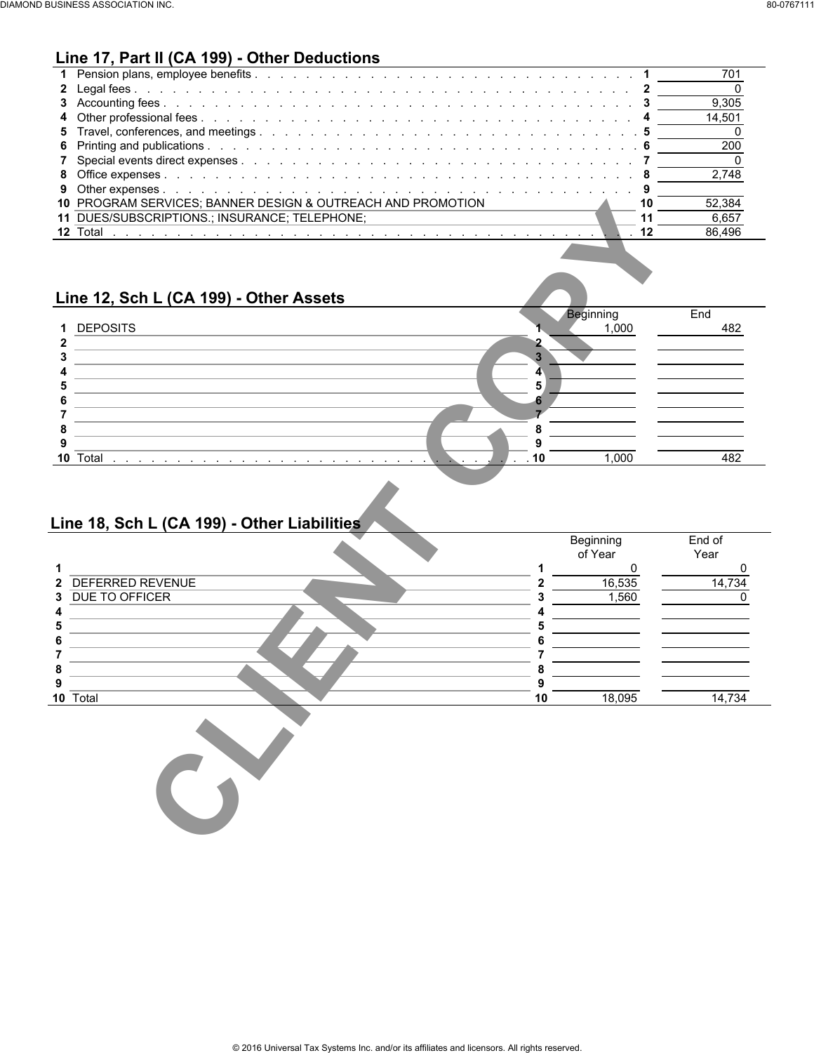# **Line 17, Part II (CA 199) - Other Deductions**

|                                                             | 701        |  |
|-------------------------------------------------------------|------------|--|
|                                                             |            |  |
|                                                             | 9.305      |  |
|                                                             | 14.501     |  |
|                                                             |            |  |
|                                                             | <b>200</b> |  |
|                                                             |            |  |
|                                                             | 2.748      |  |
|                                                             |            |  |
| 10 PROGRAM SERVICES; BANNER DESIGN & OUTREACH AND PROMOTION | 52.384     |  |
| 11 DUES/SUBSCRIPTIONS.; INSURANCE; TELEPHONE;               | 6.657      |  |
|                                                             | 86.496     |  |
|                                                             |            |  |

## **Line 12, Sch L (CA 199) - Other Assets**

|             |                 | Beginning<br>1,000 | End |
|-------------|-----------------|--------------------|-----|
| $\mathbf 1$ | <b>DEPOSITS</b> |                    | 482 |
|             |                 |                    |     |
|             |                 |                    |     |
|             |                 |                    |     |
|             |                 |                    |     |
|             |                 |                    |     |
|             |                 |                    |     |
|             |                 |                    |     |
|             |                 |                    |     |
| 10          | Total           | 1.000              |     |

## **Line 18, Sch L (CA 199) - Other Liabilities**

|                                                       |         |                  | 52,384           |
|-------------------------------------------------------|---------|------------------|------------------|
| 11 DUES/SUBSCRIPTIONS.; INSURANCE; TELEPHONE;         |         | 11               | 6,657            |
| 12 Total                                              |         | 12               | 86,496           |
|                                                       |         |                  |                  |
|                                                       |         |                  |                  |
|                                                       |         |                  |                  |
| Line 12, Sch L (CA 199) - Other Assets                |         | <b>Beginning</b> | End              |
| <b>DEPOSITS</b>                                       |         | 1,000            | 482              |
|                                                       | 2       |                  |                  |
|                                                       | 3       |                  |                  |
|                                                       | 4       |                  |                  |
|                                                       | 5       |                  |                  |
|                                                       | 6       |                  |                  |
|                                                       | 8       |                  |                  |
|                                                       | 9       |                  |                  |
| 10 Total<br>and a state of the state of the           | 10      |                  |                  |
|                                                       |         |                  |                  |
| Line 18, Sch L (CA 199) - Other Liabilities           |         | 1,000            | 482              |
|                                                       |         | Beginning        | End of           |
|                                                       |         | of Year          | Year             |
|                                                       | 1       | 0                |                  |
|                                                       | 2       | 16,535           |                  |
|                                                       |         | 1,560            | 0<br>14,734<br>0 |
|                                                       | 5       |                  |                  |
|                                                       |         |                  |                  |
|                                                       |         |                  |                  |
|                                                       | 8       |                  |                  |
| <b>DEFERRED REVENUE</b><br>DUE TO OFFICER<br>10 Total | 9<br>10 | 18,095           | 14,734           |